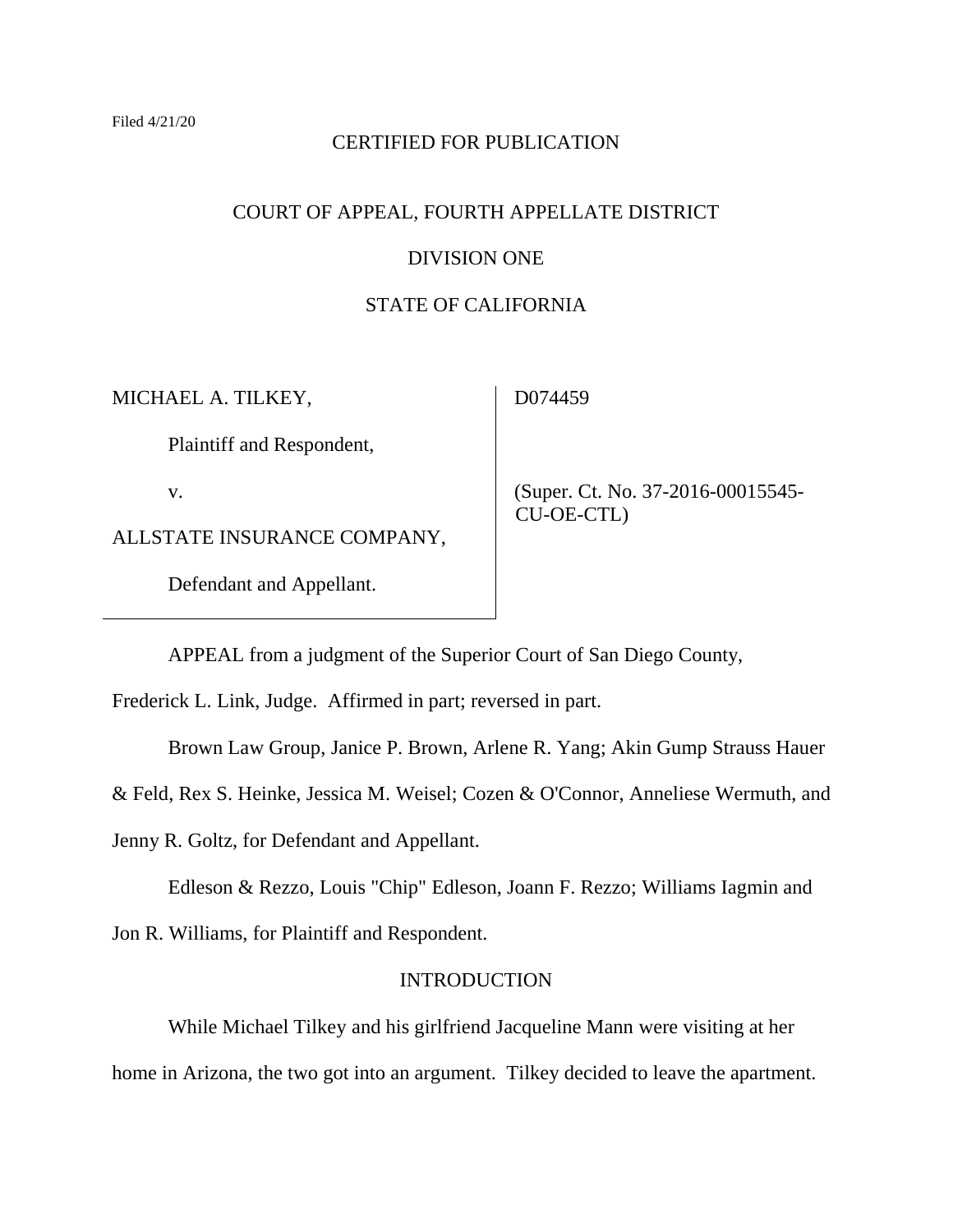### CERTIFIED FOR PUBLICATION

### COURT OF APPEAL, FOURTH APPELLATE DISTRICT

### DIVISION ONE

### STATE OF CALIFORNIA

MICHAEL A. TILKEY,

D074459

Plaintiff and Respondent,

v.

ALLSTATE INSURANCE COMPANY,

Defendant and Appellant.

 (Super. Ct. No. 37-2016-00015545- CU-OE-CTL)

APPEAL from a judgment of the Superior Court of San Diego County,

Frederick L. Link, Judge. Affirmed in part; reversed in part.

Brown Law Group, Janice P. Brown, Arlene R. Yang; Akin Gump Strauss Hauer

& Feld, Rex S. Heinke, Jessica M. Weisel; Cozen & O'Connor, Anneliese Wermuth, and

Jenny R. Goltz, for Defendant and Appellant.

Edleson & Rezzo, Louis "Chip" Edleson, Joann F. Rezzo; Williams Iagmin and

Jon R. Williams, for Plaintiff and Respondent.

### INTRODUCTION

While Michael Tilkey and his girlfriend Jacqueline Mann were visiting at her home in Arizona, the two got into an argument. Tilkey decided to leave the apartment.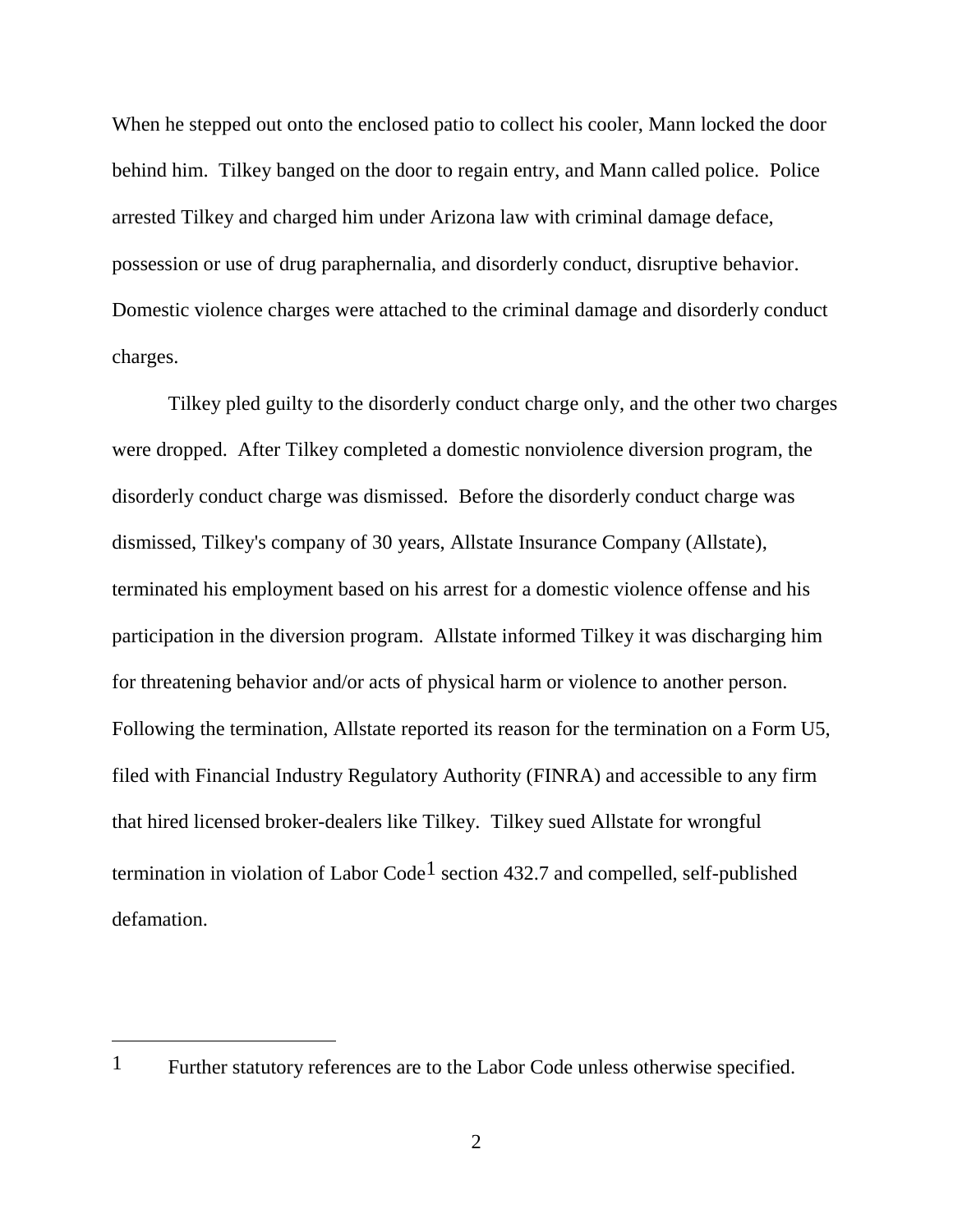When he stepped out onto the enclosed patio to collect his cooler, Mann locked the door behind him. Tilkey banged on the door to regain entry, and Mann called police. Police arrested Tilkey and charged him under Arizona law with criminal damage deface, possession or use of drug paraphernalia, and disorderly conduct, disruptive behavior. Domestic violence charges were attached to the criminal damage and disorderly conduct charges.

Tilkey pled guilty to the disorderly conduct charge only, and the other two charges were dropped. After Tilkey completed a domestic nonviolence diversion program, the disorderly conduct charge was dismissed. Before the disorderly conduct charge was dismissed, Tilkey's company of 30 years, Allstate Insurance Company (Allstate), terminated his employment based on his arrest for a domestic violence offense and his participation in the diversion program. Allstate informed Tilkey it was discharging him for threatening behavior and/or acts of physical harm or violence to another person. Following the termination, Allstate reported its reason for the termination on a Form U5, filed with Financial Industry Regulatory Authority (FINRA) and accessible to any firm that hired licensed broker-dealers like Tilkey. Tilkey sued Allstate for wrongful termination in violation of Labor Code<sup>1</sup> section 432.7 and compelled, self-published defamation.

 $\overline{a}$ 

<sup>&</sup>lt;sup>1</sup> Further statutory references are to the Labor Code unless otherwise specified.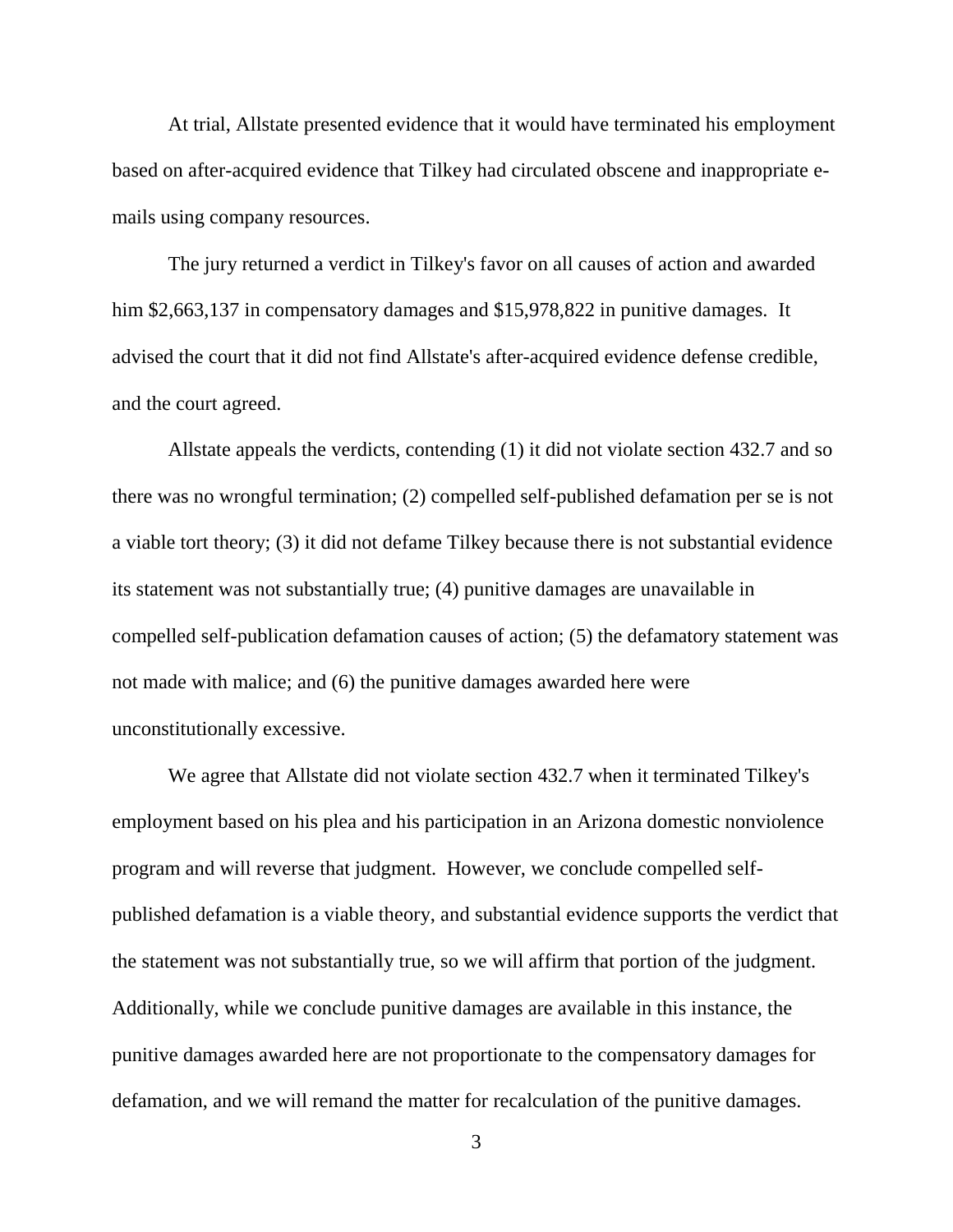At trial, Allstate presented evidence that it would have terminated his employment based on after-acquired evidence that Tilkey had circulated obscene and inappropriate emails using company resources.

The jury returned a verdict in Tilkey's favor on all causes of action and awarded him \$2,663,137 in compensatory damages and \$15,978,822 in punitive damages. It advised the court that it did not find Allstate's after-acquired evidence defense credible, and the court agreed.

Allstate appeals the verdicts, contending (1) it did not violate section 432.7 and so there was no wrongful termination; (2) compelled self-published defamation per se is not a viable tort theory; (3) it did not defame Tilkey because there is not substantial evidence its statement was not substantially true; (4) punitive damages are unavailable in compelled self-publication defamation causes of action; (5) the defamatory statement was not made with malice; and (6) the punitive damages awarded here were unconstitutionally excessive.

We agree that Allstate did not violate section 432.7 when it terminated Tilkey's employment based on his plea and his participation in an Arizona domestic nonviolence program and will reverse that judgment. However, we conclude compelled selfpublished defamation is a viable theory, and substantial evidence supports the verdict that the statement was not substantially true, so we will affirm that portion of the judgment. Additionally, while we conclude punitive damages are available in this instance, the punitive damages awarded here are not proportionate to the compensatory damages for defamation, and we will remand the matter for recalculation of the punitive damages.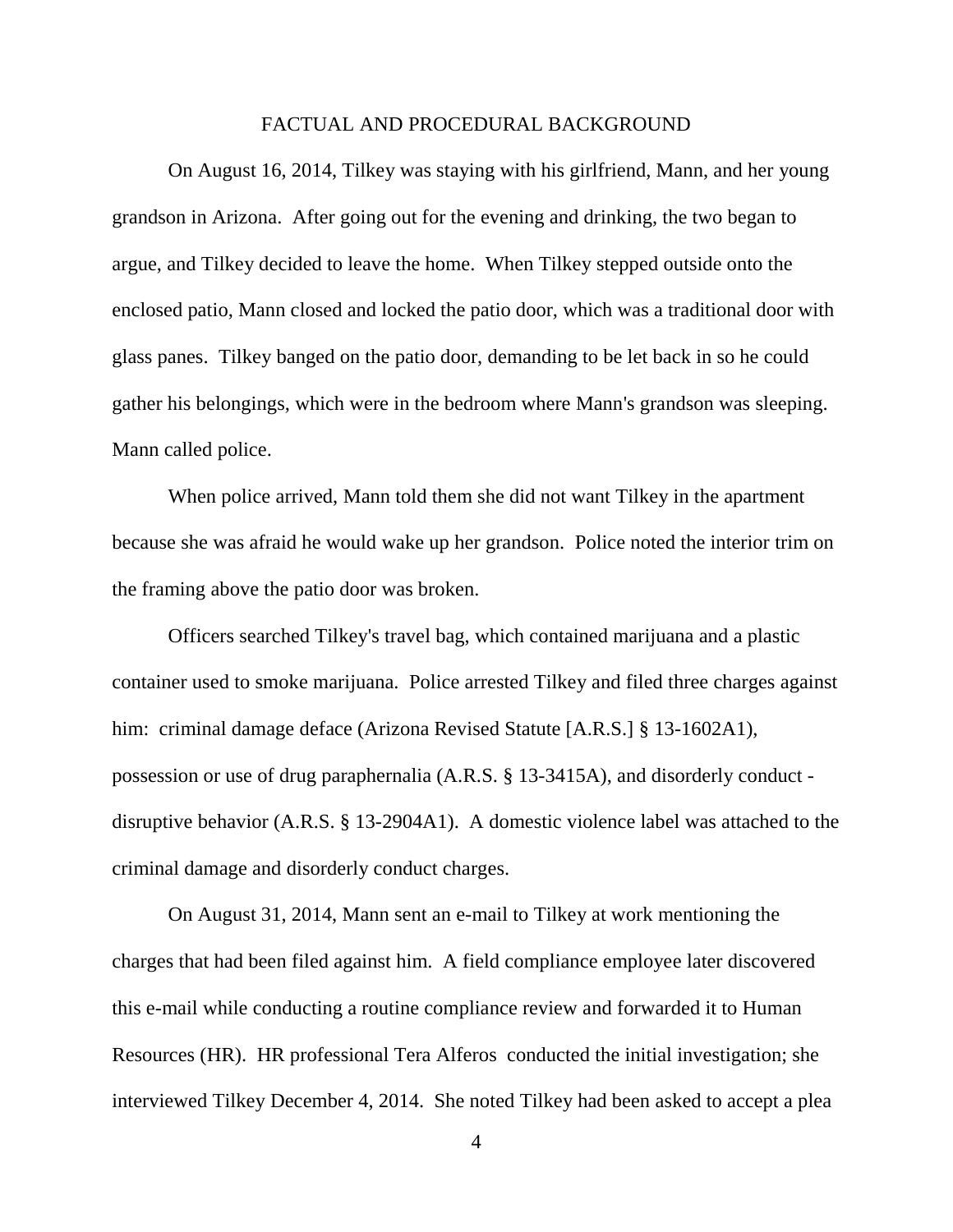#### FACTUAL AND PROCEDURAL BACKGROUND

On August 16, 2014, Tilkey was staying with his girlfriend, Mann, and her young grandson in Arizona. After going out for the evening and drinking, the two began to argue, and Tilkey decided to leave the home. When Tilkey stepped outside onto the enclosed patio, Mann closed and locked the patio door, which was a traditional door with glass panes. Tilkey banged on the patio door, demanding to be let back in so he could gather his belongings, which were in the bedroom where Mann's grandson was sleeping. Mann called police.

When police arrived, Mann told them she did not want Tilkey in the apartment because she was afraid he would wake up her grandson. Police noted the interior trim on the framing above the patio door was broken.

Officers searched Tilkey's travel bag, which contained marijuana and a plastic container used to smoke marijuana. Police arrested Tilkey and filed three charges against him: criminal damage deface (Arizona Revised Statute [A.R.S.] § 13-1602A1), possession or use of drug paraphernalia (A.R.S. § 13-3415A), and disorderly conduct disruptive behavior (A.R.S. § 13-2904A1). A domestic violence label was attached to the criminal damage and disorderly conduct charges.

On August 31, 2014, Mann sent an e-mail to Tilkey at work mentioning the charges that had been filed against him. A field compliance employee later discovered this e-mail while conducting a routine compliance review and forwarded it to Human Resources (HR). HR professional Tera Alferos conducted the initial investigation; she interviewed Tilkey December 4, 2014. She noted Tilkey had been asked to accept a plea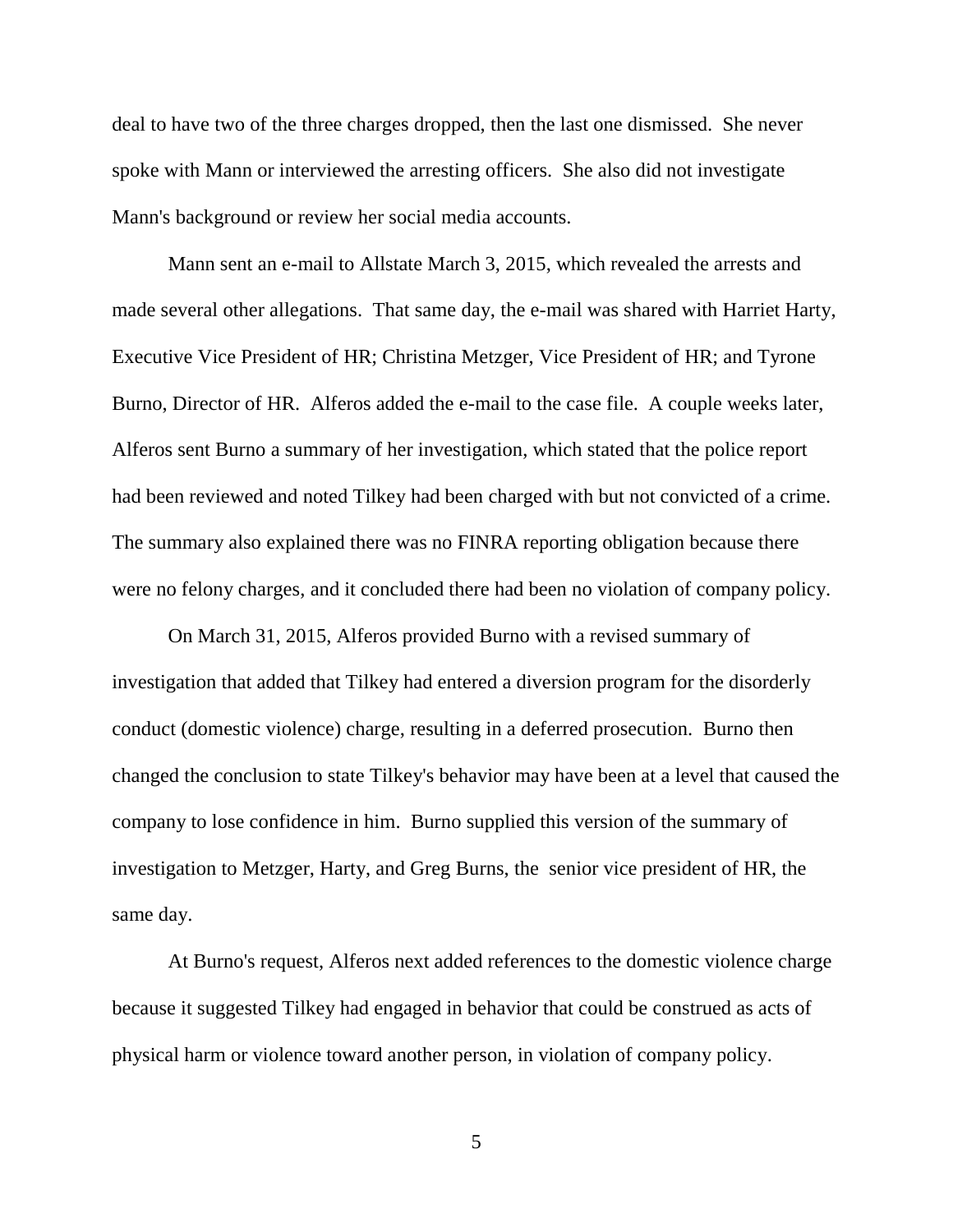deal to have two of the three charges dropped, then the last one dismissed. She never spoke with Mann or interviewed the arresting officers. She also did not investigate Mann's background or review her social media accounts.

Mann sent an e-mail to Allstate March 3, 2015, which revealed the arrests and made several other allegations. That same day, the e-mail was shared with Harriet Harty, Executive Vice President of HR; Christina Metzger, Vice President of HR; and Tyrone Burno, Director of HR. Alferos added the e-mail to the case file. A couple weeks later, Alferos sent Burno a summary of her investigation, which stated that the police report had been reviewed and noted Tilkey had been charged with but not convicted of a crime. The summary also explained there was no FINRA reporting obligation because there were no felony charges, and it concluded there had been no violation of company policy.

On March 31, 2015, Alferos provided Burno with a revised summary of investigation that added that Tilkey had entered a diversion program for the disorderly conduct (domestic violence) charge, resulting in a deferred prosecution. Burno then changed the conclusion to state Tilkey's behavior may have been at a level that caused the company to lose confidence in him. Burno supplied this version of the summary of investigation to Metzger, Harty, and Greg Burns, the senior vice president of HR, the same day.

At Burno's request, Alferos next added references to the domestic violence charge because it suggested Tilkey had engaged in behavior that could be construed as acts of physical harm or violence toward another person, in violation of company policy.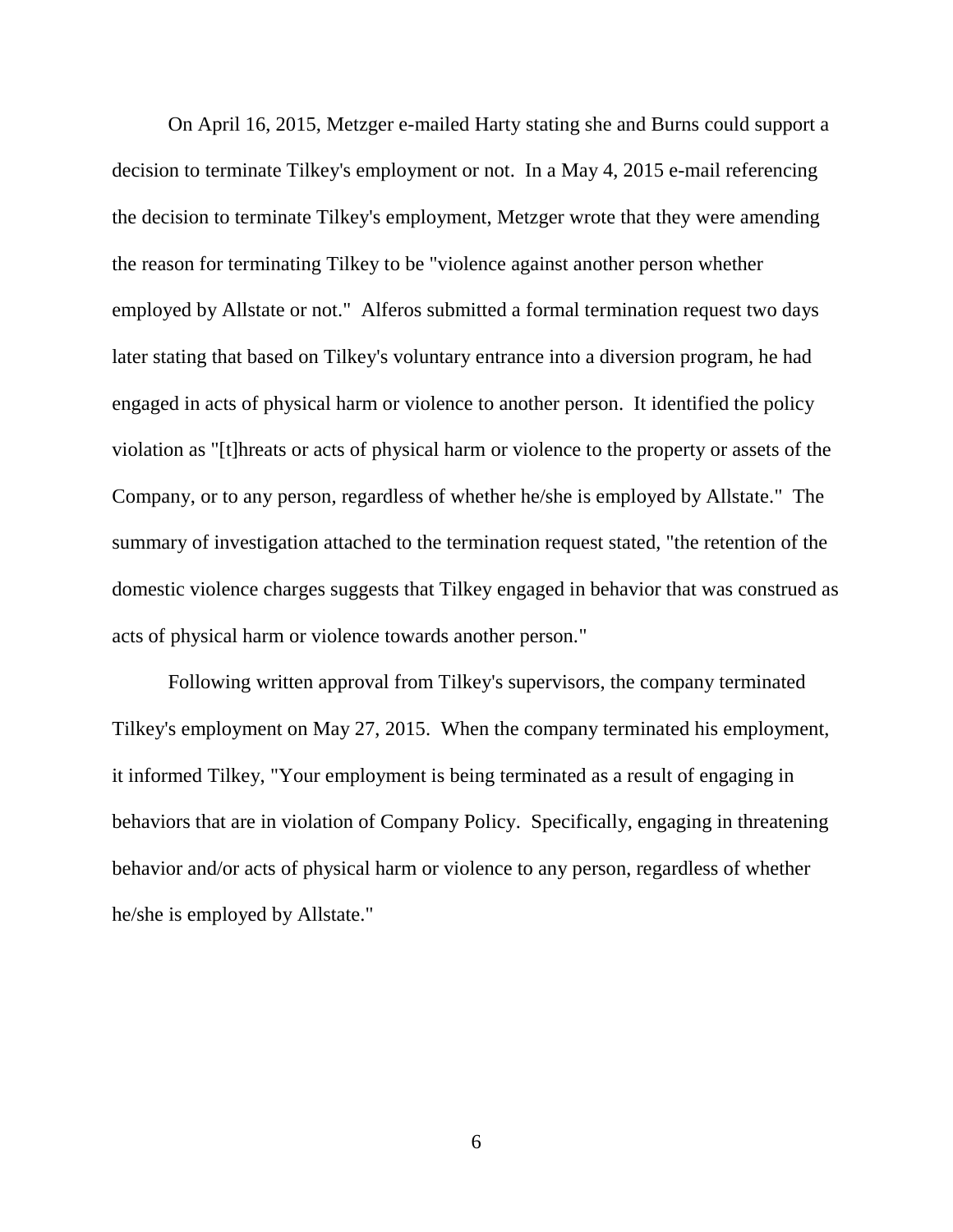On April 16, 2015, Metzger e-mailed Harty stating she and Burns could support a decision to terminate Tilkey's employment or not. In a May 4, 2015 e-mail referencing the decision to terminate Tilkey's employment, Metzger wrote that they were amending the reason for terminating Tilkey to be "violence against another person whether employed by Allstate or not." Alferos submitted a formal termination request two days later stating that based on Tilkey's voluntary entrance into a diversion program, he had engaged in acts of physical harm or violence to another person. It identified the policy violation as "[t]hreats or acts of physical harm or violence to the property or assets of the Company, or to any person, regardless of whether he/she is employed by Allstate." The summary of investigation attached to the termination request stated, "the retention of the domestic violence charges suggests that Tilkey engaged in behavior that was construed as acts of physical harm or violence towards another person."

Following written approval from Tilkey's supervisors, the company terminated Tilkey's employment on May 27, 2015. When the company terminated his employment, it informed Tilkey, "Your employment is being terminated as a result of engaging in behaviors that are in violation of Company Policy. Specifically, engaging in threatening behavior and/or acts of physical harm or violence to any person, regardless of whether he/she is employed by Allstate."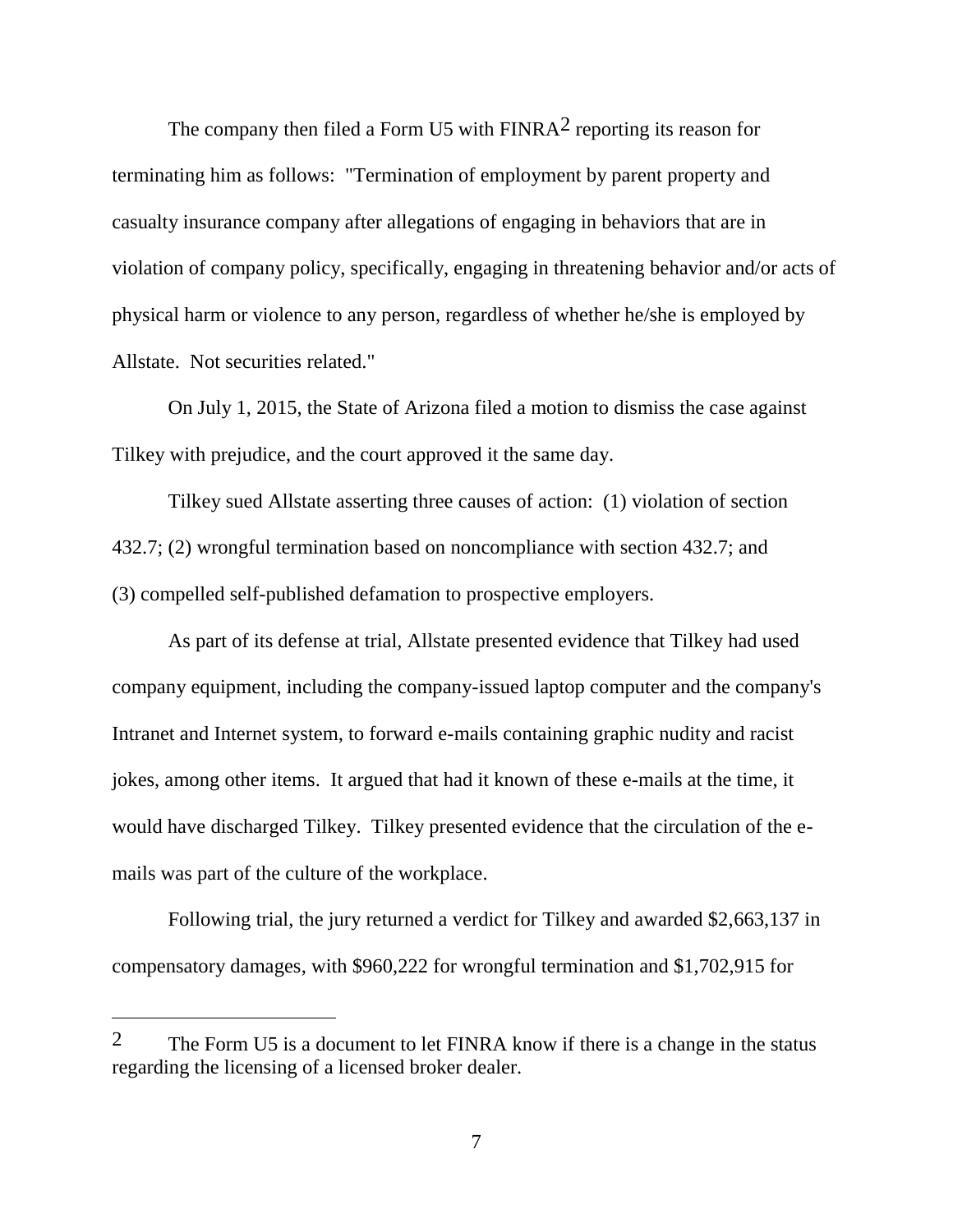The company then filed a Form U5 with  $FINRA<sup>2</sup>$  reporting its reason for terminating him as follows: "Termination of employment by parent property and casualty insurance company after allegations of engaging in behaviors that are in violation of company policy, specifically, engaging in threatening behavior and/or acts of physical harm or violence to any person, regardless of whether he/she is employed by Allstate. Not securities related."

On July 1, 2015, the State of Arizona filed a motion to dismiss the case against Tilkey with prejudice, and the court approved it the same day.

Tilkey sued Allstate asserting three causes of action: (1) violation of section 432.7; (2) wrongful termination based on noncompliance with section 432.7; and (3) compelled self-published defamation to prospective employers.

As part of its defense at trial, Allstate presented evidence that Tilkey had used company equipment, including the company-issued laptop computer and the company's Intranet and Internet system, to forward e-mails containing graphic nudity and racist jokes, among other items. It argued that had it known of these e-mails at the time, it would have discharged Tilkey. Tilkey presented evidence that the circulation of the emails was part of the culture of the workplace.

Following trial, the jury returned a verdict for Tilkey and awarded \$2,663,137 in compensatory damages, with \$960,222 for wrongful termination and \$1,702,915 for

 $\overline{a}$ 

<sup>&</sup>lt;sup>2</sup> The Form U5 is a document to let FINRA know if there is a change in the status regarding the licensing of a licensed broker dealer.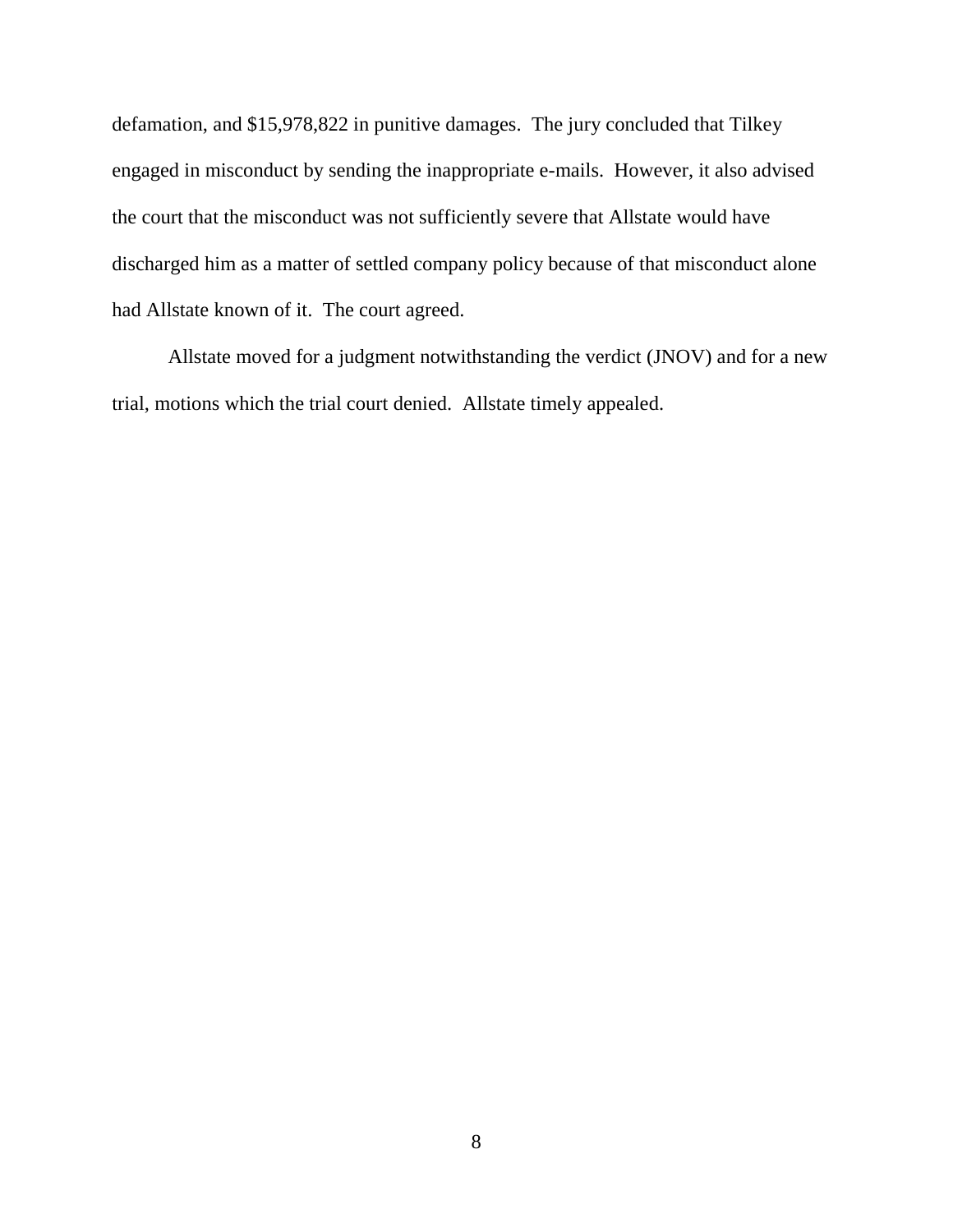defamation, and \$15,978,822 in punitive damages. The jury concluded that Tilkey engaged in misconduct by sending the inappropriate e-mails. However, it also advised the court that the misconduct was not sufficiently severe that Allstate would have discharged him as a matter of settled company policy because of that misconduct alone had Allstate known of it. The court agreed.

Allstate moved for a judgment notwithstanding the verdict (JNOV) and for a new trial, motions which the trial court denied. Allstate timely appealed.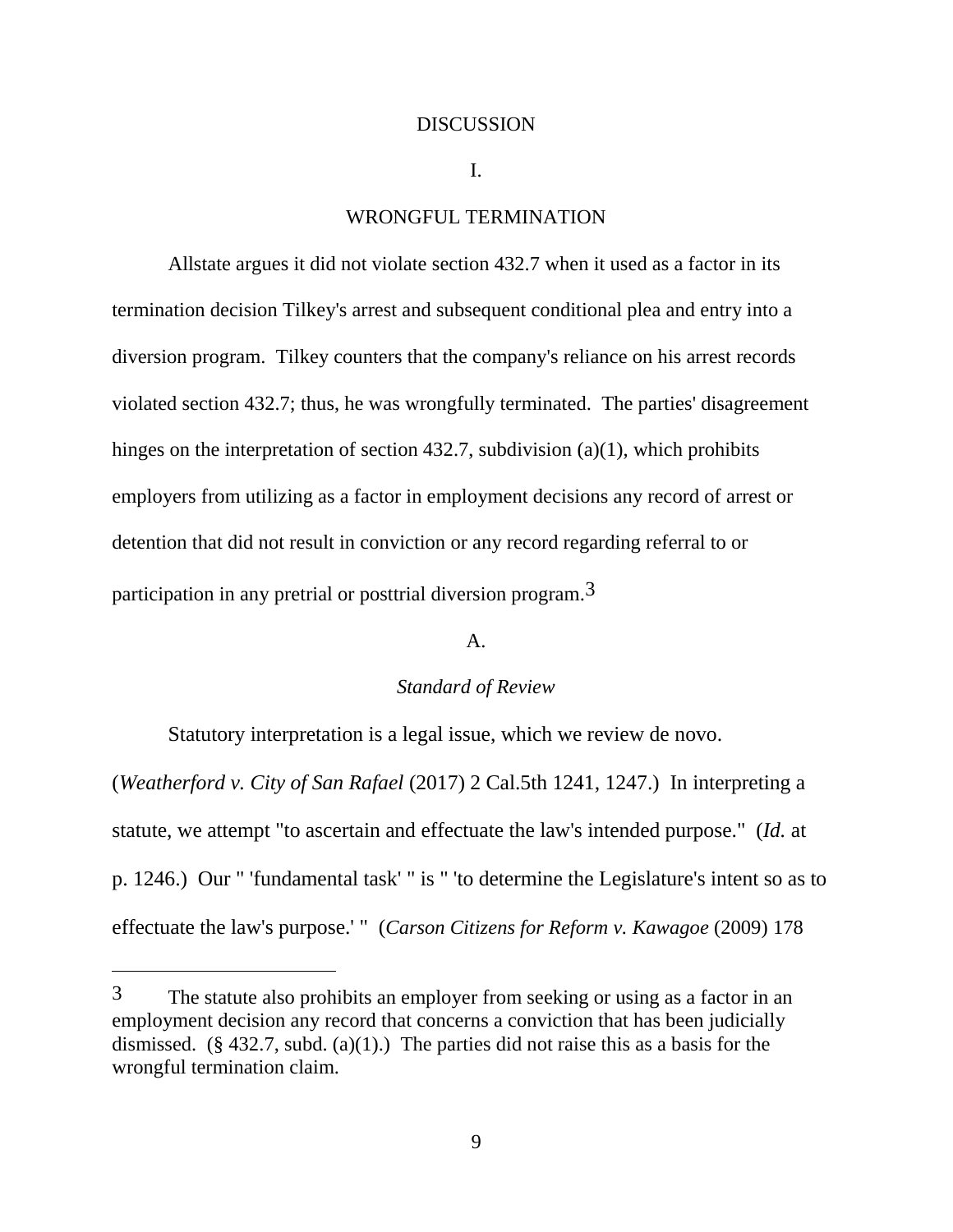#### **DISCUSSION**

#### I.

# WRONGFUL TERMINATION

Allstate argues it did not violate section 432.7 when it used as a factor in its termination decision Tilkey's arrest and subsequent conditional plea and entry into a diversion program. Tilkey counters that the company's reliance on his arrest records violated section 432.7; thus, he was wrongfully terminated. The parties' disagreement hinges on the interpretation of section 432.7, subdivision (a)(1), which prohibits employers from utilizing as a factor in employment decisions any record of arrest or detention that did not result in conviction or any record regarding referral to or participation in any pretrial or posttrial diversion program.3

## A.

### *Standard of Review*

Statutory interpretation is a legal issue, which we review de novo. (*Weatherford v. City of San Rafael* (2017) 2 Cal.5th 1241, 1247.) In interpreting a statute, we attempt "to ascertain and effectuate the law's intended purpose." (*Id.* at p. 1246.) Our " 'fundamental task' " is " 'to determine the Legislature's intent so as to effectuate the law's purpose.' " (*Carson Citizens for Reform v. Kawagoe* (2009) 178

<sup>3</sup> The statute also prohibits an employer from seeking or using as a factor in an employment decision any record that concerns a conviction that has been judicially dismissed.  $(\S$  432.7, subd. (a)(1).) The parties did not raise this as a basis for the wrongful termination claim.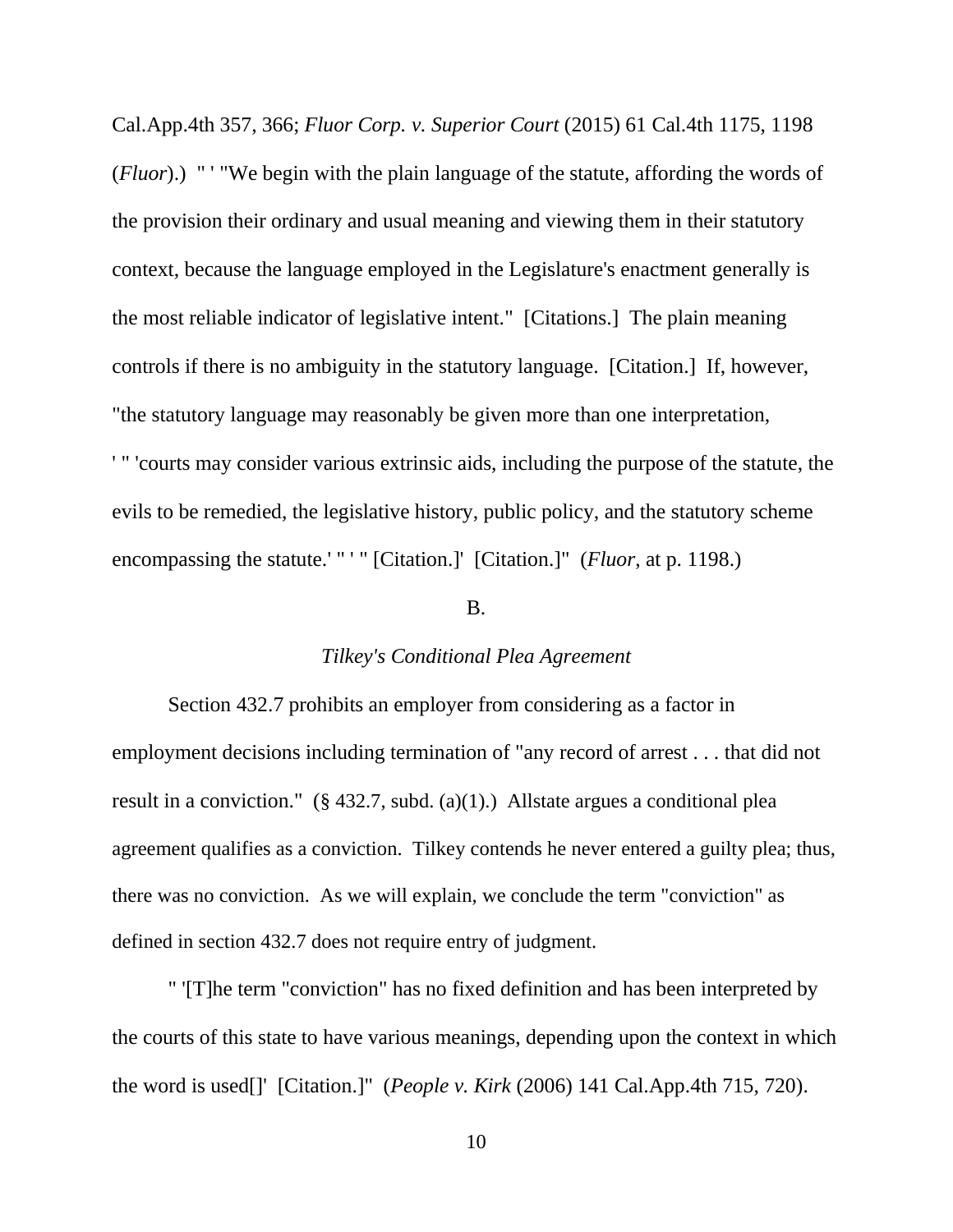Cal.App.4th 357, 366; *Fluor Corp. v. Superior Court* (2015) 61 Cal.4th 1175, 1198 (*Fluor*).) " ' "We begin with the plain language of the statute, affording the words of the provision their ordinary and usual meaning and viewing them in their statutory context, because the language employed in the Legislature's enactment generally is the most reliable indicator of legislative intent." [Citations.] The plain meaning controls if there is no ambiguity in the statutory language. [Citation.] If, however, "the statutory language may reasonably be given more than one interpretation, ' " 'courts may consider various extrinsic aids, including the purpose of the statute, the evils to be remedied, the legislative history, public policy, and the statutory scheme encompassing the statute.' " ' " [Citation.]' [Citation.]" (*Fluor*, at p. 1198.)

# B.

### *Tilkey's Conditional Plea Agreement*

Section 432.7 prohibits an employer from considering as a factor in employment decisions including termination of "any record of arrest . . . that did not result in a conviction."  $(\S 432.7, \text{subd.} (a)(1))$  Allstate argues a conditional plea agreement qualifies as a conviction. Tilkey contends he never entered a guilty plea; thus, there was no conviction. As we will explain, we conclude the term "conviction" as defined in section 432.7 does not require entry of judgment.

" '[T]he term "conviction" has no fixed definition and has been interpreted by the courts of this state to have various meanings, depending upon the context in which the word is used[]' [Citation.]" (*People v. Kirk* (2006) 141 Cal.App.4th 715, 720).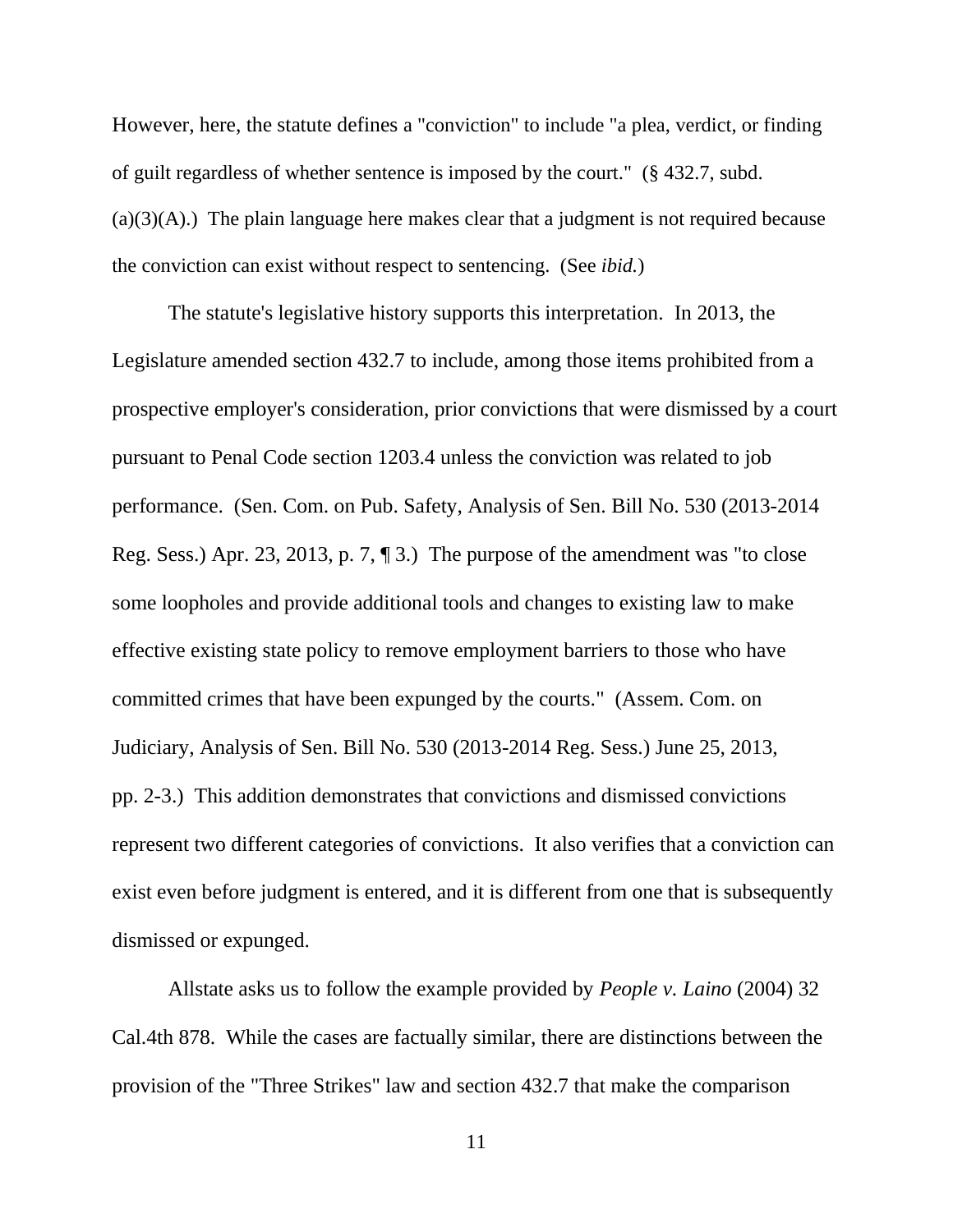However, here, the statute defines a "conviction" to include "a plea, verdict, or finding of guilt regardless of whether sentence is imposed by the court." (§ 432.7, subd.  $(a)(3)(A)$ .) The plain language here makes clear that a judgment is not required because the conviction can exist without respect to sentencing. (See *ibid.*)

The statute's legislative history supports this interpretation. In 2013, the Legislature amended section 432.7 to include, among those items prohibited from a prospective employer's consideration, prior convictions that were dismissed by a court pursuant to Penal Code section 1203.4 unless the conviction was related to job performance. (Sen. Com. on Pub. Safety, Analysis of Sen. Bill No. 530 (2013-2014 Reg. Sess.) Apr. 23, 2013, p. 7, ¶ 3.) The purpose of the amendment was "to close some loopholes and provide additional tools and changes to existing law to make effective existing state policy to remove employment barriers to those who have committed crimes that have been expunged by the courts." (Assem. Com. on Judiciary, Analysis of Sen. Bill No. 530 (2013-2014 Reg. Sess.) June 25, 2013, pp. 2-3.) This addition demonstrates that convictions and dismissed convictions represent two different categories of convictions. It also verifies that a conviction can exist even before judgment is entered, and it is different from one that is subsequently dismissed or expunged.

Allstate asks us to follow the example provided by *People v. Laino* (2004) 32 Cal.4th 878. While the cases are factually similar, there are distinctions between the provision of the "Three Strikes" law and section 432.7 that make the comparison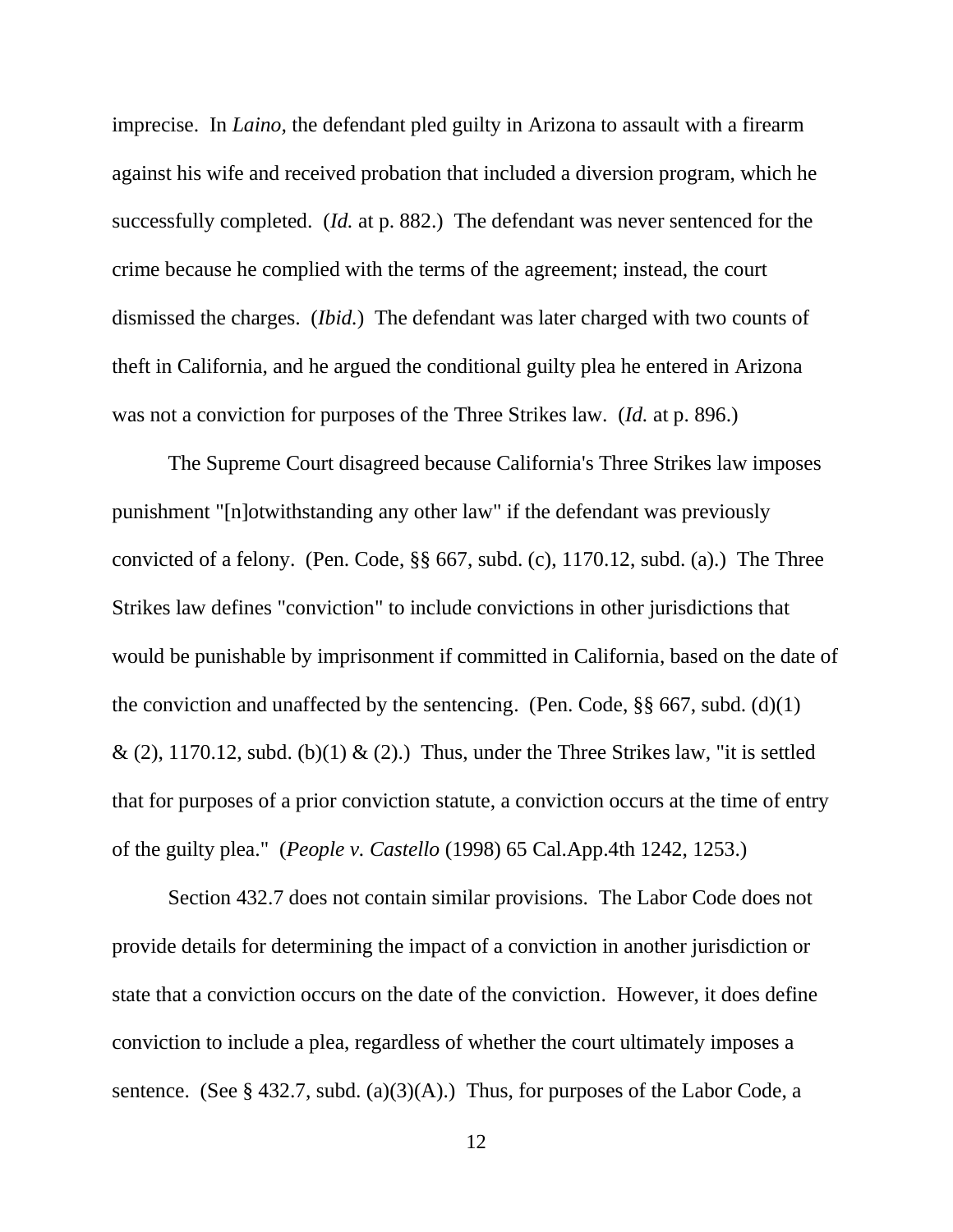imprecise. In *Laino,* the defendant pled guilty in Arizona to assault with a firearm against his wife and received probation that included a diversion program, which he successfully completed. (*Id.* at p. 882.) The defendant was never sentenced for the crime because he complied with the terms of the agreement; instead, the court dismissed the charges. (*Ibid.*) The defendant was later charged with two counts of theft in California, and he argued the conditional guilty plea he entered in Arizona was not a conviction for purposes of the Three Strikes law. (*Id.* at p. 896.)

The Supreme Court disagreed because California's Three Strikes law imposes punishment "[n]otwithstanding any other law" if the defendant was previously convicted of a felony. (Pen. Code, §§ 667, subd. (c), 1170.12, subd. (a).) The Three Strikes law defines "conviction" to include convictions in other jurisdictions that would be punishable by imprisonment if committed in California, based on the date of the conviction and unaffected by the sentencing. (Pen. Code,  $\S$ § 667, subd. (d)(1)  $\&$  (2), 1170.12, subd. (b)(1)  $\&$  (2).) Thus, under the Three Strikes law, "it is settled that for purposes of a prior conviction statute, a conviction occurs at the time of entry of the guilty plea." (*People v. Castello* (1998) 65 Cal.App.4th 1242, 1253.)

Section 432.7 does not contain similar provisions. The Labor Code does not provide details for determining the impact of a conviction in another jurisdiction or state that a conviction occurs on the date of the conviction. However, it does define conviction to include a plea, regardless of whether the court ultimately imposes a sentence. (See § 432.7, subd. (a)(3)(A).) Thus, for purposes of the Labor Code, a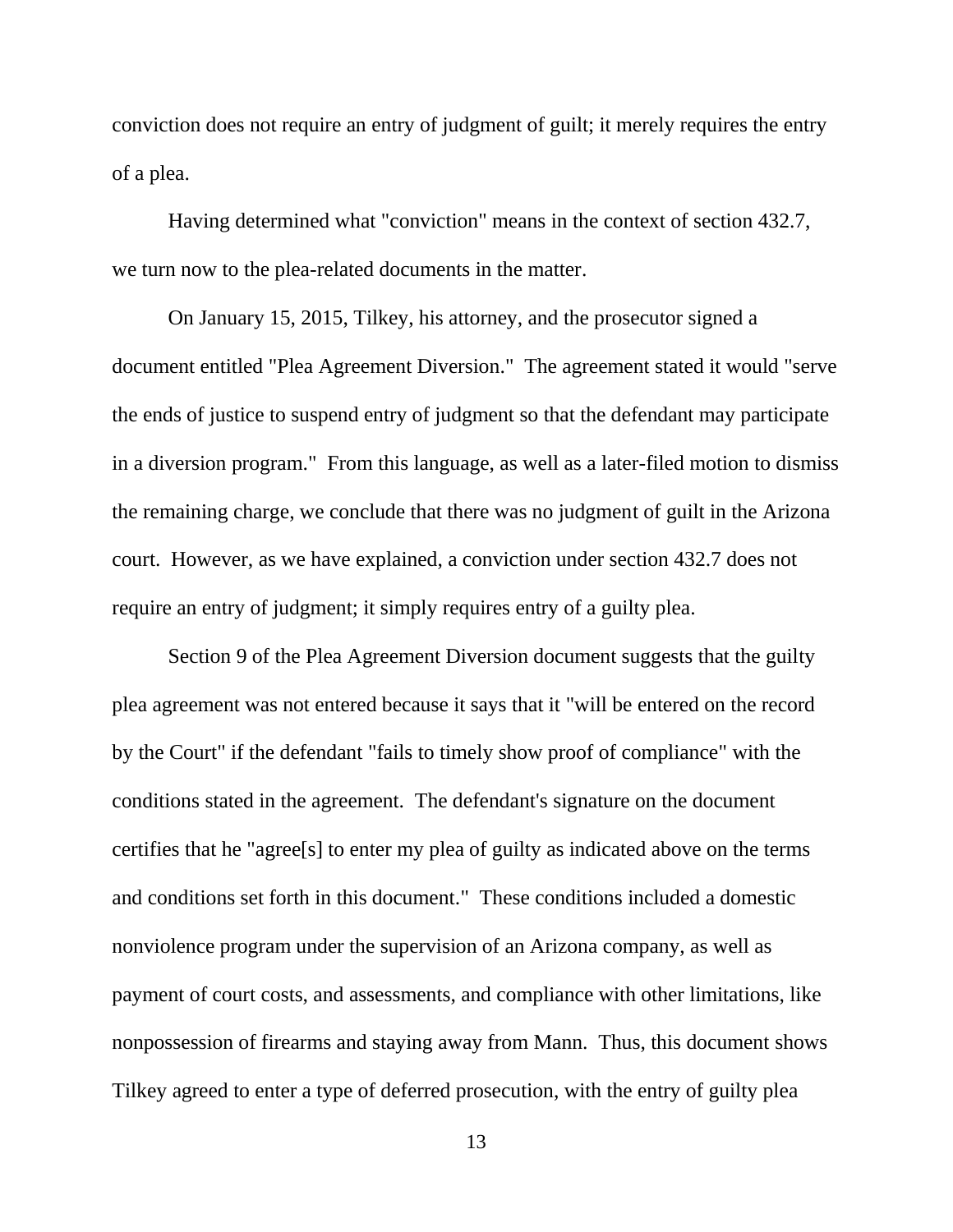conviction does not require an entry of judgment of guilt; it merely requires the entry of a plea.

Having determined what "conviction" means in the context of section 432.7, we turn now to the plea-related documents in the matter.

On January 15, 2015, Tilkey, his attorney, and the prosecutor signed a document entitled "Plea Agreement Diversion." The agreement stated it would "serve the ends of justice to suspend entry of judgment so that the defendant may participate in a diversion program." From this language, as well as a later-filed motion to dismiss the remaining charge, we conclude that there was no judgment of guilt in the Arizona court. However, as we have explained, a conviction under section 432.7 does not require an entry of judgment; it simply requires entry of a guilty plea.

Section 9 of the Plea Agreement Diversion document suggests that the guilty plea agreement was not entered because it says that it "will be entered on the record by the Court" if the defendant "fails to timely show proof of compliance" with the conditions stated in the agreement. The defendant's signature on the document certifies that he "agree[s] to enter my plea of guilty as indicated above on the terms and conditions set forth in this document." These conditions included a domestic nonviolence program under the supervision of an Arizona company, as well as payment of court costs, and assessments, and compliance with other limitations, like nonpossession of firearms and staying away from Mann. Thus, this document shows Tilkey agreed to enter a type of deferred prosecution, with the entry of guilty plea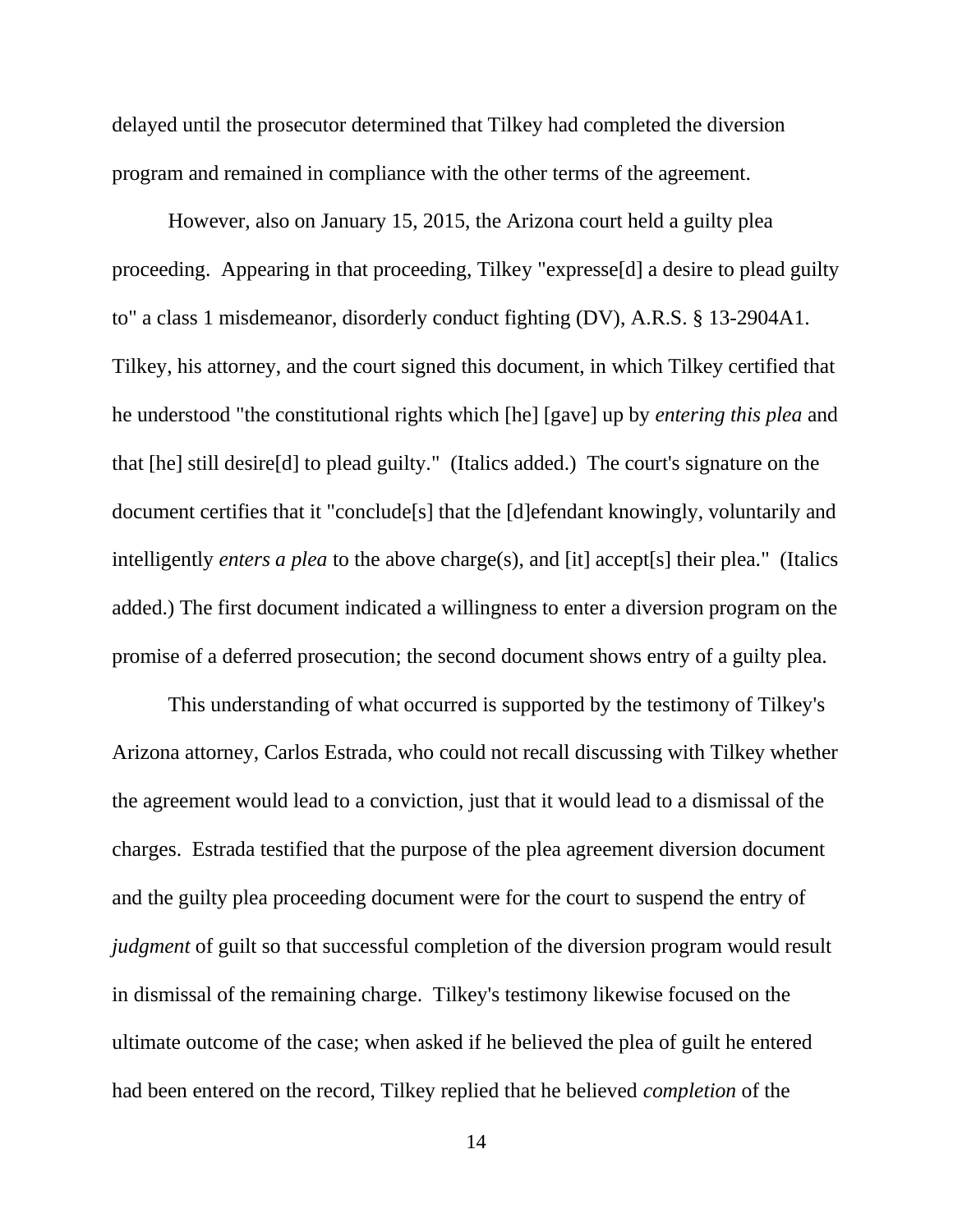delayed until the prosecutor determined that Tilkey had completed the diversion program and remained in compliance with the other terms of the agreement.

However, also on January 15, 2015, the Arizona court held a guilty plea proceeding. Appearing in that proceeding, Tilkey "expresse[d] a desire to plead guilty to" a class 1 misdemeanor, disorderly conduct fighting (DV), A.R.S. § 13-2904A1. Tilkey, his attorney, and the court signed this document, in which Tilkey certified that he understood "the constitutional rights which [he] [gave] up by *entering this plea* and that [he] still desire[d] to plead guilty." (Italics added.) The court's signature on the document certifies that it "conclude[s] that the [d]efendant knowingly, voluntarily and intelligently *enters a plea* to the above charge(s), and [it] accept[s] their plea." (Italics added.) The first document indicated a willingness to enter a diversion program on the promise of a deferred prosecution; the second document shows entry of a guilty plea.

This understanding of what occurred is supported by the testimony of Tilkey's Arizona attorney, Carlos Estrada, who could not recall discussing with Tilkey whether the agreement would lead to a conviction, just that it would lead to a dismissal of the charges. Estrada testified that the purpose of the plea agreement diversion document and the guilty plea proceeding document were for the court to suspend the entry of *judgment* of guilt so that successful completion of the diversion program would result in dismissal of the remaining charge. Tilkey's testimony likewise focused on the ultimate outcome of the case; when asked if he believed the plea of guilt he entered had been entered on the record, Tilkey replied that he believed *completion* of the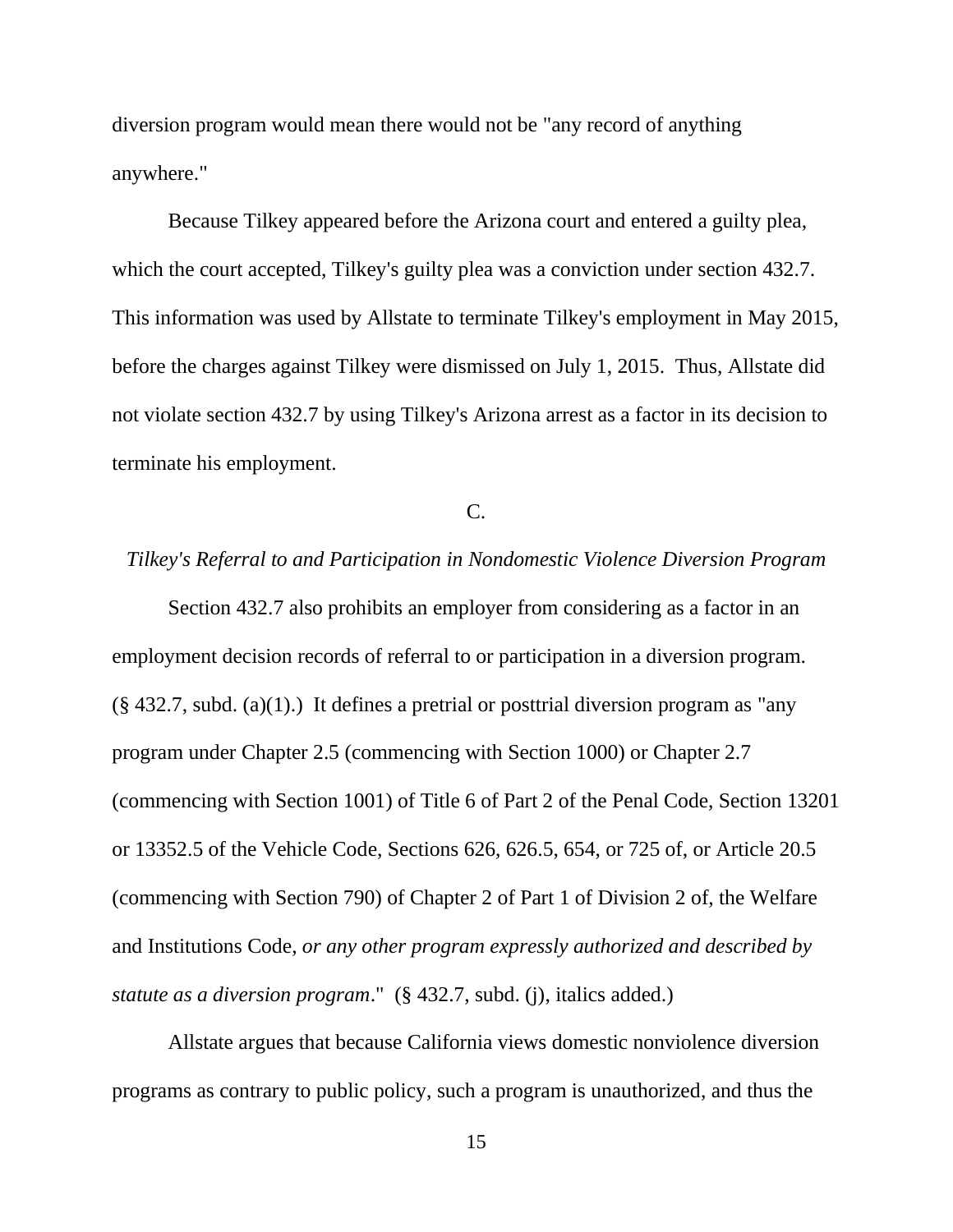diversion program would mean there would not be "any record of anything anywhere."

Because Tilkey appeared before the Arizona court and entered a guilty plea, which the court accepted, Tilkey's guilty plea was a conviction under section 432.7. This information was used by Allstate to terminate Tilkey's employment in May 2015, before the charges against Tilkey were dismissed on July 1, 2015. Thus, Allstate did not violate section 432.7 by using Tilkey's Arizona arrest as a factor in its decision to terminate his employment.

C.

# *Tilkey's Referral to and Participation in Nondomestic Violence Diversion Program*

Section 432.7 also prohibits an employer from considering as a factor in an employment decision records of referral to or participation in a diversion program. (§ 432.7, subd. (a)(1).) It defines a pretrial or posttrial diversion program as "any program under Chapter 2.5 (commencing with Section 1000) or Chapter 2.7 (commencing with Section 1001) of Title 6 of Part 2 of the Penal Code, Section 13201 or 13352.5 of the Vehicle Code, Sections 626, 626.5, 654, or 725 of, or Article 20.5 (commencing with Section 790) of Chapter 2 of Part 1 of Division 2 of, the Welfare and Institutions Code, *or any other program expressly authorized and described by statute as a diversion program*." (§ 432.7, subd. (j), italics added.)

Allstate argues that because California views domestic nonviolence diversion programs as contrary to public policy, such a program is unauthorized, and thus the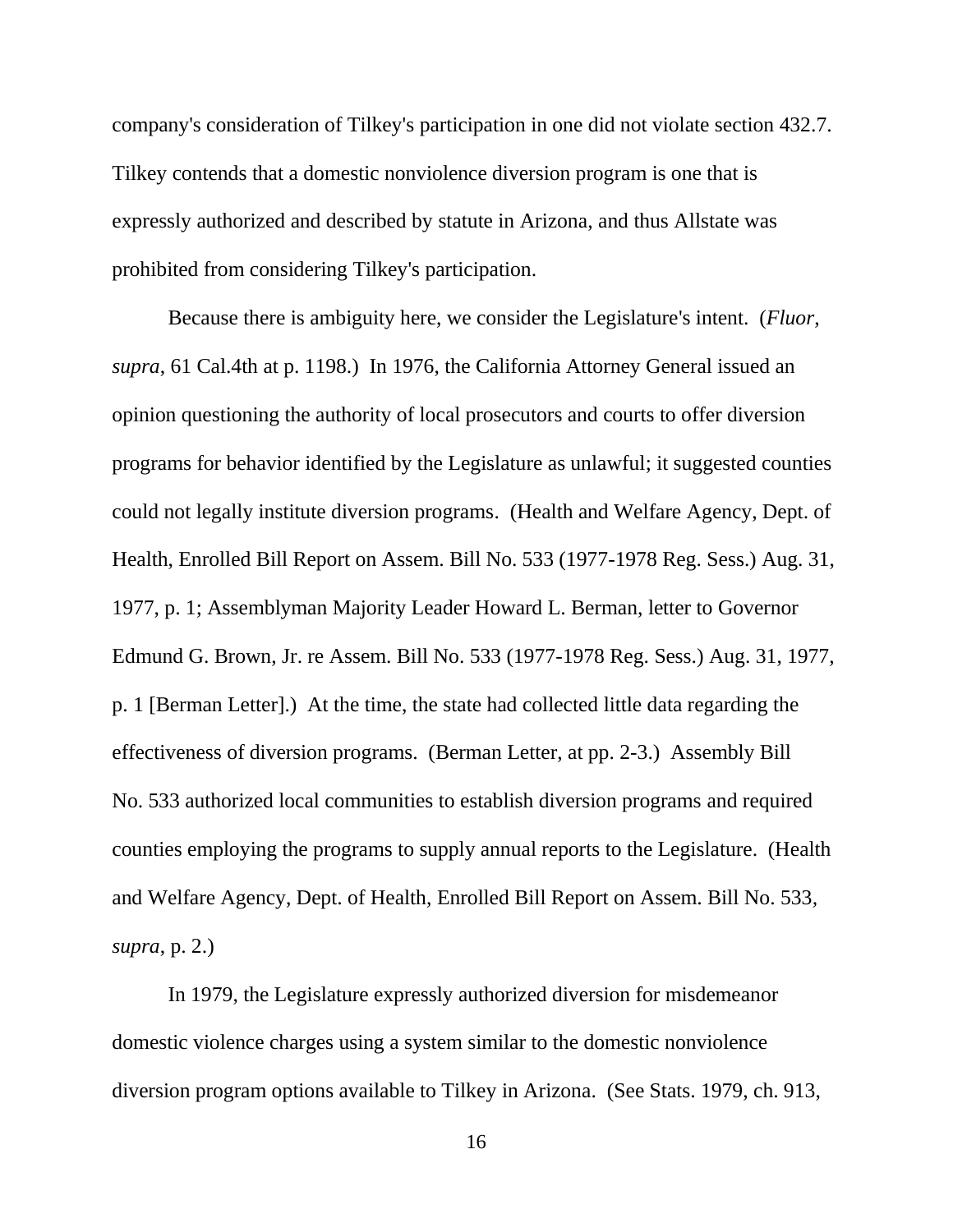company's consideration of Tilkey's participation in one did not violate section 432.7. Tilkey contends that a domestic nonviolence diversion program is one that is expressly authorized and described by statute in Arizona, and thus Allstate was prohibited from considering Tilkey's participation.

Because there is ambiguity here, we consider the Legislature's intent. (*Fluor*, *supra*, 61 Cal.4th at p. 1198.) In 1976, the California Attorney General issued an opinion questioning the authority of local prosecutors and courts to offer diversion programs for behavior identified by the Legislature as unlawful; it suggested counties could not legally institute diversion programs. (Health and Welfare Agency, Dept. of Health, Enrolled Bill Report on Assem. Bill No. 533 (1977-1978 Reg. Sess.) Aug. 31, 1977, p. 1; Assemblyman Majority Leader Howard L. Berman, letter to Governor Edmund G. Brown, Jr. re Assem. Bill No. 533 (1977-1978 Reg. Sess.) Aug. 31, 1977, p. 1 [Berman Letter].) At the time, the state had collected little data regarding the effectiveness of diversion programs. (Berman Letter, at pp. 2-3.) Assembly Bill No. 533 authorized local communities to establish diversion programs and required counties employing the programs to supply annual reports to the Legislature. (Health and Welfare Agency, Dept. of Health, Enrolled Bill Report on Assem. Bill No. 533*, supra*, p. 2.)

In 1979, the Legislature expressly authorized diversion for misdemeanor domestic violence charges using a system similar to the domestic nonviolence diversion program options available to Tilkey in Arizona. (See Stats. 1979, ch. 913,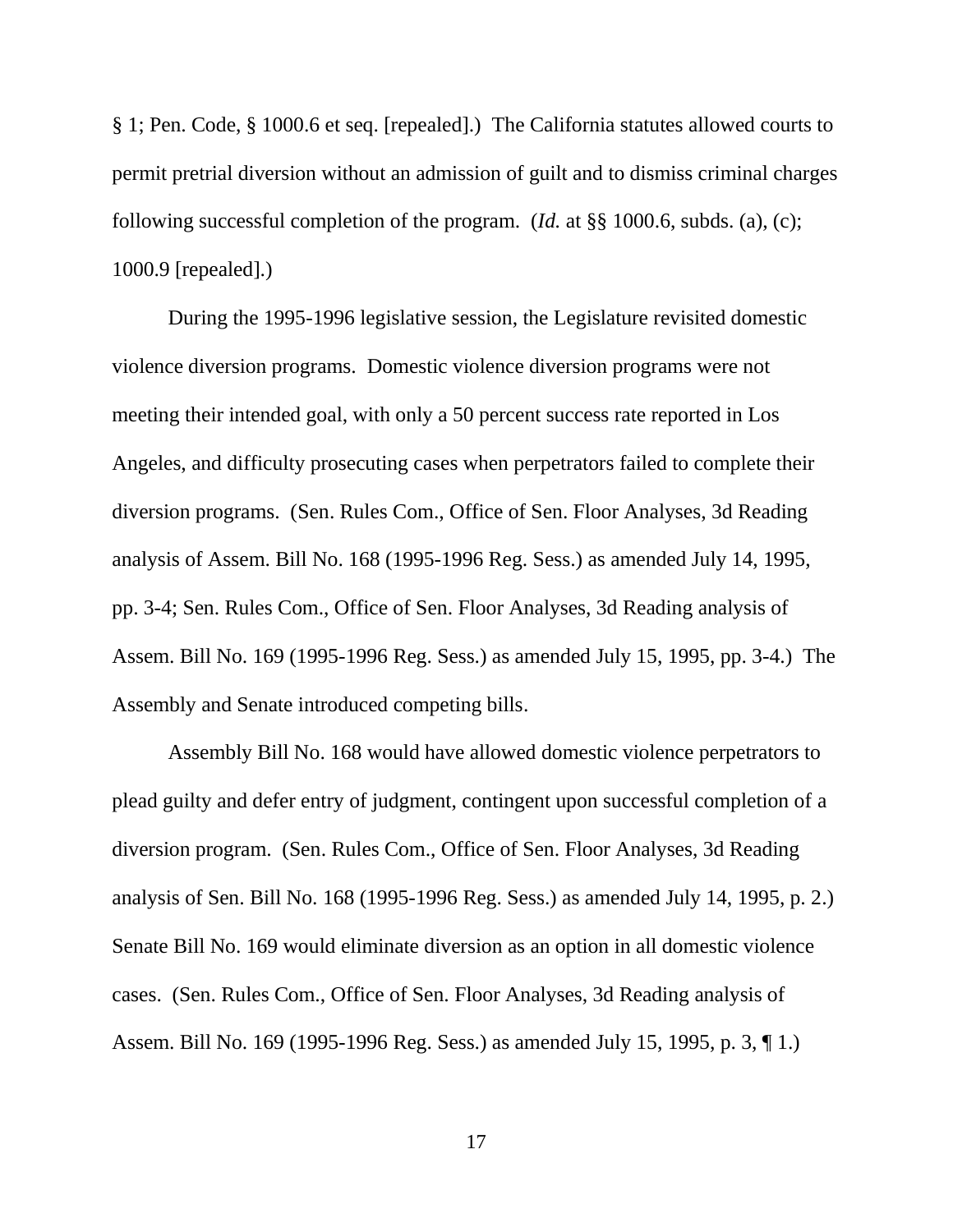§ 1; Pen. Code, § 1000.6 et seq. [repealed].) The California statutes allowed courts to permit pretrial diversion without an admission of guilt and to dismiss criminal charges following successful completion of the program. (*Id.* at §§ 1000.6, subds. (a), (c); 1000.9 [repealed].)

During the 1995-1996 legislative session, the Legislature revisited domestic violence diversion programs. Domestic violence diversion programs were not meeting their intended goal, with only a 50 percent success rate reported in Los Angeles, and difficulty prosecuting cases when perpetrators failed to complete their diversion programs. (Sen. Rules Com., Office of Sen. Floor Analyses, 3d Reading analysis of Assem. Bill No. 168 (1995-1996 Reg. Sess.) as amended July 14, 1995, pp. 3-4; Sen. Rules Com., Office of Sen. Floor Analyses, 3d Reading analysis of Assem. Bill No. 169 (1995-1996 Reg. Sess.) as amended July 15, 1995, pp. 3-4.) The Assembly and Senate introduced competing bills.

Assembly Bill No. 168 would have allowed domestic violence perpetrators to plead guilty and defer entry of judgment, contingent upon successful completion of a diversion program. (Sen. Rules Com., Office of Sen. Floor Analyses, 3d Reading analysis of Sen. Bill No. 168 (1995-1996 Reg. Sess.) as amended July 14, 1995, p. 2.) Senate Bill No. 169 would eliminate diversion as an option in all domestic violence cases. (Sen. Rules Com., Office of Sen. Floor Analyses, 3d Reading analysis of Assem. Bill No. 169 (1995-1996 Reg. Sess.) as amended July 15, 1995, p. 3, ¶ 1.)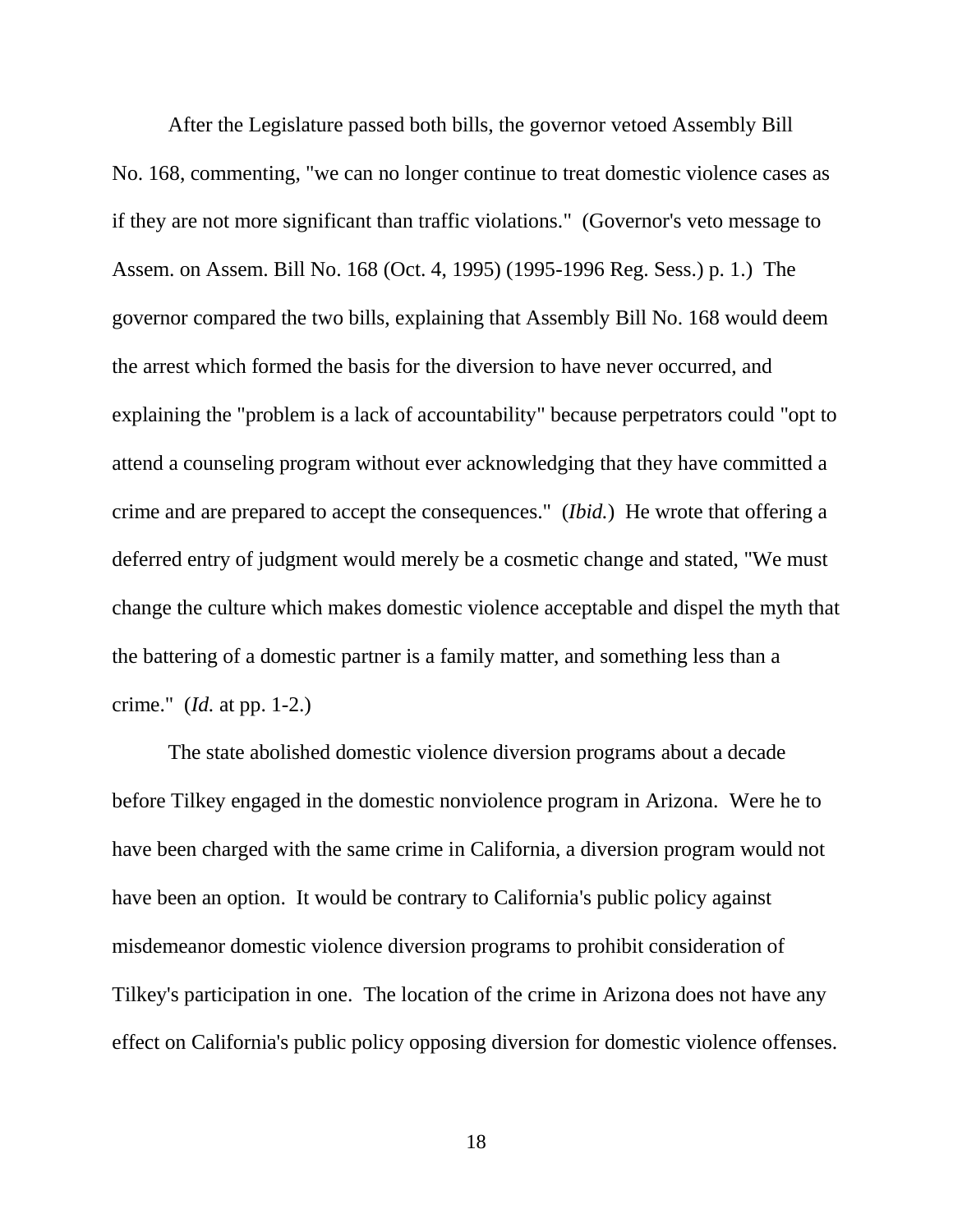After the Legislature passed both bills, the governor vetoed Assembly Bill No. 168, commenting, "we can no longer continue to treat domestic violence cases as if they are not more significant than traffic violations." (Governor's veto message to Assem. on Assem. Bill No. 168 (Oct. 4, 1995) (1995-1996 Reg. Sess.) p. 1.) The governor compared the two bills, explaining that Assembly Bill No. 168 would deem the arrest which formed the basis for the diversion to have never occurred, and explaining the "problem is a lack of accountability" because perpetrators could "opt to attend a counseling program without ever acknowledging that they have committed a crime and are prepared to accept the consequences." (*Ibid.*) He wrote that offering a deferred entry of judgment would merely be a cosmetic change and stated, "We must change the culture which makes domestic violence acceptable and dispel the myth that the battering of a domestic partner is a family matter, and something less than a crime." (*Id.* at pp. 1-2.)

The state abolished domestic violence diversion programs about a decade before Tilkey engaged in the domestic nonviolence program in Arizona. Were he to have been charged with the same crime in California, a diversion program would not have been an option. It would be contrary to California's public policy against misdemeanor domestic violence diversion programs to prohibit consideration of Tilkey's participation in one. The location of the crime in Arizona does not have any effect on California's public policy opposing diversion for domestic violence offenses.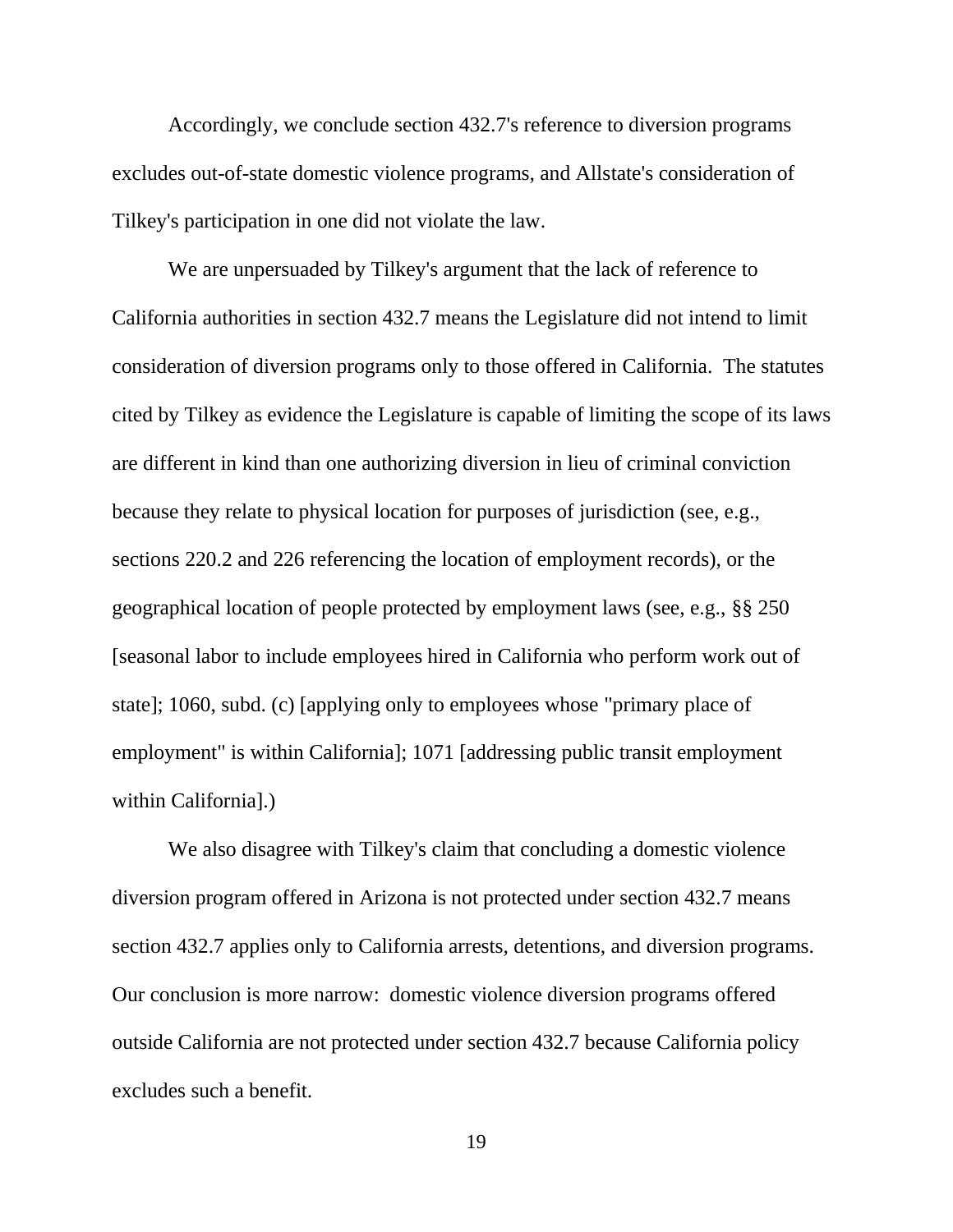Accordingly, we conclude section 432.7's reference to diversion programs excludes out-of-state domestic violence programs, and Allstate's consideration of Tilkey's participation in one did not violate the law.

We are unpersuaded by Tilkey's argument that the lack of reference to California authorities in section 432.7 means the Legislature did not intend to limit consideration of diversion programs only to those offered in California. The statutes cited by Tilkey as evidence the Legislature is capable of limiting the scope of its laws are different in kind than one authorizing diversion in lieu of criminal conviction because they relate to physical location for purposes of jurisdiction (see, e.g., sections 220.2 and 226 referencing the location of employment records), or the geographical location of people protected by employment laws (see, e.g., §§ 250 [seasonal labor to include employees hired in California who perform work out of state]; 1060, subd. (c) [applying only to employees whose "primary place of employment" is within California]; 1071 [addressing public transit employment within California].)

We also disagree with Tilkey's claim that concluding a domestic violence diversion program offered in Arizona is not protected under section 432.7 means section 432.7 applies only to California arrests, detentions, and diversion programs. Our conclusion is more narrow: domestic violence diversion programs offered outside California are not protected under section 432.7 because California policy excludes such a benefit.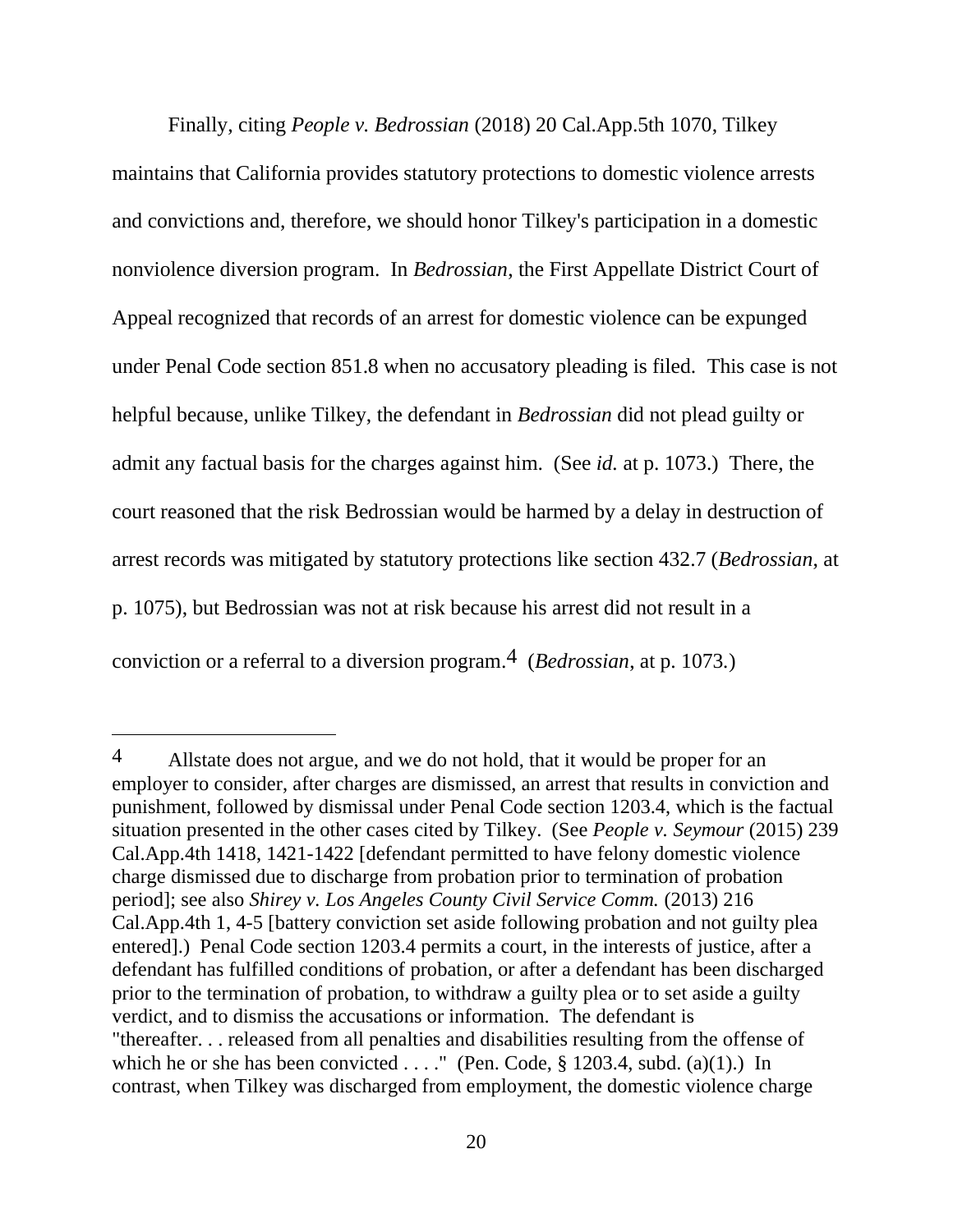Finally, citing *People v. Bedrossian* (2018) 20 Cal.App.5th 1070, Tilkey maintains that California provides statutory protections to domestic violence arrests and convictions and, therefore, we should honor Tilkey's participation in a domestic nonviolence diversion program. In *Bedrossian*, the First Appellate District Court of Appeal recognized that records of an arrest for domestic violence can be expunged under Penal Code section 851.8 when no accusatory pleading is filed. This case is not helpful because, unlike Tilkey, the defendant in *Bedrossian* did not plead guilty or admit any factual basis for the charges against him. (See *id.* at p. 1073.) There, the court reasoned that the risk Bedrossian would be harmed by a delay in destruction of arrest records was mitigated by statutory protections like section 432.7 (*Bedrossian*, at p. 1075), but Bedrossian was not at risk because his arrest did not result in a conviction or a referral to a diversion program.4 (*Bedrossian*, at p. 1073*.*)

 $\overline{a}$ 

<sup>4</sup> Allstate does not argue, and we do not hold, that it would be proper for an employer to consider, after charges are dismissed, an arrest that results in conviction and punishment, followed by dismissal under Penal Code section 1203.4, which is the factual situation presented in the other cases cited by Tilkey. (See *People v. Seymour* (2015) 239 Cal.App.4th 1418, 1421-1422 [defendant permitted to have felony domestic violence charge dismissed due to discharge from probation prior to termination of probation period]; see also *Shirey v. Los Angeles County Civil Service Comm.* (2013) 216 Cal.App.4th 1, 4-5 [battery conviction set aside following probation and not guilty plea entered].) Penal Code section 1203.4 permits a court, in the interests of justice, after a defendant has fulfilled conditions of probation, or after a defendant has been discharged prior to the termination of probation, to withdraw a guilty plea or to set aside a guilty verdict, and to dismiss the accusations or information. The defendant is "thereafter. . . released from all penalties and disabilities resulting from the offense of which he or she has been convicted  $\dots$ ." (Pen. Code, § 1203.4, subd. (a)(1).) In contrast, when Tilkey was discharged from employment, the domestic violence charge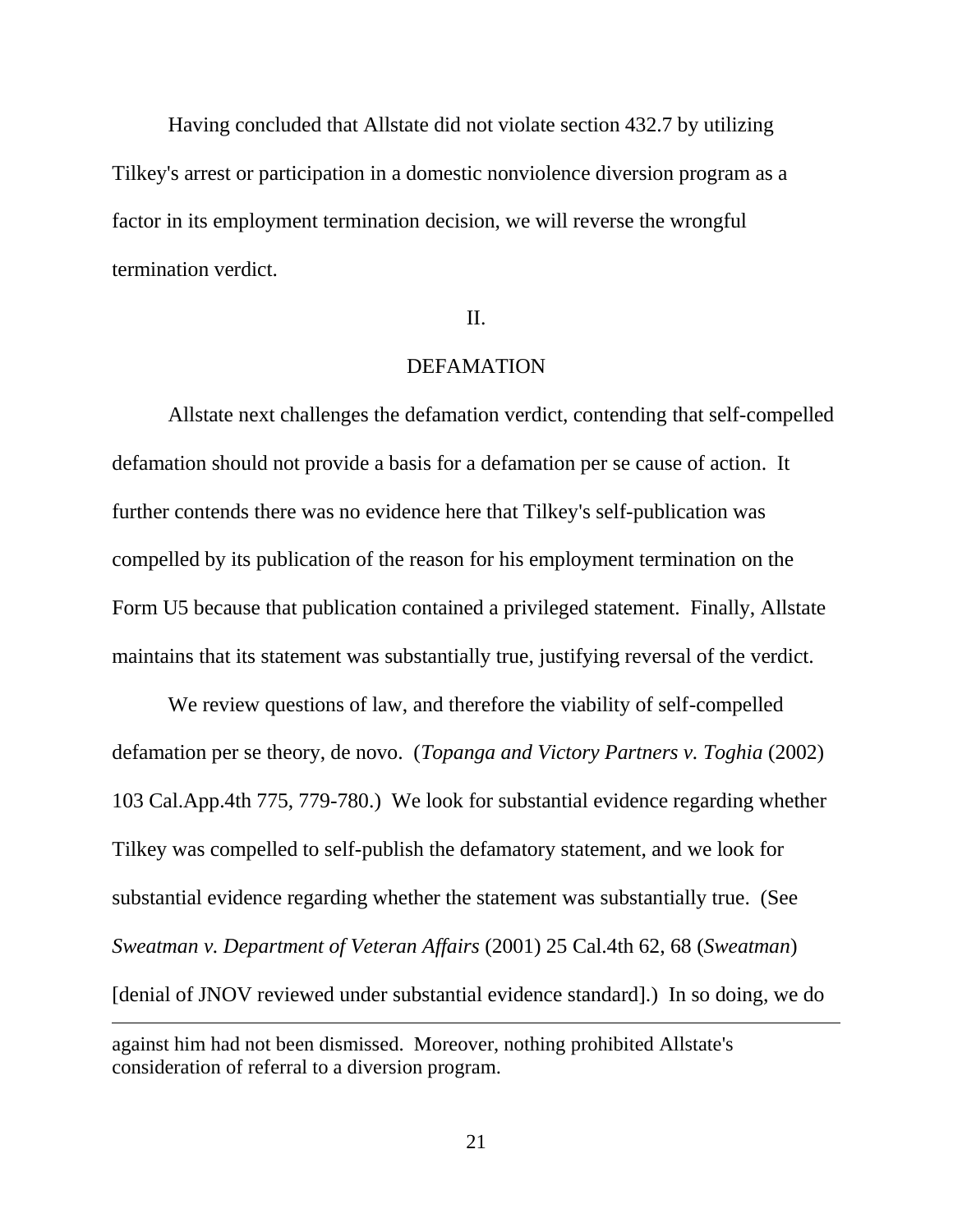Having concluded that Allstate did not violate section 432.7 by utilizing Tilkey's arrest or participation in a domestic nonviolence diversion program as a factor in its employment termination decision, we will reverse the wrongful termination verdict.

### II.

## DEFAMATION

Allstate next challenges the defamation verdict, contending that self-compelled defamation should not provide a basis for a defamation per se cause of action. It further contends there was no evidence here that Tilkey's self-publication was compelled by its publication of the reason for his employment termination on the Form U5 because that publication contained a privileged statement. Finally, Allstate maintains that its statement was substantially true, justifying reversal of the verdict.

We review questions of law, and therefore the viability of self-compelled defamation per se theory, de novo. (*Topanga and Victory Partners v. Toghia* (2002) 103 Cal.App.4th 775, 779-780.) We look for substantial evidence regarding whether Tilkey was compelled to self-publish the defamatory statement, and we look for substantial evidence regarding whether the statement was substantially true. (See *Sweatman v. Department of Veteran Affairs* (2001) 25 Cal.4th 62, 68 (*Sweatman*) [denial of JNOV reviewed under substantial evidence standard].) In so doing, we do

 $\overline{a}$ 

against him had not been dismissed. Moreover, nothing prohibited Allstate's consideration of referral to a diversion program.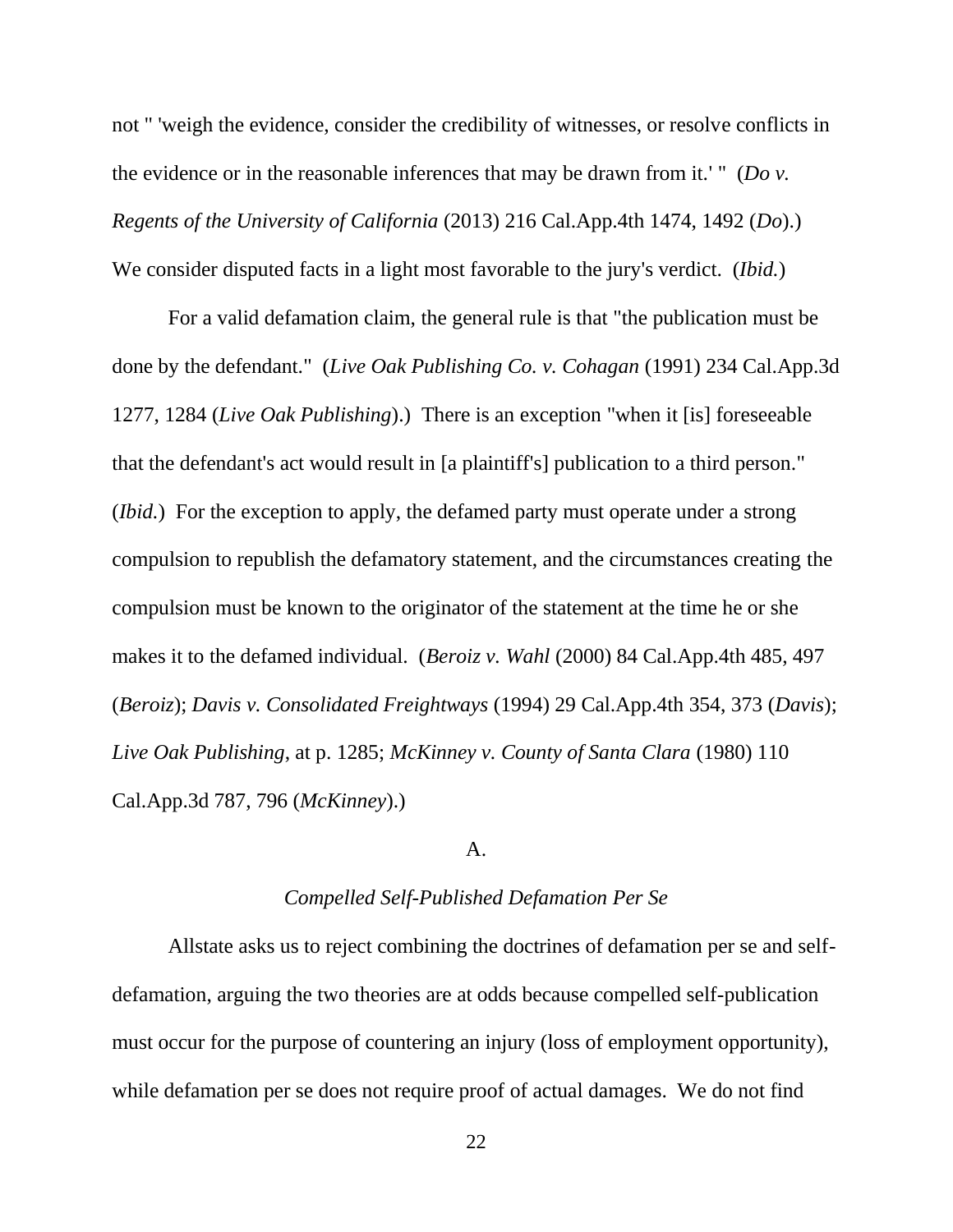not " 'weigh the evidence, consider the credibility of witnesses, or resolve conflicts in the evidence or in the reasonable inferences that may be drawn from it.' " (*Do v. Regents of the University of California* (2013) 216 Cal.App.4th 1474, 1492 (*Do*).) We consider disputed facts in a light most favorable to the jury's verdict. (*Ibid.*)

For a valid defamation claim, the general rule is that "the publication must be done by the defendant." (*Live Oak Publishing Co. v. Cohagan* (1991) 234 Cal.App.3d 1277, 1284 (*Live Oak Publishing*).) There is an exception "when it [is] foreseeable that the defendant's act would result in [a plaintiff's] publication to a third person." (*Ibid.*) For the exception to apply, the defamed party must operate under a strong compulsion to republish the defamatory statement, and the circumstances creating the compulsion must be known to the originator of the statement at the time he or she makes it to the defamed individual. (*Beroiz v. Wahl* (2000) 84 Cal.App.4th 485, 497 (*Beroiz*); *Davis v. Consolidated Freightways* (1994) 29 Cal.App.4th 354, 373 (*Davis*); *Live Oak Publishing*, at p. 1285; *McKinney v. County of Santa Clara* (1980) 110 Cal.App.3d 787, 796 (*McKinney*).)

### A.

### *Compelled Self-Published Defamation Per Se*

Allstate asks us to reject combining the doctrines of defamation per se and selfdefamation, arguing the two theories are at odds because compelled self-publication must occur for the purpose of countering an injury (loss of employment opportunity), while defamation per se does not require proof of actual damages. We do not find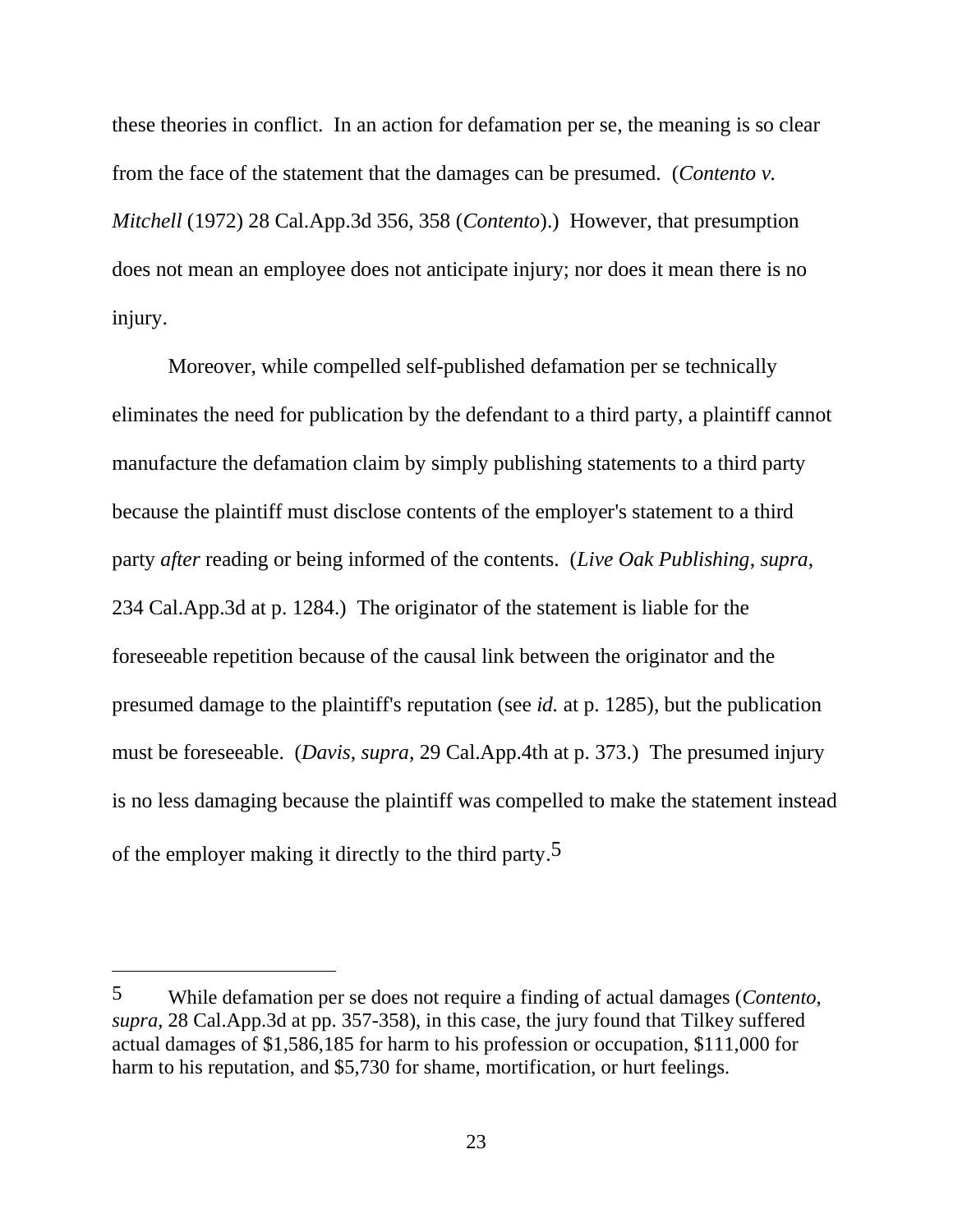these theories in conflict. In an action for defamation per se, the meaning is so clear from the face of the statement that the damages can be presumed. (*Contento v. Mitchell* (1972) 28 Cal.App.3d 356, 358 (*Contento*).) However, that presumption does not mean an employee does not anticipate injury; nor does it mean there is no injury.

Moreover, while compelled self-published defamation per se technically eliminates the need for publication by the defendant to a third party, a plaintiff cannot manufacture the defamation claim by simply publishing statements to a third party because the plaintiff must disclose contents of the employer's statement to a third party *after* reading or being informed of the contents. (*Live Oak Publishing*, *supra*, 234 Cal.App.3d at p. 1284.) The originator of the statement is liable for the foreseeable repetition because of the causal link between the originator and the presumed damage to the plaintiff's reputation (see *id.* at p. 1285), but the publication must be foreseeable. (*Davis*, *supra*, 29 Cal.App.4th at p. 373.) The presumed injury is no less damaging because the plaintiff was compelled to make the statement instead of the employer making it directly to the third party.5

<sup>5</sup> While defamation per se does not require a finding of actual damages (*Contento*, *supra*, 28 Cal.App.3d at pp. 357-358), in this case, the jury found that Tilkey suffered actual damages of \$1,586,185 for harm to his profession or occupation, \$111,000 for harm to his reputation, and \$5,730 for shame, mortification, or hurt feelings.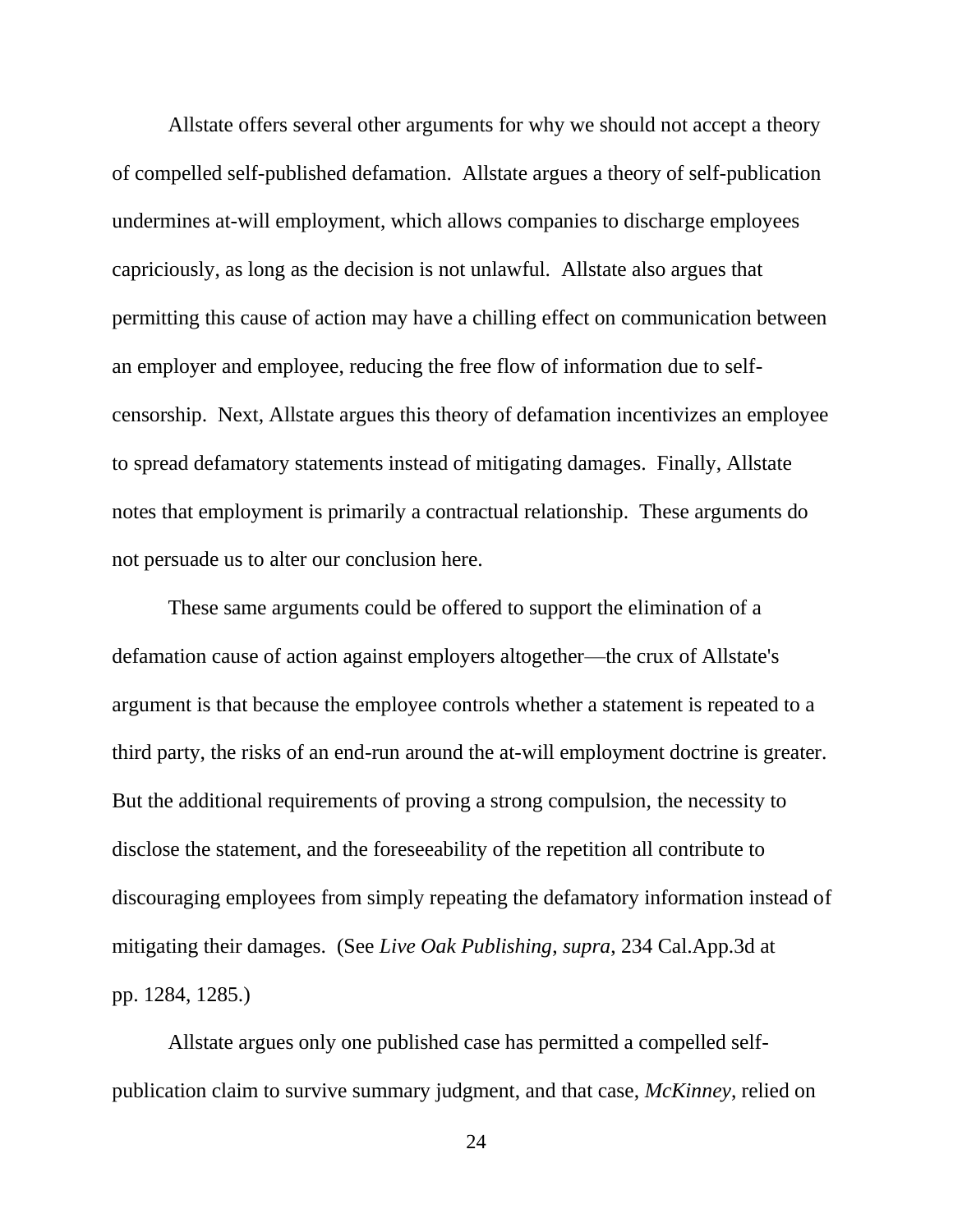Allstate offers several other arguments for why we should not accept a theory of compelled self-published defamation. Allstate argues a theory of self-publication undermines at-will employment, which allows companies to discharge employees capriciously, as long as the decision is not unlawful. Allstate also argues that permitting this cause of action may have a chilling effect on communication between an employer and employee, reducing the free flow of information due to selfcensorship. Next, Allstate argues this theory of defamation incentivizes an employee to spread defamatory statements instead of mitigating damages. Finally, Allstate notes that employment is primarily a contractual relationship. These arguments do not persuade us to alter our conclusion here.

These same arguments could be offered to support the elimination of a defamation cause of action against employers altogether—the crux of Allstate's argument is that because the employee controls whether a statement is repeated to a third party, the risks of an end-run around the at-will employment doctrine is greater. But the additional requirements of proving a strong compulsion, the necessity to disclose the statement, and the foreseeability of the repetition all contribute to discouraging employees from simply repeating the defamatory information instead of mitigating their damages. (See *Live Oak Publishing*, *supra*, 234 Cal.App.3d at pp. 1284, 1285.)

Allstate argues only one published case has permitted a compelled selfpublication claim to survive summary judgment, and that case, *McKinney*, relied on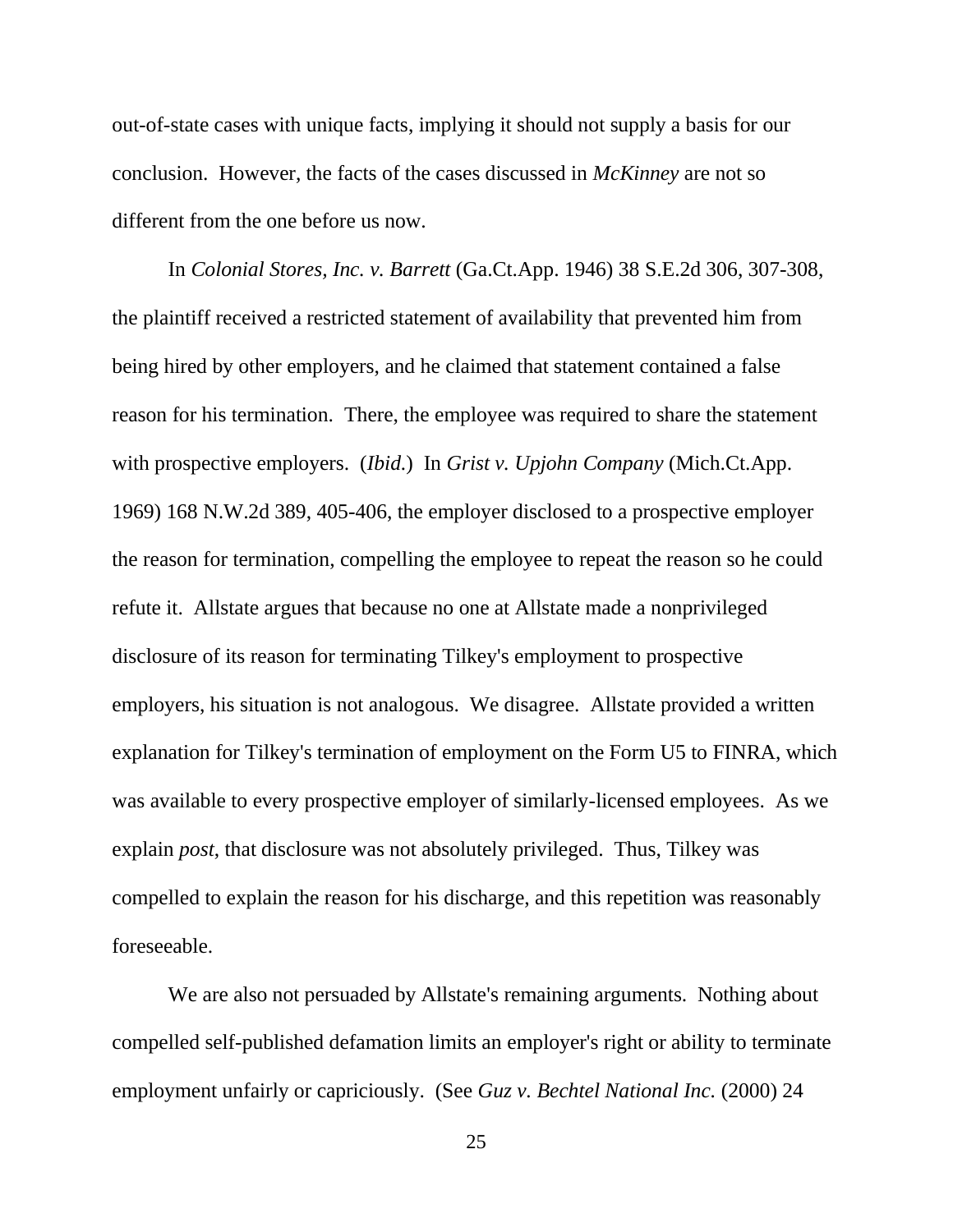out-of-state cases with unique facts, implying it should not supply a basis for our conclusion. However, the facts of the cases discussed in *McKinney* are not so different from the one before us now.

In *Colonial Stores, Inc. v. Barrett* (Ga.Ct.App. 1946) 38 S.E.2d 306, 307-308, the plaintiff received a restricted statement of availability that prevented him from being hired by other employers, and he claimed that statement contained a false reason for his termination. There, the employee was required to share the statement with prospective employers. (*Ibid.*) In *Grist v. Upjohn Company* (Mich.Ct.App. 1969) 168 N.W.2d 389, 405-406, the employer disclosed to a prospective employer the reason for termination, compelling the employee to repeat the reason so he could refute it. Allstate argues that because no one at Allstate made a nonprivileged disclosure of its reason for terminating Tilkey's employment to prospective employers, his situation is not analogous. We disagree. Allstate provided a written explanation for Tilkey's termination of employment on the Form U5 to FINRA, which was available to every prospective employer of similarly-licensed employees. As we explain *post*, that disclosure was not absolutely privileged. Thus, Tilkey was compelled to explain the reason for his discharge, and this repetition was reasonably foreseeable.

We are also not persuaded by Allstate's remaining arguments. Nothing about compelled self-published defamation limits an employer's right or ability to terminate employment unfairly or capriciously. (See *Guz v. Bechtel National Inc.* (2000) 24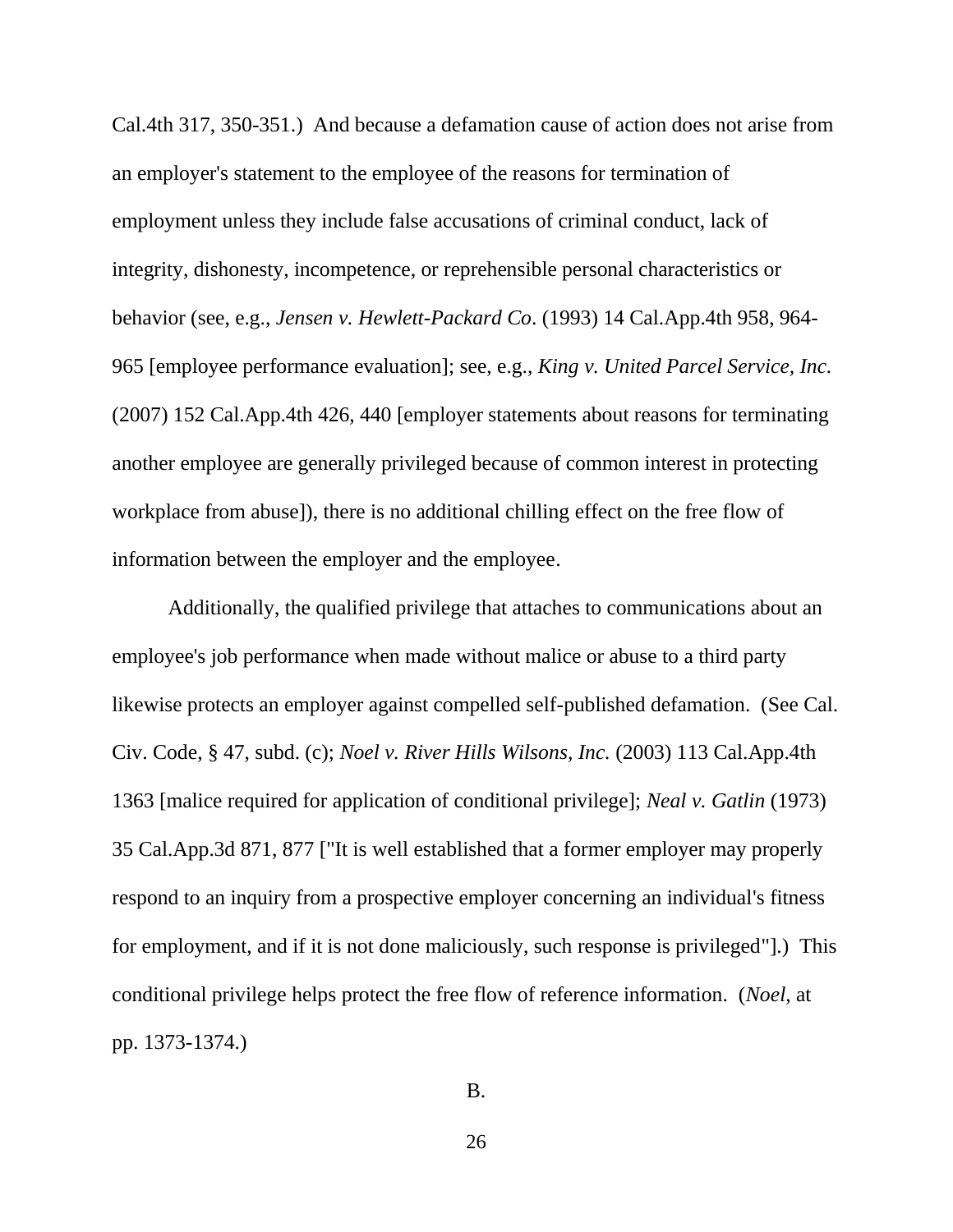Cal.4th 317, 350-351.) And because a defamation cause of action does not arise from an employer's statement to the employee of the reasons for termination of employment unless they include false accusations of criminal conduct, lack of integrity, dishonesty, incompetence, or reprehensible personal characteristics or behavior (see, e.g., *Jensen v. Hewlett-Packard Co*. (1993) 14 Cal.App.4th 958, 964- 965 [employee performance evaluation]; see, e.g., *King v. United Parcel Service, Inc.*  (2007) 152 Cal.App.4th 426, 440 [employer statements about reasons for terminating another employee are generally privileged because of common interest in protecting workplace from abuse]), there is no additional chilling effect on the free flow of information between the employer and the employee.

Additionally, the qualified privilege that attaches to communications about an employee's job performance when made without malice or abuse to a third party likewise protects an employer against compelled self-published defamation. (See Cal. Civ. Code, § 47, subd. (c); *Noel v. River Hills Wilsons, Inc.* (2003) 113 Cal.App.4th 1363 [malice required for application of conditional privilege]; *Neal v. Gatlin* (1973) 35 Cal.App.3d 871, 877 ["It is well established that a former employer may properly respond to an inquiry from a prospective employer concerning an individual's fitness for employment, and if it is not done maliciously, such response is privileged"].) This conditional privilege helps protect the free flow of reference information. (*Noel*, at pp. 1373-1374.)

B.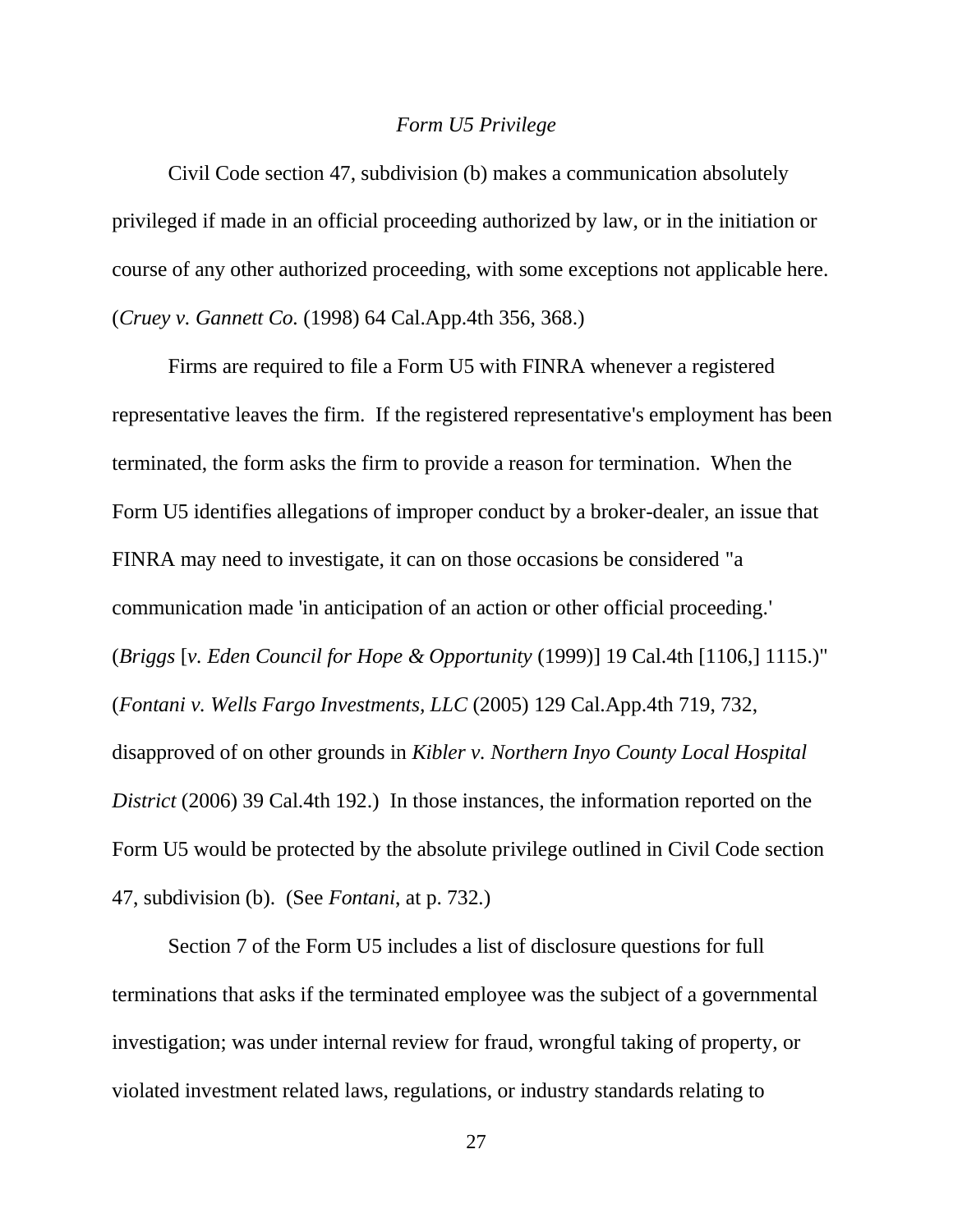#### *Form U5 Privilege*

Civil Code section 47, subdivision (b) makes a communication absolutely privileged if made in an official proceeding authorized by law, or in the initiation or course of any other authorized proceeding, with some exceptions not applicable here. (*Cruey v. Gannett Co.* (1998) 64 Cal.App.4th 356, 368.)

Firms are required to file a Form U5 with FINRA whenever a registered representative leaves the firm. If the registered representative's employment has been terminated, the form asks the firm to provide a reason for termination. When the Form U5 identifies allegations of improper conduct by a broker-dealer, an issue that FINRA may need to investigate, it can on those occasions be considered "a communication made 'in anticipation of an action or other official proceeding.' (*Briggs* [*v. Eden Council for Hope & Opportunity* (1999)] 19 Cal.4th [1106,] 1115.)" (*Fontani v. Wells Fargo Investments, LLC* (2005) 129 Cal.App.4th 719, 732, disapproved of on other grounds in *Kibler v. Northern Inyo County Local Hospital District* (2006) 39 Cal.4th 192.) In those instances, the information reported on the Form U5 would be protected by the absolute privilege outlined in Civil Code section 47, subdivision (b). (See *Fontani*, at p. 732*.*)

Section 7 of the Form U5 includes a list of disclosure questions for full terminations that asks if the terminated employee was the subject of a governmental investigation; was under internal review for fraud, wrongful taking of property, or violated investment related laws, regulations, or industry standards relating to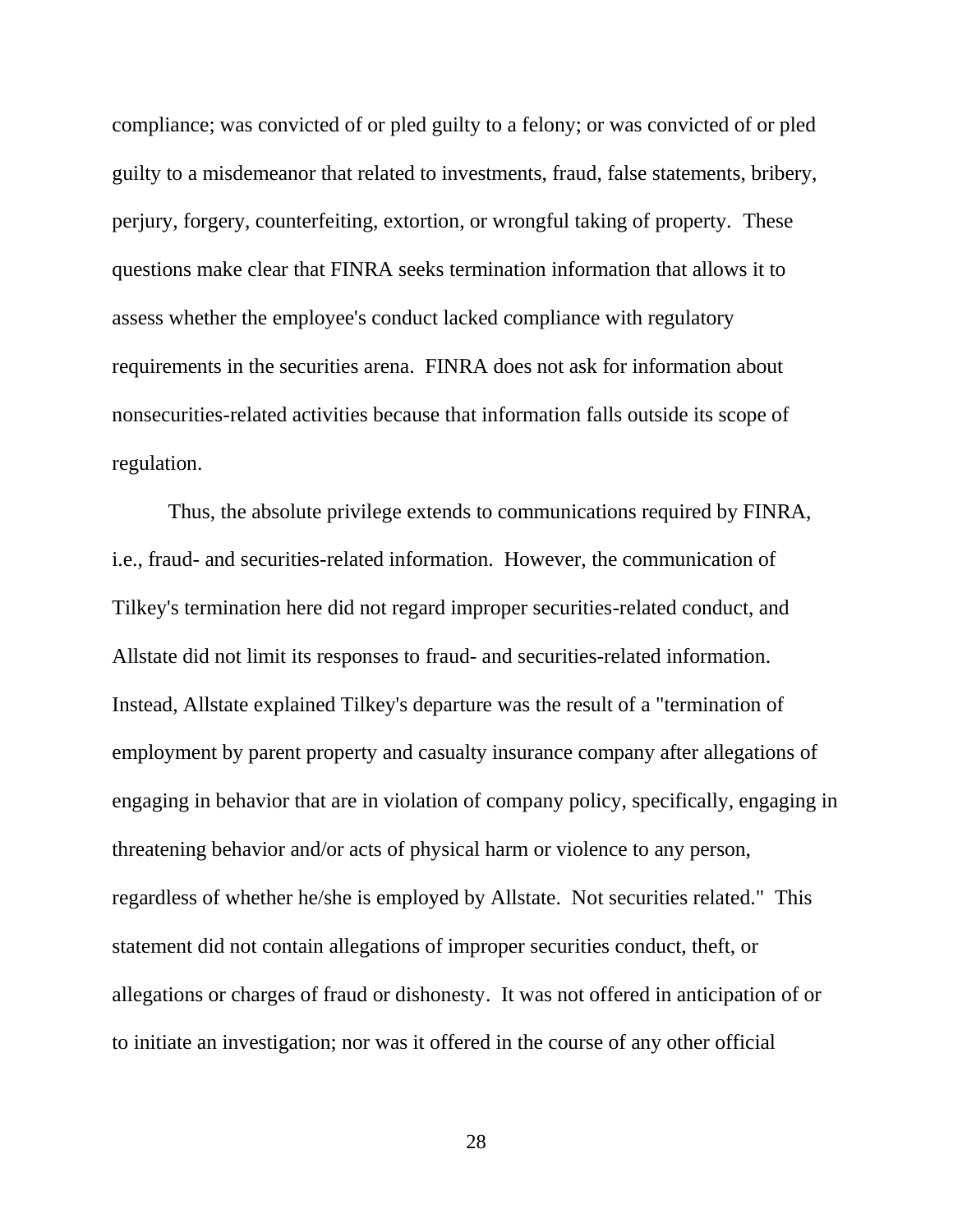compliance; was convicted of or pled guilty to a felony; or was convicted of or pled guilty to a misdemeanor that related to investments, fraud, false statements, bribery, perjury, forgery, counterfeiting, extortion, or wrongful taking of property. These questions make clear that FINRA seeks termination information that allows it to assess whether the employee's conduct lacked compliance with regulatory requirements in the securities arena. FINRA does not ask for information about nonsecurities-related activities because that information falls outside its scope of regulation.

Thus, the absolute privilege extends to communications required by FINRA, i.e., fraud- and securities-related information. However, the communication of Tilkey's termination here did not regard improper securities-related conduct, and Allstate did not limit its responses to fraud- and securities-related information. Instead, Allstate explained Tilkey's departure was the result of a "termination of employment by parent property and casualty insurance company after allegations of engaging in behavior that are in violation of company policy, specifically, engaging in threatening behavior and/or acts of physical harm or violence to any person, regardless of whether he/she is employed by Allstate. Not securities related." This statement did not contain allegations of improper securities conduct, theft, or allegations or charges of fraud or dishonesty. It was not offered in anticipation of or to initiate an investigation; nor was it offered in the course of any other official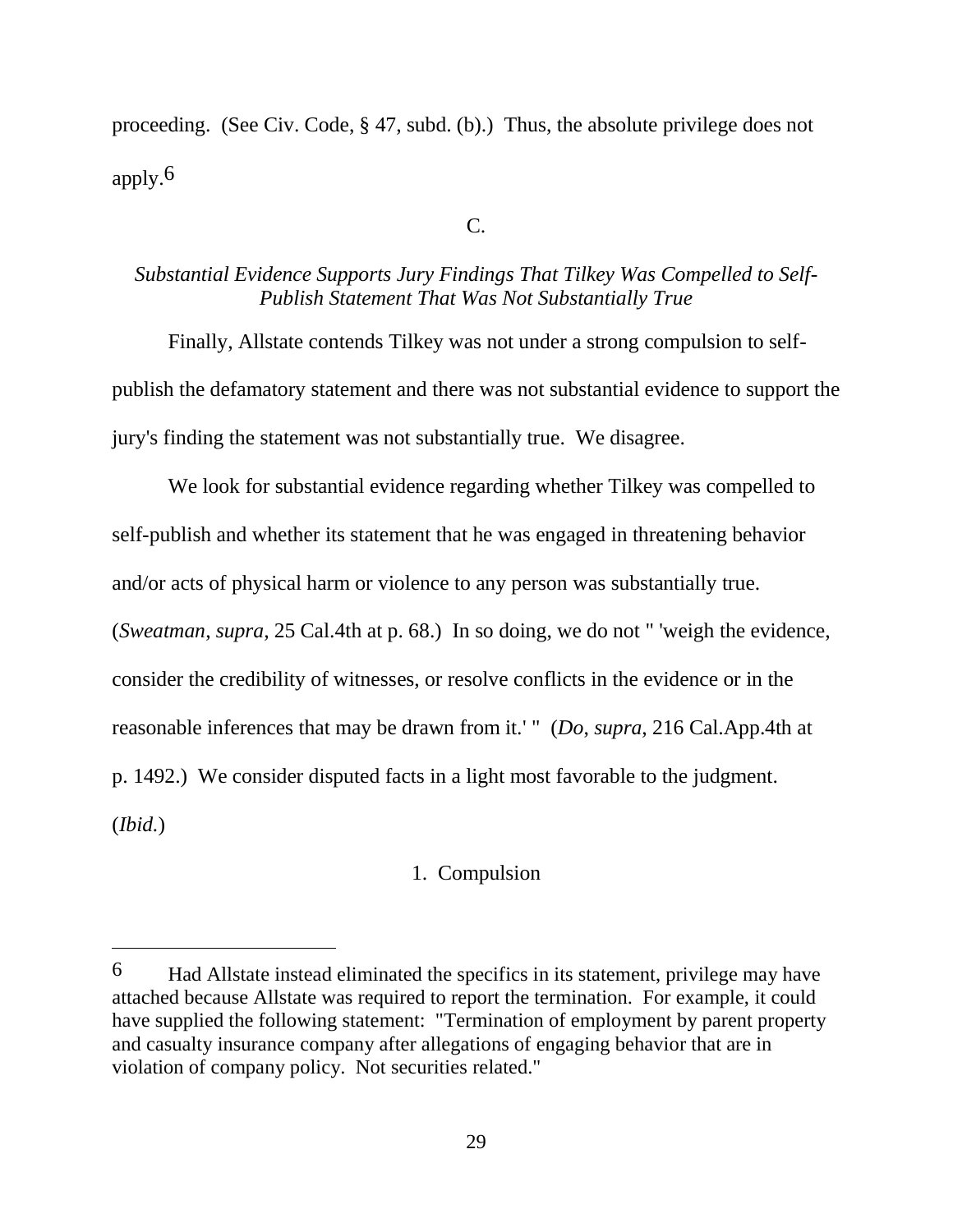proceeding. (See Civ. Code, § 47, subd. (b).) Thus, the absolute privilege does not apply.6

C.

# *Substantial Evidence Supports Jury Findings That Tilkey Was Compelled to Self-Publish Statement That Was Not Substantially True*

Finally, Allstate contends Tilkey was not under a strong compulsion to selfpublish the defamatory statement and there was not substantial evidence to support the jury's finding the statement was not substantially true. We disagree.

We look for substantial evidence regarding whether Tilkey was compelled to self-publish and whether its statement that he was engaged in threatening behavior and/or acts of physical harm or violence to any person was substantially true. (*Sweatman*, *supra*, 25 Cal.4th at p. 68.) In so doing, we do not " 'weigh the evidence, consider the credibility of witnesses, or resolve conflicts in the evidence or in the reasonable inferences that may be drawn from it.' " (*Do*, *supra*, 216 Cal.App.4th at p. 1492.) We consider disputed facts in a light most favorable to the judgment. (*Ibid.*)

# 1. Compulsion

 $\overline{a}$ 

<sup>6</sup> Had Allstate instead eliminated the specifics in its statement, privilege may have attached because Allstate was required to report the termination. For example, it could have supplied the following statement: "Termination of employment by parent property and casualty insurance company after allegations of engaging behavior that are in violation of company policy. Not securities related."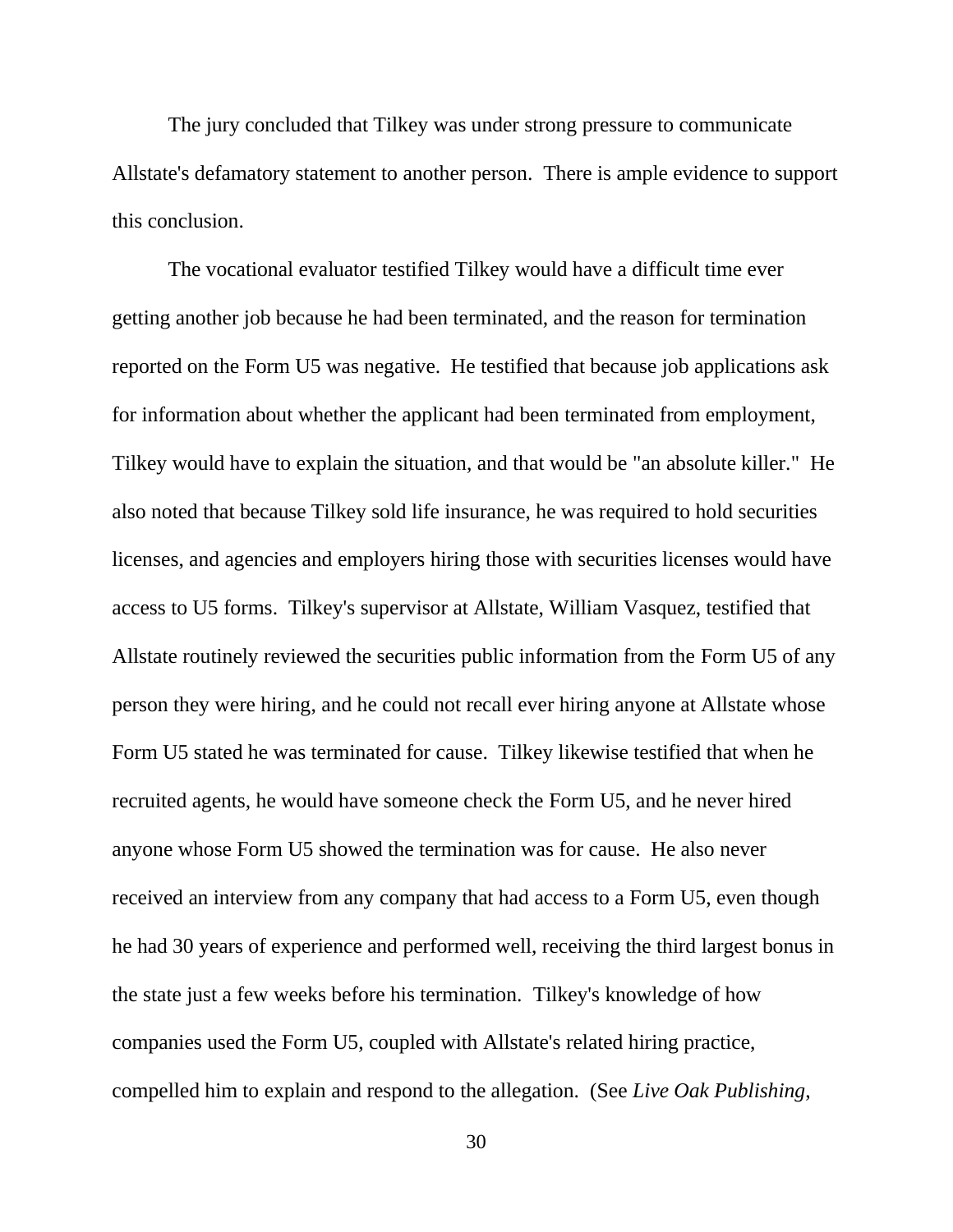The jury concluded that Tilkey was under strong pressure to communicate Allstate's defamatory statement to another person. There is ample evidence to support this conclusion.

The vocational evaluator testified Tilkey would have a difficult time ever getting another job because he had been terminated, and the reason for termination reported on the Form U5 was negative. He testified that because job applications ask for information about whether the applicant had been terminated from employment, Tilkey would have to explain the situation, and that would be "an absolute killer." He also noted that because Tilkey sold life insurance, he was required to hold securities licenses, and agencies and employers hiring those with securities licenses would have access to U5 forms. Tilkey's supervisor at Allstate, William Vasquez, testified that Allstate routinely reviewed the securities public information from the Form U5 of any person they were hiring, and he could not recall ever hiring anyone at Allstate whose Form U5 stated he was terminated for cause. Tilkey likewise testified that when he recruited agents, he would have someone check the Form U5, and he never hired anyone whose Form U5 showed the termination was for cause. He also never received an interview from any company that had access to a Form U5, even though he had 30 years of experience and performed well, receiving the third largest bonus in the state just a few weeks before his termination. Tilkey's knowledge of how companies used the Form U5, coupled with Allstate's related hiring practice, compelled him to explain and respond to the allegation. (See *Live Oak Publishing*,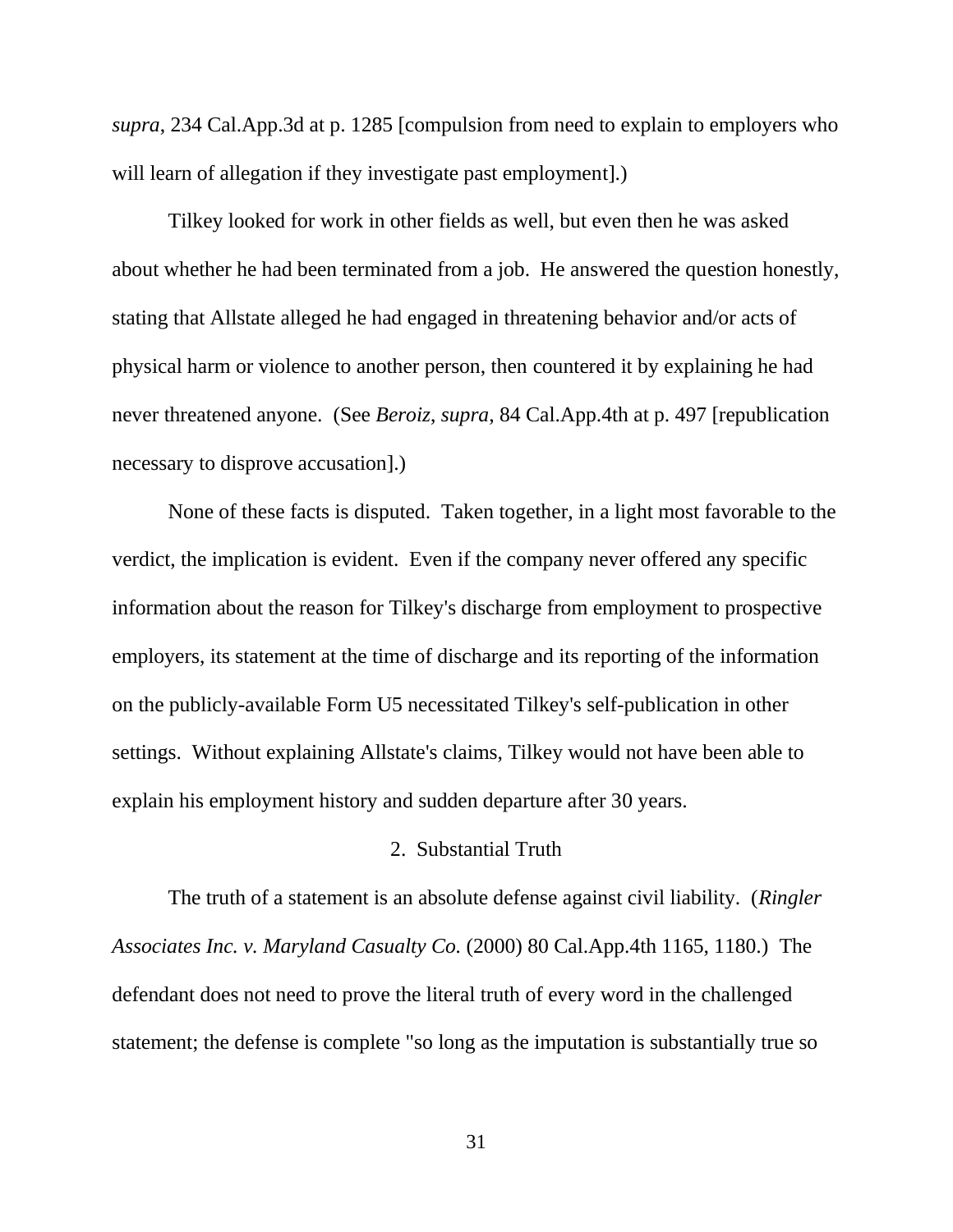*supra*, 234 Cal.App.3d at p. 1285 [compulsion from need to explain to employers who will learn of allegation if they investigate past employment].)

Tilkey looked for work in other fields as well, but even then he was asked about whether he had been terminated from a job. He answered the question honestly, stating that Allstate alleged he had engaged in threatening behavior and/or acts of physical harm or violence to another person, then countered it by explaining he had never threatened anyone. (See *Beroiz*, *supra*, 84 Cal.App.4th at p. 497 [republication necessary to disprove accusation].)

None of these facts is disputed. Taken together, in a light most favorable to the verdict, the implication is evident. Even if the company never offered any specific information about the reason for Tilkey's discharge from employment to prospective employers, its statement at the time of discharge and its reporting of the information on the publicly-available Form U5 necessitated Tilkey's self-publication in other settings. Without explaining Allstate's claims, Tilkey would not have been able to explain his employment history and sudden departure after 30 years.

# 2. Substantial Truth

The truth of a statement is an absolute defense against civil liability. (*Ringler Associates Inc. v. Maryland Casualty Co.* (2000) 80 Cal.App.4th 1165, 1180.) The defendant does not need to prove the literal truth of every word in the challenged statement; the defense is complete "so long as the imputation is substantially true so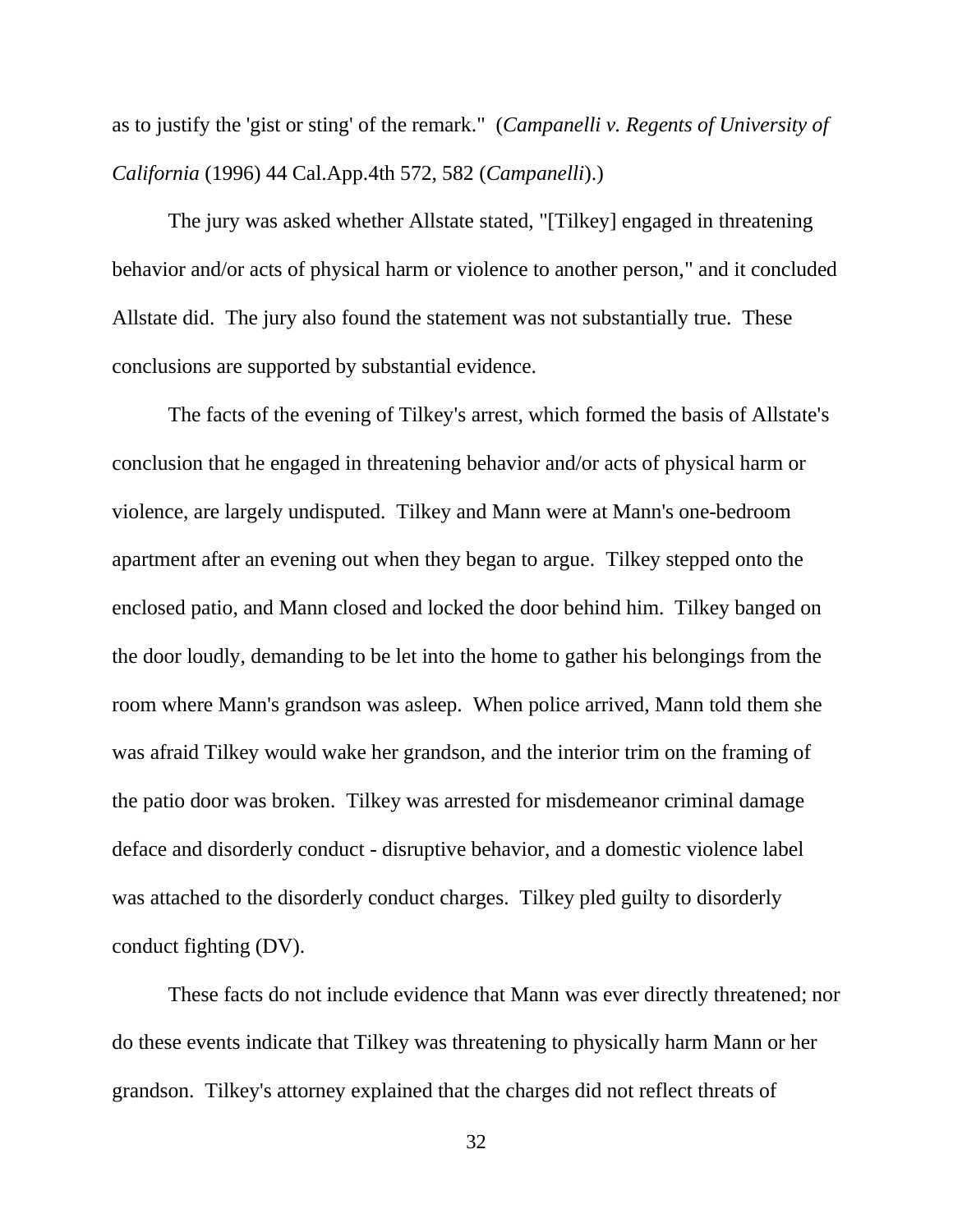as to justify the 'gist or sting' of the remark." (*Campanelli v. Regents of University of California* (1996) 44 Cal.App.4th 572, 582 (*Campanelli*).)

The jury was asked whether Allstate stated, "[Tilkey] engaged in threatening behavior and/or acts of physical harm or violence to another person," and it concluded Allstate did. The jury also found the statement was not substantially true. These conclusions are supported by substantial evidence.

The facts of the evening of Tilkey's arrest, which formed the basis of Allstate's conclusion that he engaged in threatening behavior and/or acts of physical harm or violence, are largely undisputed. Tilkey and Mann were at Mann's one-bedroom apartment after an evening out when they began to argue. Tilkey stepped onto the enclosed patio, and Mann closed and locked the door behind him. Tilkey banged on the door loudly, demanding to be let into the home to gather his belongings from the room where Mann's grandson was asleep. When police arrived, Mann told them she was afraid Tilkey would wake her grandson, and the interior trim on the framing of the patio door was broken. Tilkey was arrested for misdemeanor criminal damage deface and disorderly conduct - disruptive behavior, and a domestic violence label was attached to the disorderly conduct charges. Tilkey pled guilty to disorderly conduct fighting (DV).

These facts do not include evidence that Mann was ever directly threatened; nor do these events indicate that Tilkey was threatening to physically harm Mann or her grandson. Tilkey's attorney explained that the charges did not reflect threats of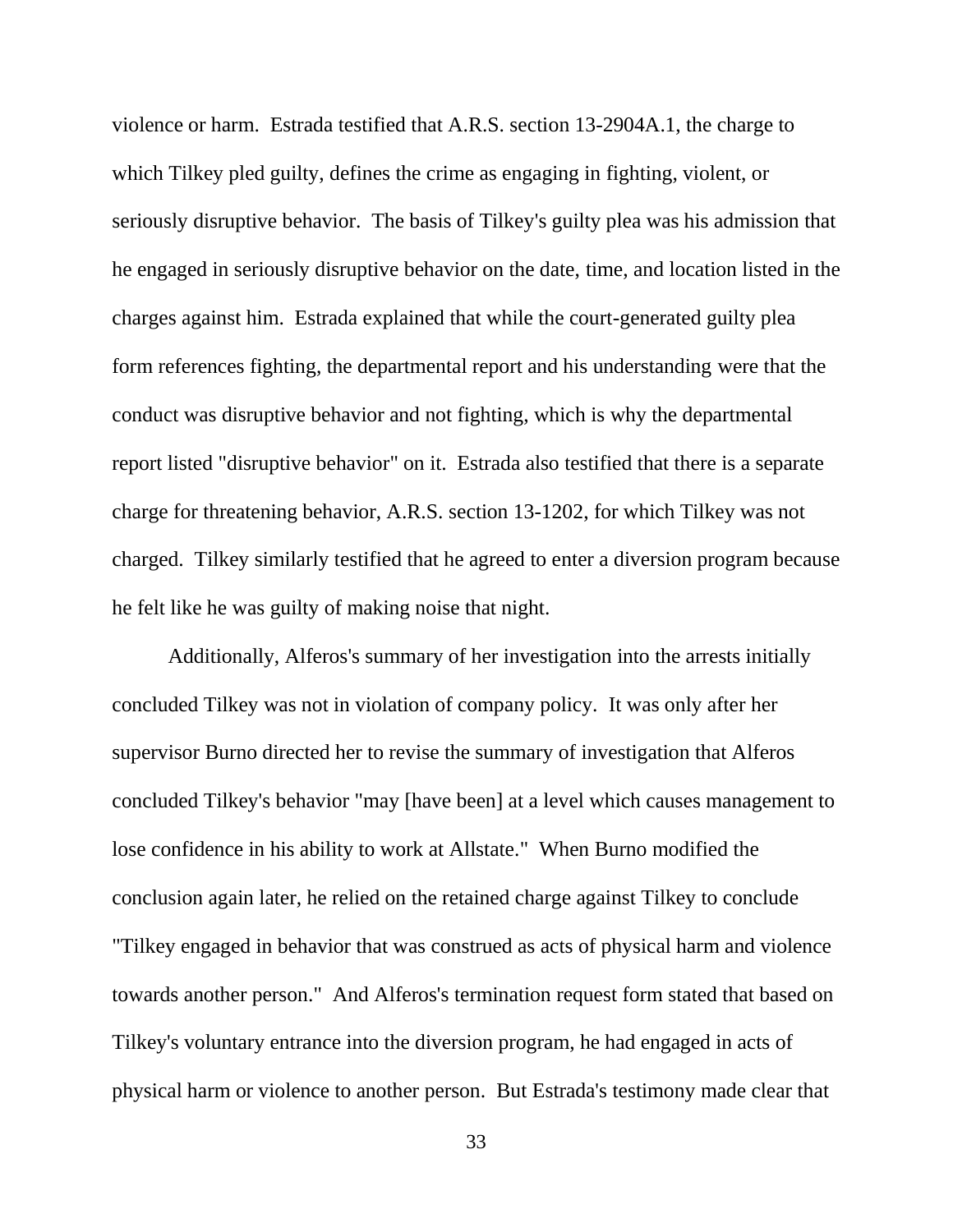violence or harm. Estrada testified that A.R.S. section 13-2904A.1, the charge to which Tilkey pled guilty, defines the crime as engaging in fighting, violent, or seriously disruptive behavior. The basis of Tilkey's guilty plea was his admission that he engaged in seriously disruptive behavior on the date, time, and location listed in the charges against him. Estrada explained that while the court-generated guilty plea form references fighting, the departmental report and his understanding were that the conduct was disruptive behavior and not fighting, which is why the departmental report listed "disruptive behavior" on it. Estrada also testified that there is a separate charge for threatening behavior, A.R.S. section 13-1202, for which Tilkey was not charged. Tilkey similarly testified that he agreed to enter a diversion program because he felt like he was guilty of making noise that night.

Additionally, Alferos's summary of her investigation into the arrests initially concluded Tilkey was not in violation of company policy. It was only after her supervisor Burno directed her to revise the summary of investigation that Alferos concluded Tilkey's behavior "may [have been] at a level which causes management to lose confidence in his ability to work at Allstate." When Burno modified the conclusion again later, he relied on the retained charge against Tilkey to conclude "Tilkey engaged in behavior that was construed as acts of physical harm and violence towards another person." And Alferos's termination request form stated that based on Tilkey's voluntary entrance into the diversion program, he had engaged in acts of physical harm or violence to another person. But Estrada's testimony made clear that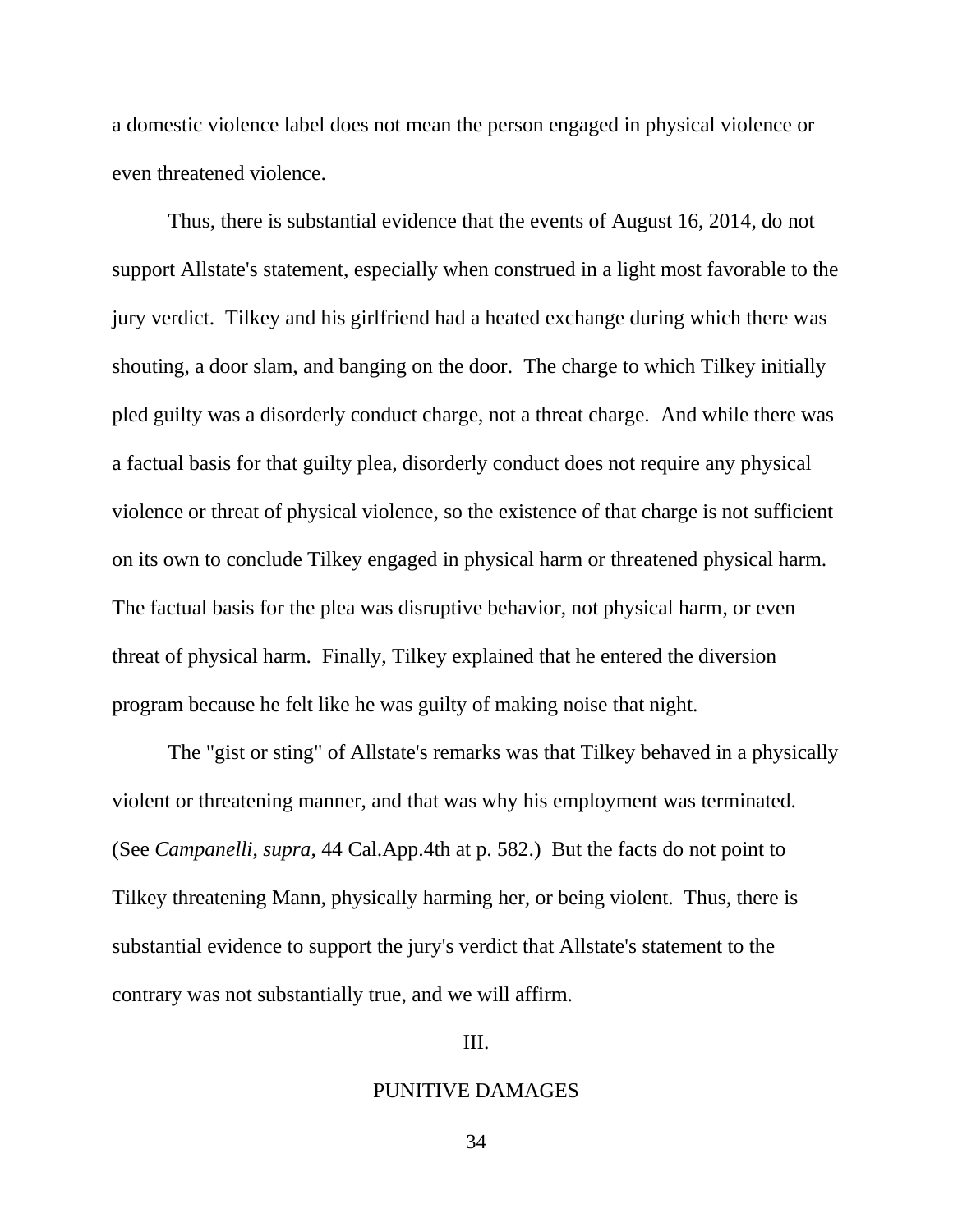a domestic violence label does not mean the person engaged in physical violence or even threatened violence.

Thus, there is substantial evidence that the events of August 16, 2014, do not support Allstate's statement, especially when construed in a light most favorable to the jury verdict. Tilkey and his girlfriend had a heated exchange during which there was shouting, a door slam, and banging on the door. The charge to which Tilkey initially pled guilty was a disorderly conduct charge, not a threat charge. And while there was a factual basis for that guilty plea, disorderly conduct does not require any physical violence or threat of physical violence, so the existence of that charge is not sufficient on its own to conclude Tilkey engaged in physical harm or threatened physical harm. The factual basis for the plea was disruptive behavior, not physical harm, or even threat of physical harm. Finally, Tilkey explained that he entered the diversion program because he felt like he was guilty of making noise that night.

The "gist or sting" of Allstate's remarks was that Tilkey behaved in a physically violent or threatening manner, and that was why his employment was terminated. (See *Campanelli*, *supra*, 44 Cal.App.4th at p. 582.) But the facts do not point to Tilkey threatening Mann, physically harming her, or being violent. Thus, there is substantial evidence to support the jury's verdict that Allstate's statement to the contrary was not substantially true, and we will affirm.

III.

### PUNITIVE DAMAGES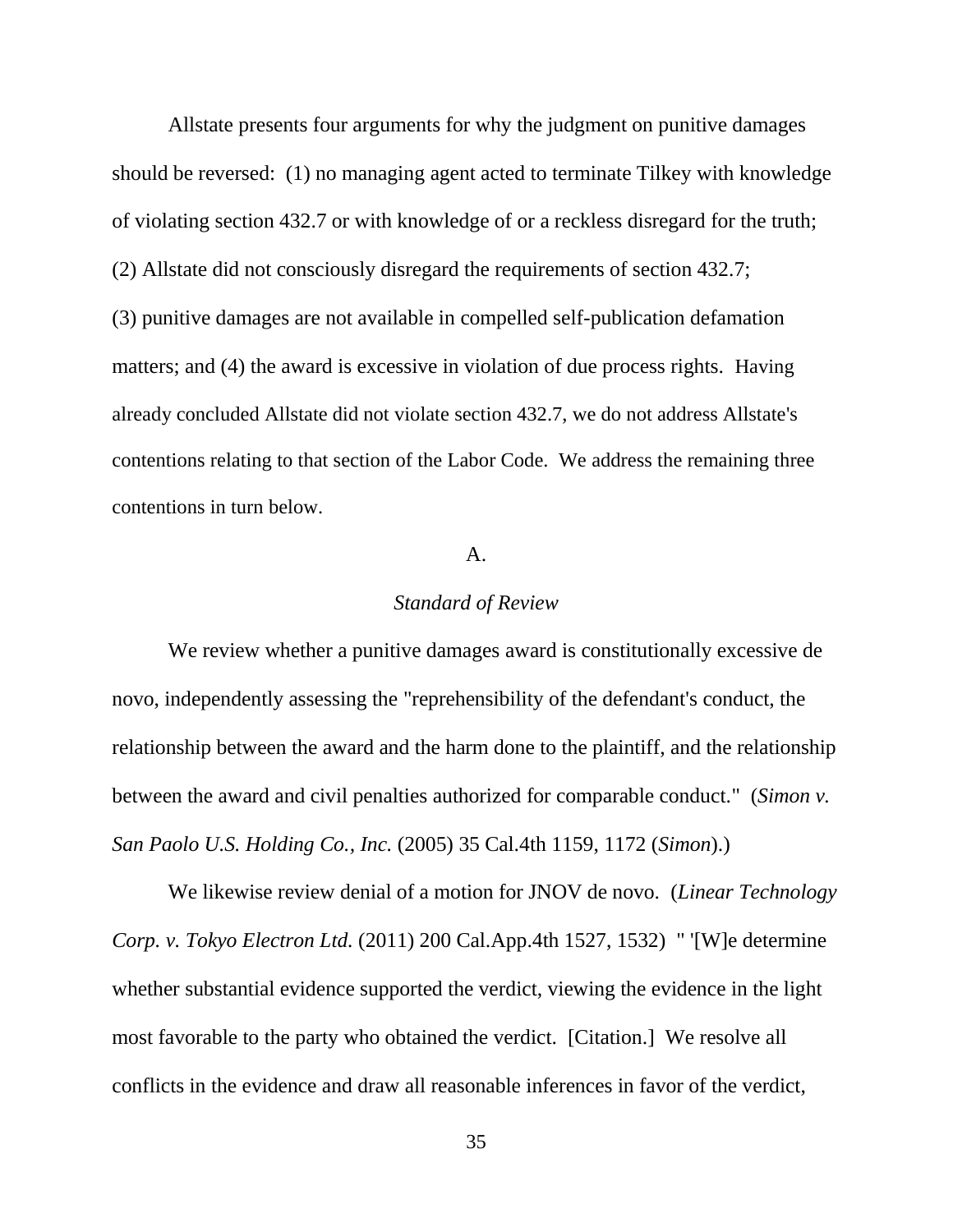Allstate presents four arguments for why the judgment on punitive damages should be reversed: (1) no managing agent acted to terminate Tilkey with knowledge of violating section 432.7 or with knowledge of or a reckless disregard for the truth; (2) Allstate did not consciously disregard the requirements of section 432.7; (3) punitive damages are not available in compelled self-publication defamation matters; and (4) the award is excessive in violation of due process rights. Having already concluded Allstate did not violate section 432.7, we do not address Allstate's contentions relating to that section of the Labor Code. We address the remaining three contentions in turn below.

### A.

### *Standard of Review*

We review whether a punitive damages award is constitutionally excessive de novo, independently assessing the "reprehensibility of the defendant's conduct, the relationship between the award and the harm done to the plaintiff, and the relationship between the award and civil penalties authorized for comparable conduct." (*Simon v. San Paolo U.S. Holding Co., Inc.* (2005) 35 Cal.4th 1159, 1172 (*Simon*).)

We likewise review denial of a motion for JNOV de novo. (*Linear Technology Corp. v. Tokyo Electron Ltd.* (2011) 200 Cal.App.4th 1527, 1532) " '[W]e determine whether substantial evidence supported the verdict, viewing the evidence in the light most favorable to the party who obtained the verdict. [Citation.] We resolve all conflicts in the evidence and draw all reasonable inferences in favor of the verdict,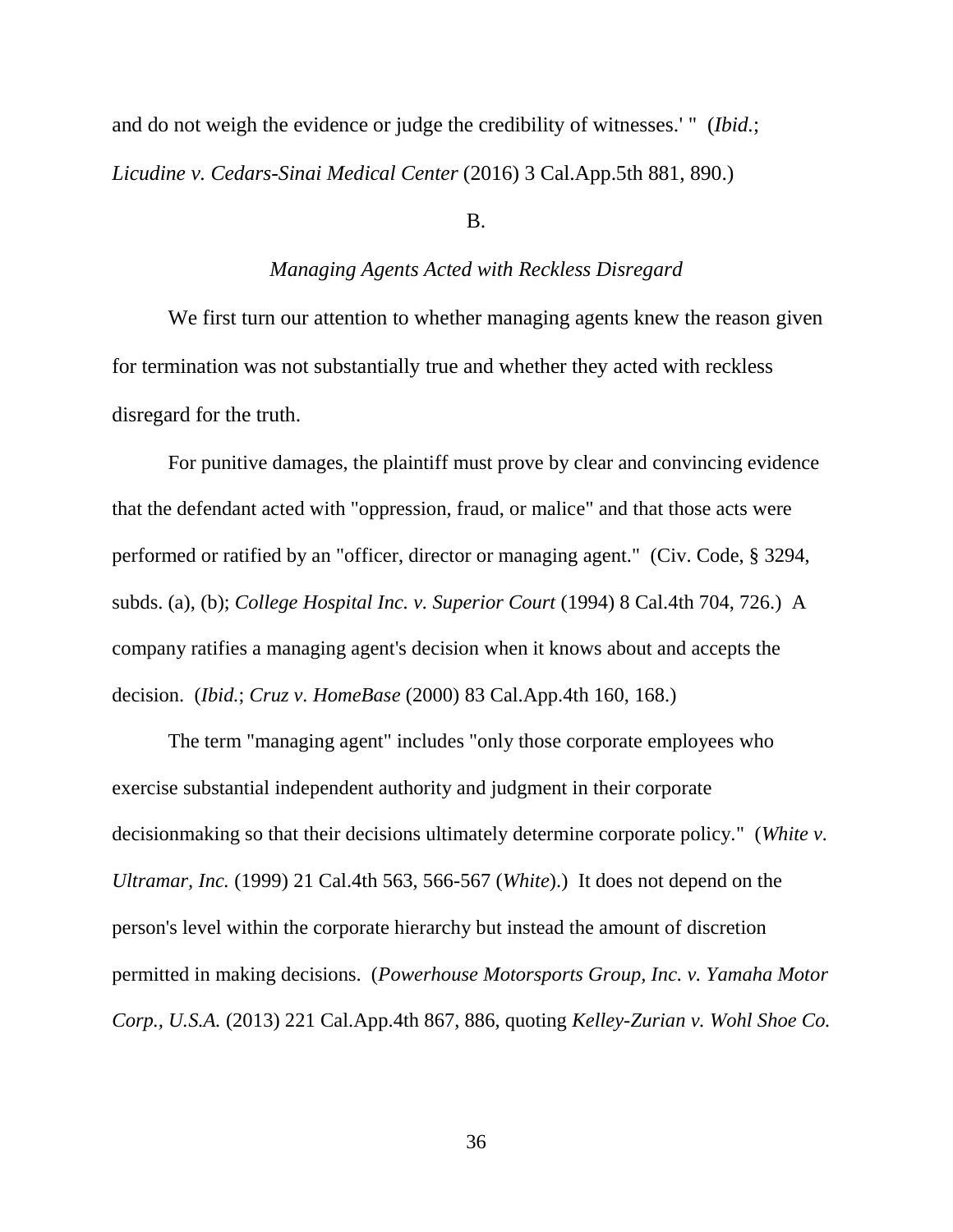and do not weigh the evidence or judge the credibility of witnesses.' " (*Ibid.*; *Licudine v. Cedars-Sinai Medical Center* (2016) 3 Cal.App.5th 881, 890.)

B.

### *Managing Agents Acted with Reckless Disregard*

We first turn our attention to whether managing agents knew the reason given for termination was not substantially true and whether they acted with reckless disregard for the truth.

For punitive damages, the plaintiff must prove by clear and convincing evidence that the defendant acted with "oppression, fraud, or malice" and that those acts were performed or ratified by an "officer, director or managing agent." (Civ. Code, § 3294, subds. (a), (b); *College Hospital Inc. v. Superior Court* (1994) 8 Cal.4th 704, 726.) A company ratifies a managing agent's decision when it knows about and accepts the decision. (*Ibid.*; *Cruz v. HomeBase* (2000) 83 Cal.App.4th 160, 168.)

The term "managing agent" includes "only those corporate employees who exercise substantial independent authority and judgment in their corporate decisionmaking so that their decisions ultimately determine corporate policy." (*White v. Ultramar, Inc.* (1999) 21 Cal.4th 563, 566-567 (*White*).) It does not depend on the person's level within the corporate hierarchy but instead the amount of discretion permitted in making decisions. (*Powerhouse Motorsports Group, Inc. v. Yamaha Motor Corp., U.S.A.* (2013) 221 Cal.App.4th 867, 886, quoting *Kelley-Zurian v. Wohl Shoe Co.*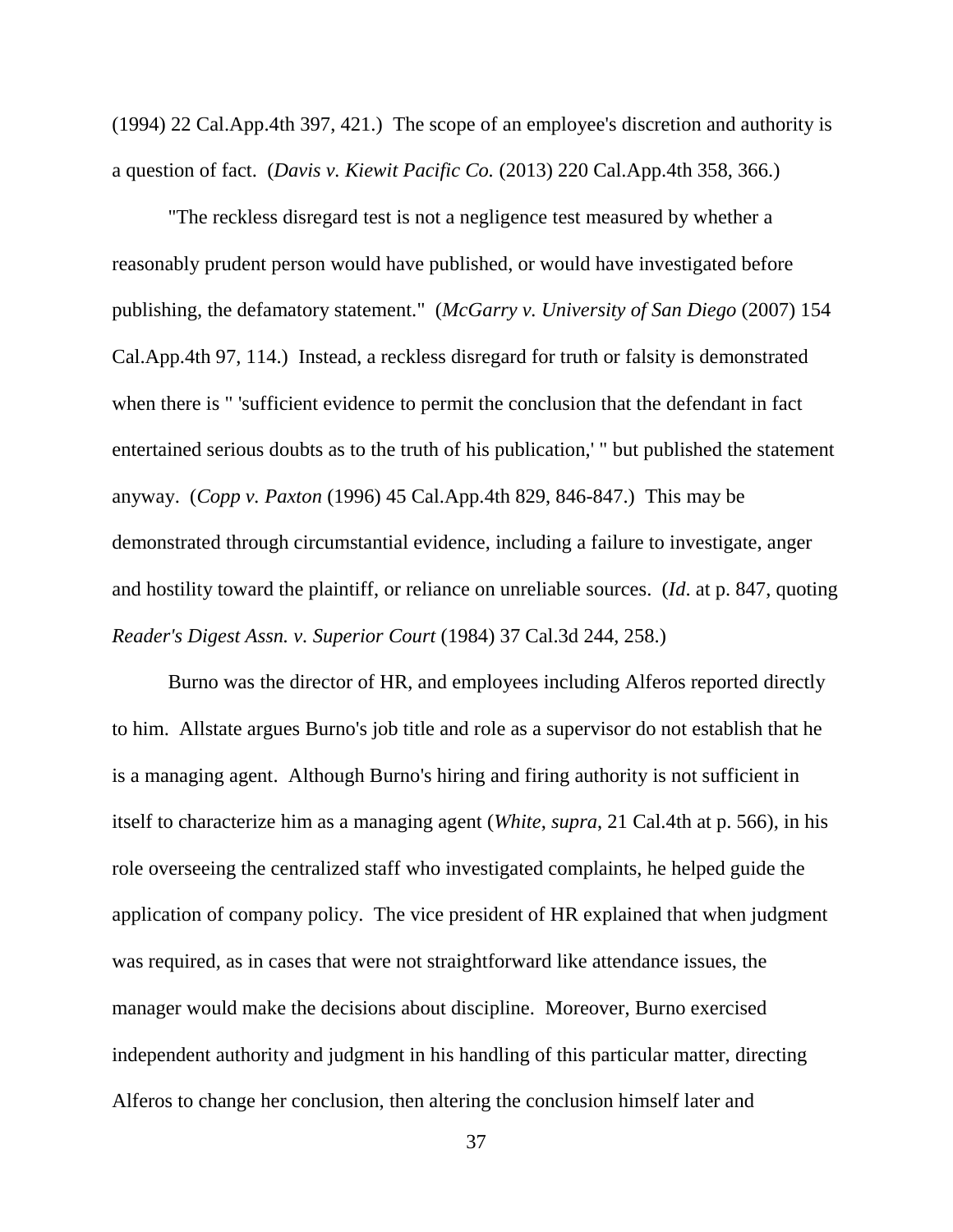(1994) 22 Cal.App.4th 397, 421.) The scope of an employee's discretion and authority is a question of fact. (*Davis v. Kiewit Pacific Co.* (2013) 220 Cal.App.4th 358, 366.)

"The reckless disregard test is not a negligence test measured by whether a reasonably prudent person would have published, or would have investigated before publishing, the defamatory statement." (*McGarry v. University of San Diego* (2007) 154 Cal.App.4th 97, 114.) Instead, a reckless disregard for truth or falsity is demonstrated when there is " 'sufficient evidence to permit the conclusion that the defendant in fact entertained serious doubts as to the truth of his publication,' " but published the statement anyway. (*Copp v. Paxton* (1996) 45 Cal.App.4th 829, 846-847.) This may be demonstrated through circumstantial evidence, including a failure to investigate, anger and hostility toward the plaintiff, or reliance on unreliable sources. (*Id*. at p. 847, quoting *Reader's Digest Assn. v. Superior Court* (1984) 37 Cal.3d 244, 258.)

Burno was the director of HR, and employees including Alferos reported directly to him. Allstate argues Burno's job title and role as a supervisor do not establish that he is a managing agent. Although Burno's hiring and firing authority is not sufficient in itself to characterize him as a managing agent (*White*, *supra*, 21 Cal.4th at p. 566), in his role overseeing the centralized staff who investigated complaints, he helped guide the application of company policy. The vice president of HR explained that when judgment was required, as in cases that were not straightforward like attendance issues, the manager would make the decisions about discipline. Moreover, Burno exercised independent authority and judgment in his handling of this particular matter, directing Alferos to change her conclusion, then altering the conclusion himself later and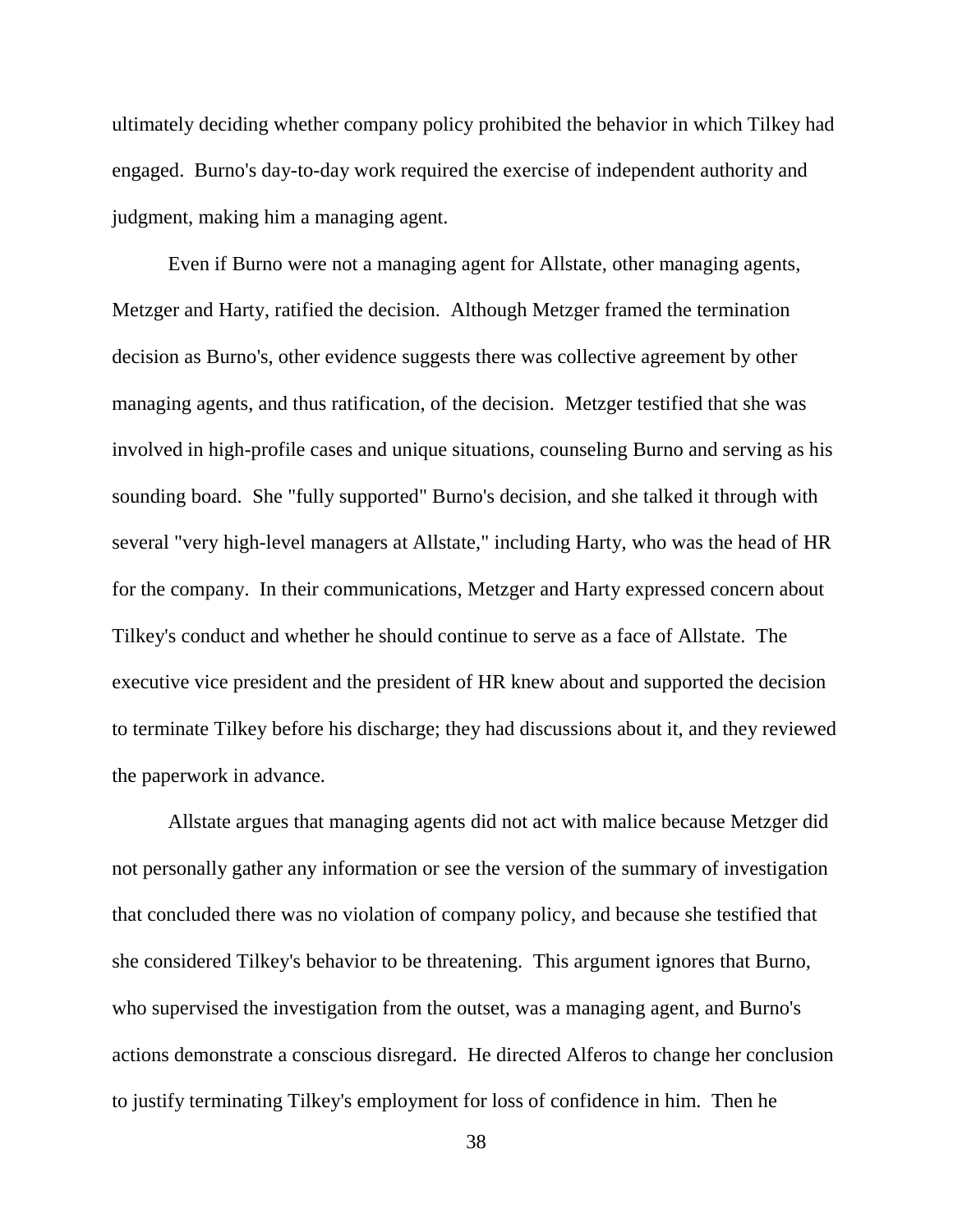ultimately deciding whether company policy prohibited the behavior in which Tilkey had engaged. Burno's day-to-day work required the exercise of independent authority and judgment, making him a managing agent.

Even if Burno were not a managing agent for Allstate, other managing agents, Metzger and Harty, ratified the decision. Although Metzger framed the termination decision as Burno's, other evidence suggests there was collective agreement by other managing agents, and thus ratification, of the decision. Metzger testified that she was involved in high-profile cases and unique situations, counseling Burno and serving as his sounding board. She "fully supported" Burno's decision, and she talked it through with several "very high-level managers at Allstate," including Harty, who was the head of HR for the company. In their communications, Metzger and Harty expressed concern about Tilkey's conduct and whether he should continue to serve as a face of Allstate. The executive vice president and the president of HR knew about and supported the decision to terminate Tilkey before his discharge; they had discussions about it, and they reviewed the paperwork in advance.

Allstate argues that managing agents did not act with malice because Metzger did not personally gather any information or see the version of the summary of investigation that concluded there was no violation of company policy, and because she testified that she considered Tilkey's behavior to be threatening. This argument ignores that Burno, who supervised the investigation from the outset, was a managing agent, and Burno's actions demonstrate a conscious disregard. He directed Alferos to change her conclusion to justify terminating Tilkey's employment for loss of confidence in him. Then he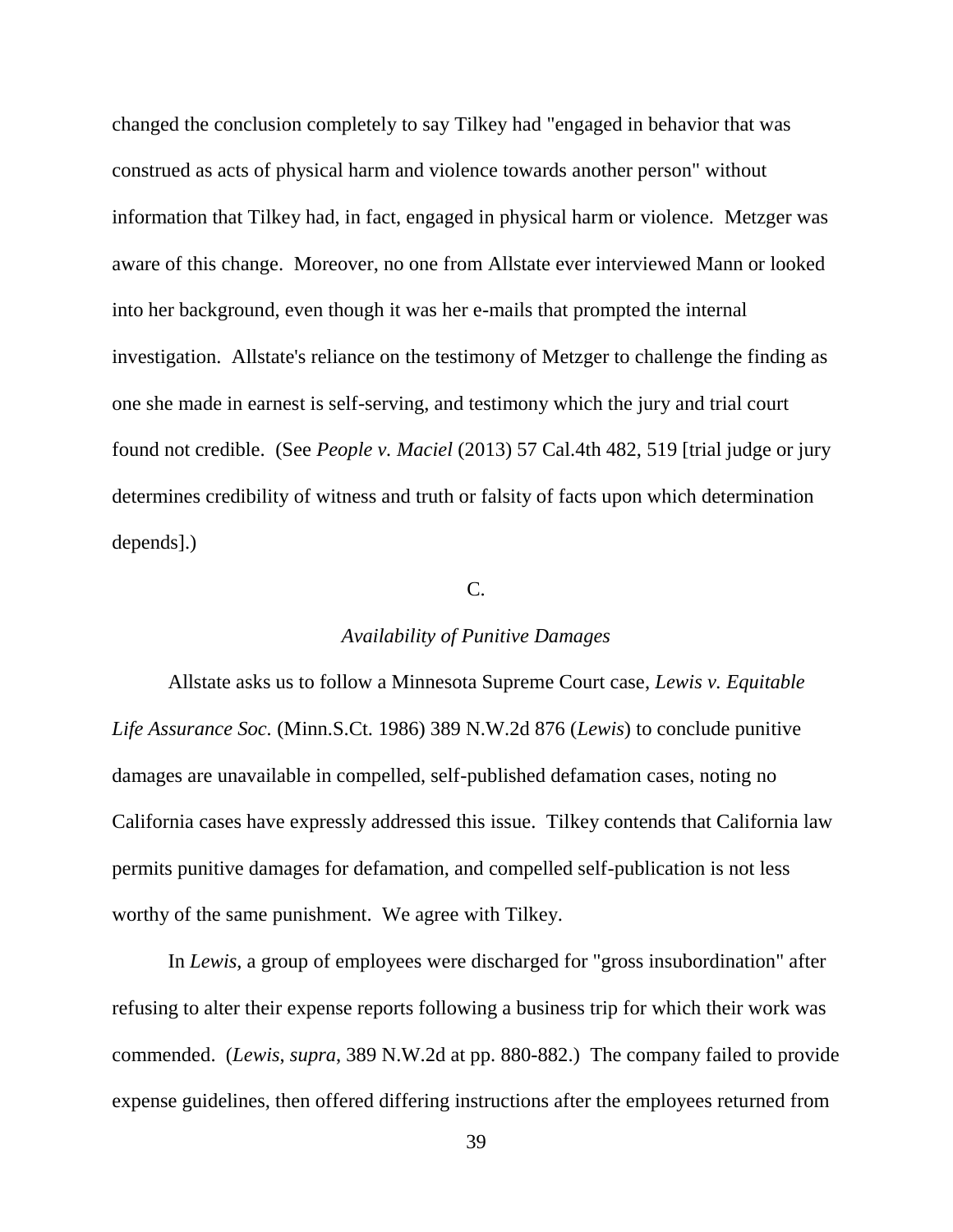changed the conclusion completely to say Tilkey had "engaged in behavior that was construed as acts of physical harm and violence towards another person" without information that Tilkey had, in fact, engaged in physical harm or violence. Metzger was aware of this change. Moreover, no one from Allstate ever interviewed Mann or looked into her background, even though it was her e-mails that prompted the internal investigation. Allstate's reliance on the testimony of Metzger to challenge the finding as one she made in earnest is self-serving, and testimony which the jury and trial court found not credible. (See *People v. Maciel* (2013) 57 Cal.4th 482, 519 [trial judge or jury determines credibility of witness and truth or falsity of facts upon which determination depends].)

## C.

# *Availability of Punitive Damages*

Allstate asks us to follow a Minnesota Supreme Court case, *Lewis v. Equitable Life Assurance Soc.* (Minn.S.Ct. 1986) 389 N.W.2d 876 (*Lewis*) to conclude punitive damages are unavailable in compelled, self-published defamation cases, noting no California cases have expressly addressed this issue. Tilkey contends that California law permits punitive damages for defamation, and compelled self-publication is not less worthy of the same punishment. We agree with Tilkey.

In *Lewis*, a group of employees were discharged for "gross insubordination" after refusing to alter their expense reports following a business trip for which their work was commended. (*Lewis*, *supra*, 389 N.W.2d at pp. 880-882.) The company failed to provide expense guidelines, then offered differing instructions after the employees returned from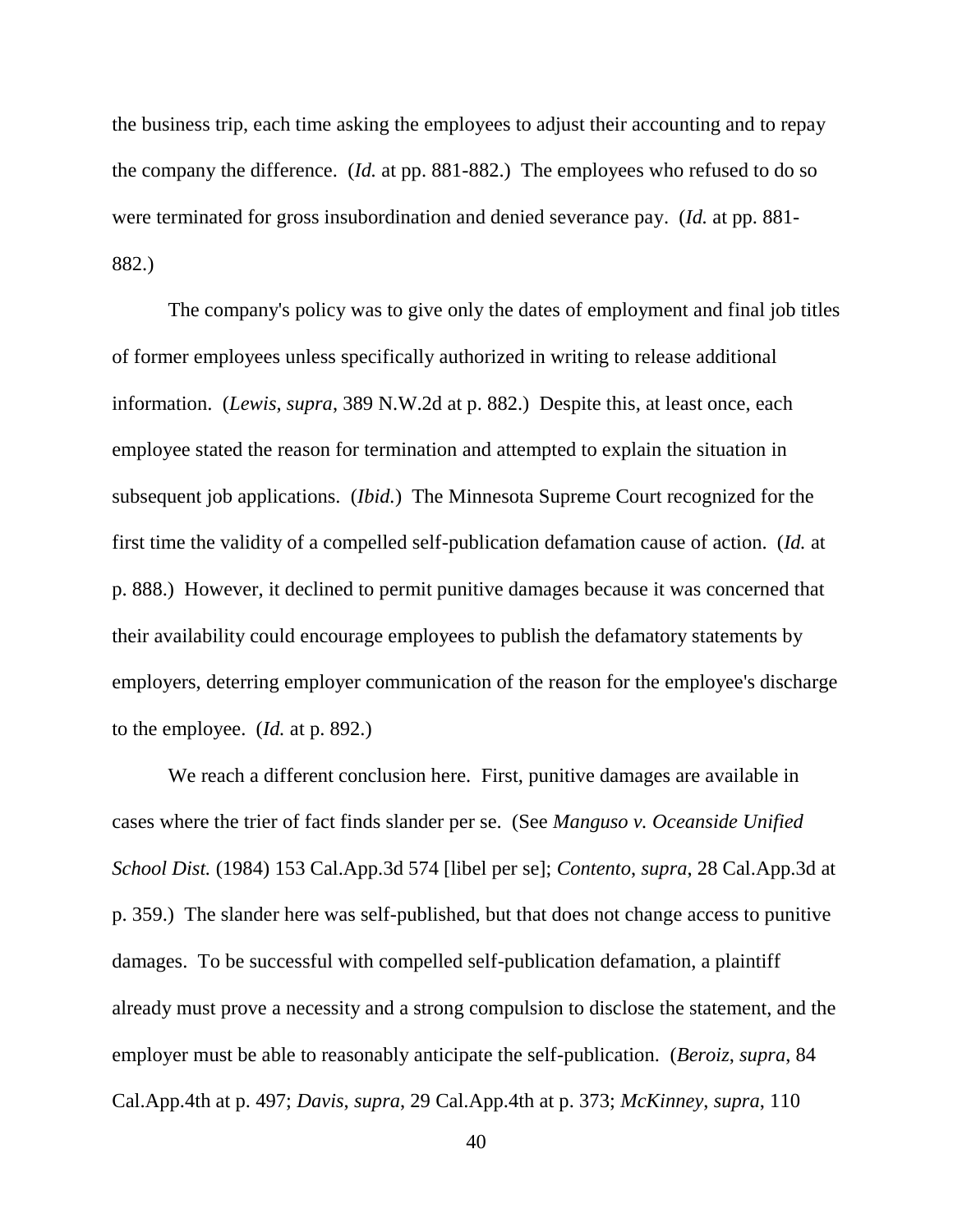the business trip, each time asking the employees to adjust their accounting and to repay the company the difference. (*Id.* at pp. 881-882.) The employees who refused to do so were terminated for gross insubordination and denied severance pay. (*Id.* at pp. 881- 882.)

The company's policy was to give only the dates of employment and final job titles of former employees unless specifically authorized in writing to release additional information. (*Lewis*, *supra*, 389 N.W.2d at p. 882.) Despite this, at least once, each employee stated the reason for termination and attempted to explain the situation in subsequent job applications. (*Ibid.*) The Minnesota Supreme Court recognized for the first time the validity of a compelled self-publication defamation cause of action. (*Id.* at p. 888.) However, it declined to permit punitive damages because it was concerned that their availability could encourage employees to publish the defamatory statements by employers, deterring employer communication of the reason for the employee's discharge to the employee. (*Id.* at p. 892.)

We reach a different conclusion here. First, punitive damages are available in cases where the trier of fact finds slander per se. (See *Manguso v. Oceanside Unified School Dist.* (1984) 153 Cal.App.3d 574 [libel per se]; *Contento*, *supra*, 28 Cal.App.3d at p. 359.) The slander here was self-published, but that does not change access to punitive damages. To be successful with compelled self-publication defamation, a plaintiff already must prove a necessity and a strong compulsion to disclose the statement, and the employer must be able to reasonably anticipate the self-publication. (*Beroiz*, *supra*, 84 Cal.App.4th at p. 497; *Davis*, *supra*, 29 Cal.App.4th at p. 373; *McKinney*, *supra*, 110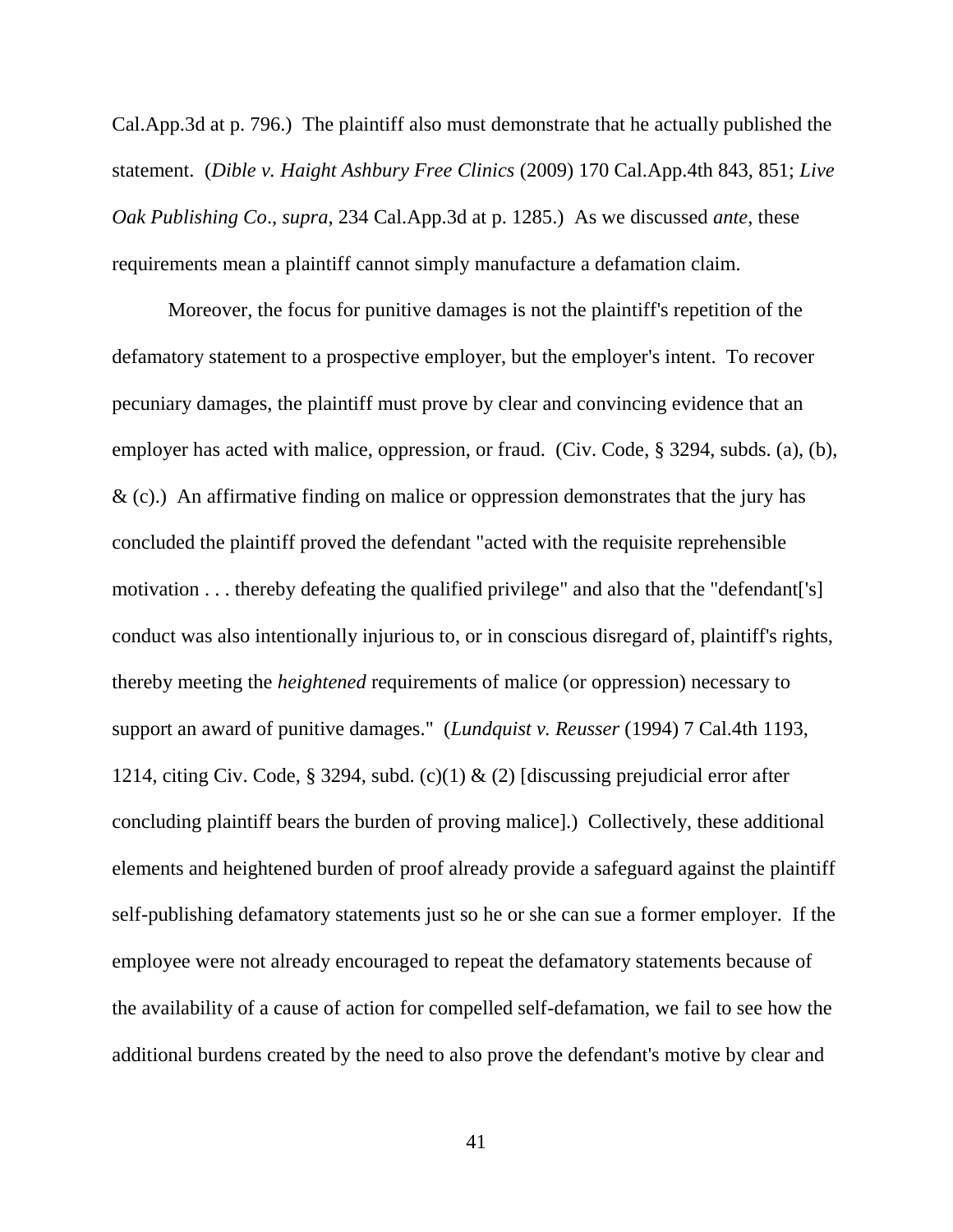Cal.App.3d at p. 796.) The plaintiff also must demonstrate that he actually published the statement. (*Dible v. Haight Ashbury Free Clinics* (2009) 170 Cal.App.4th 843, 851; *Live Oak Publishing Co*., *supra*, 234 Cal.App.3d at p. 1285.) As we discussed *ante*, these requirements mean a plaintiff cannot simply manufacture a defamation claim.

Moreover, the focus for punitive damages is not the plaintiff's repetition of the defamatory statement to a prospective employer, but the employer's intent. To recover pecuniary damages, the plaintiff must prove by clear and convincing evidence that an employer has acted with malice, oppression, or fraud. (Civ. Code, § 3294, subds. (a), (b),  $\&$  (c).) An affirmative finding on malice or oppression demonstrates that the jury has concluded the plaintiff proved the defendant "acted with the requisite reprehensible motivation . . . thereby defeating the qualified privilege" and also that the "defendant['s] conduct was also intentionally injurious to, or in conscious disregard of, plaintiff's rights, thereby meeting the *heightened* requirements of malice (or oppression) necessary to support an award of punitive damages." (*Lundquist v. Reusser* (1994) 7 Cal.4th 1193, 1214, citing Civ. Code, § 3294, subd. (c)(1) & (2) [discussing prejudicial error after concluding plaintiff bears the burden of proving malice].) Collectively, these additional elements and heightened burden of proof already provide a safeguard against the plaintiff self-publishing defamatory statements just so he or she can sue a former employer. If the employee were not already encouraged to repeat the defamatory statements because of the availability of a cause of action for compelled self-defamation, we fail to see how the additional burdens created by the need to also prove the defendant's motive by clear and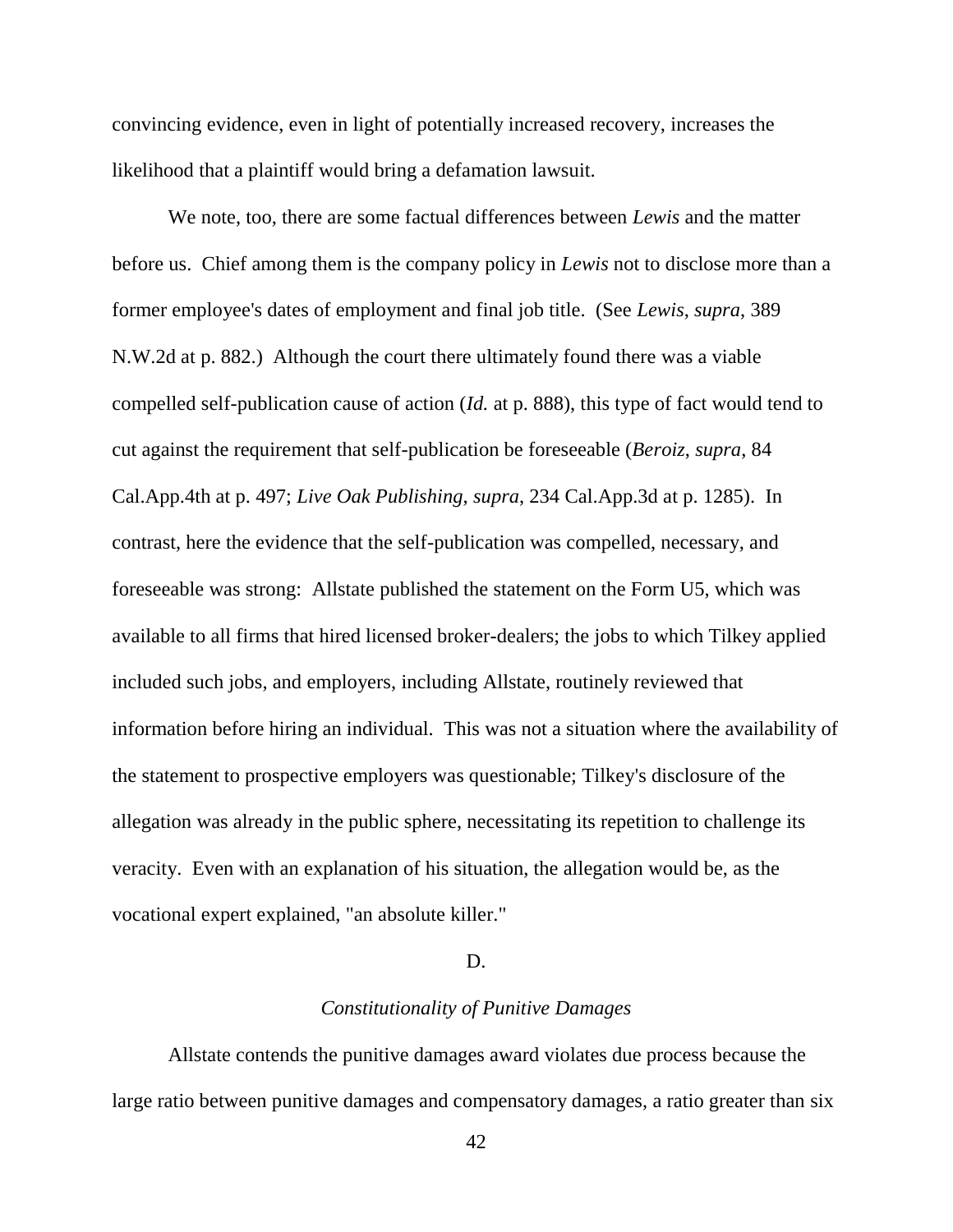convincing evidence, even in light of potentially increased recovery, increases the likelihood that a plaintiff would bring a defamation lawsuit.

We note, too, there are some factual differences between *Lewis* and the matter before us. Chief among them is the company policy in *Lewis* not to disclose more than a former employee's dates of employment and final job title. (See *Lewis*, *supra*, 389 N.W.2d at p. 882.) Although the court there ultimately found there was a viable compelled self-publication cause of action (*Id.* at p. 888), this type of fact would tend to cut against the requirement that self-publication be foreseeable (*Beroiz*, *supra*, 84 Cal.App.4th at p. 497; *Live Oak Publishing*, *supra*, 234 Cal.App.3d at p. 1285). In contrast, here the evidence that the self-publication was compelled, necessary, and foreseeable was strong: Allstate published the statement on the Form U5, which was available to all firms that hired licensed broker-dealers; the jobs to which Tilkey applied included such jobs, and employers, including Allstate, routinely reviewed that information before hiring an individual. This was not a situation where the availability of the statement to prospective employers was questionable; Tilkey's disclosure of the allegation was already in the public sphere, necessitating its repetition to challenge its veracity. Even with an explanation of his situation, the allegation would be, as the vocational expert explained, "an absolute killer."

### D.

### *Constitutionality of Punitive Damages*

Allstate contends the punitive damages award violates due process because the large ratio between punitive damages and compensatory damages, a ratio greater than six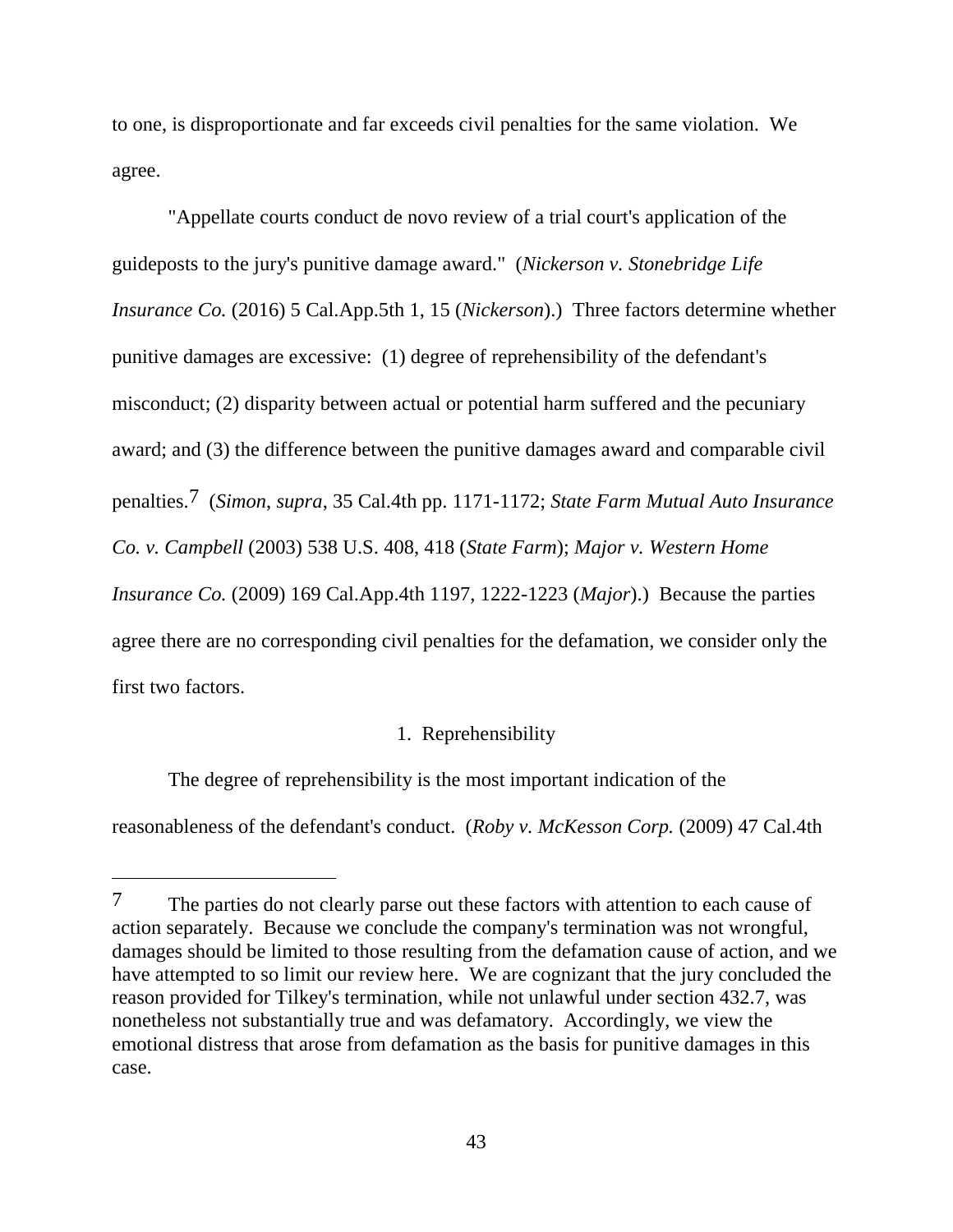to one, is disproportionate and far exceeds civil penalties for the same violation. We agree.

"Appellate courts conduct de novo review of a trial court's application of the guideposts to the jury's punitive damage award." (*Nickerson v. Stonebridge Life Insurance Co.* (2016) 5 Cal.App.5th 1, 15 (*Nickerson*).) Three factors determine whether punitive damages are excessive: (1) degree of reprehensibility of the defendant's misconduct; (2) disparity between actual or potential harm suffered and the pecuniary award; and (3) the difference between the punitive damages award and comparable civil penalties.7 (*Simon*, *supra*, 35 Cal.4th pp. 1171-1172; *State Farm Mutual Auto Insurance Co. v. Campbell* (2003) 538 U.S. 408, 418 (*State Farm*); *Major v. Western Home Insurance Co.* (2009) 169 Cal.App.4th 1197, 1222-1223 (*Major*).) Because the parties agree there are no corresponding civil penalties for the defamation, we consider only the first two factors.

# 1. Reprehensibility

The degree of reprehensibility is the most important indication of the reasonableness of the defendant's conduct. (*Roby v. McKesson Corp.* (2009) 47 Cal.4th

 $\overline{a}$ 

<sup>7</sup> The parties do not clearly parse out these factors with attention to each cause of action separately. Because we conclude the company's termination was not wrongful, damages should be limited to those resulting from the defamation cause of action, and we have attempted to so limit our review here. We are cognizant that the jury concluded the reason provided for Tilkey's termination, while not unlawful under section 432.7, was nonetheless not substantially true and was defamatory. Accordingly, we view the emotional distress that arose from defamation as the basis for punitive damages in this case.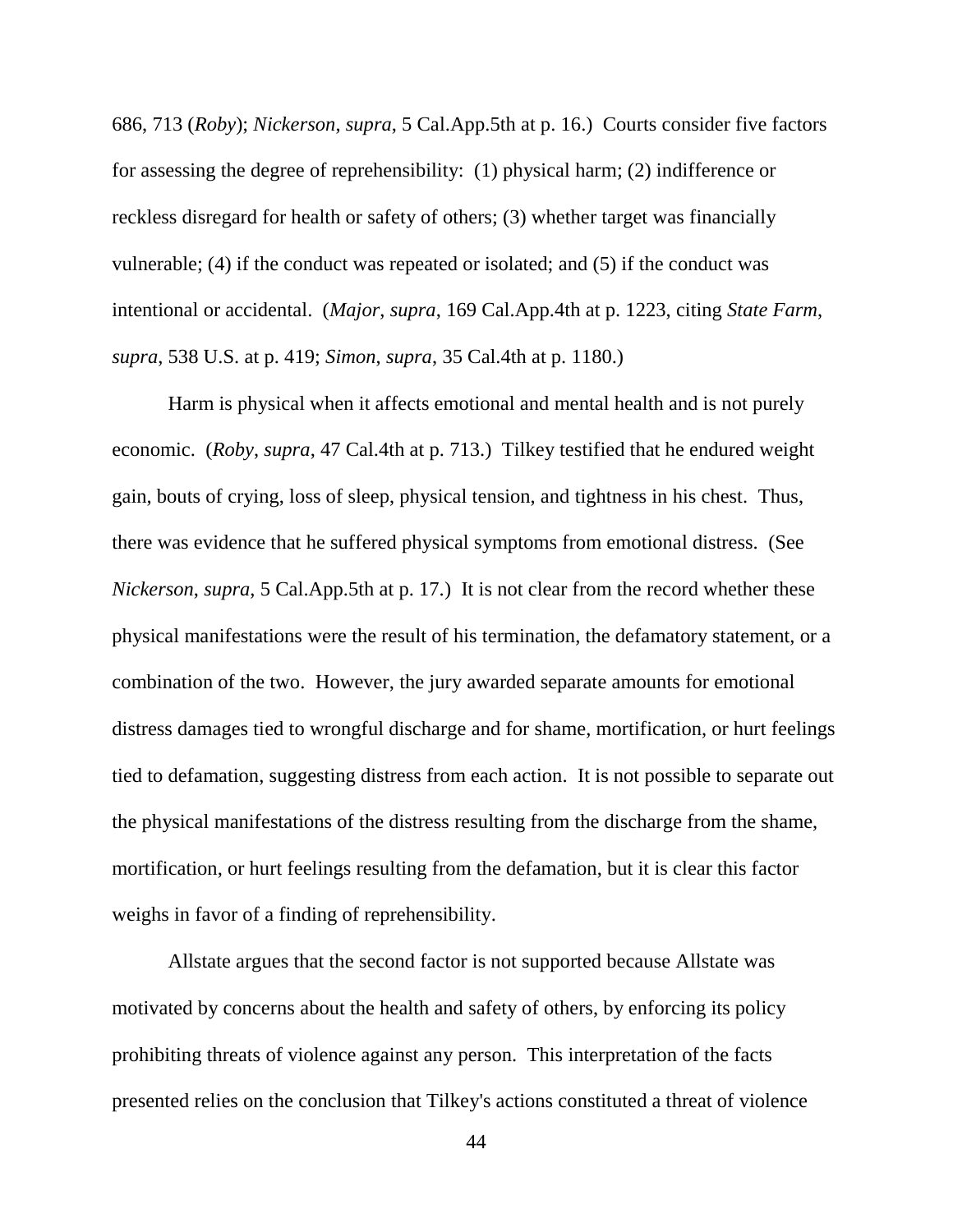686, 713 (*Roby*); *Nickerson*, *supra*, 5 Cal.App.5th at p. 16.) Courts consider five factors for assessing the degree of reprehensibility: (1) physical harm; (2) indifference or reckless disregard for health or safety of others; (3) whether target was financially vulnerable; (4) if the conduct was repeated or isolated; and (5) if the conduct was intentional or accidental. (*Major*, *supra*, 169 Cal.App.4th at p. 1223, citing *State Farm*, *supra*, 538 U.S. at p. 419; *Simon*, *supra*, 35 Cal.4th at p. 1180.)

Harm is physical when it affects emotional and mental health and is not purely economic. (*Roby*, *supra*, 47 Cal.4th at p. 713.) Tilkey testified that he endured weight gain, bouts of crying, loss of sleep, physical tension, and tightness in his chest. Thus, there was evidence that he suffered physical symptoms from emotional distress. (See *Nickerson*, *supra*, 5 Cal.App.5th at p. 17.) It is not clear from the record whether these physical manifestations were the result of his termination, the defamatory statement, or a combination of the two. However, the jury awarded separate amounts for emotional distress damages tied to wrongful discharge and for shame, mortification, or hurt feelings tied to defamation, suggesting distress from each action. It is not possible to separate out the physical manifestations of the distress resulting from the discharge from the shame, mortification, or hurt feelings resulting from the defamation, but it is clear this factor weighs in favor of a finding of reprehensibility.

Allstate argues that the second factor is not supported because Allstate was motivated by concerns about the health and safety of others, by enforcing its policy prohibiting threats of violence against any person. This interpretation of the facts presented relies on the conclusion that Tilkey's actions constituted a threat of violence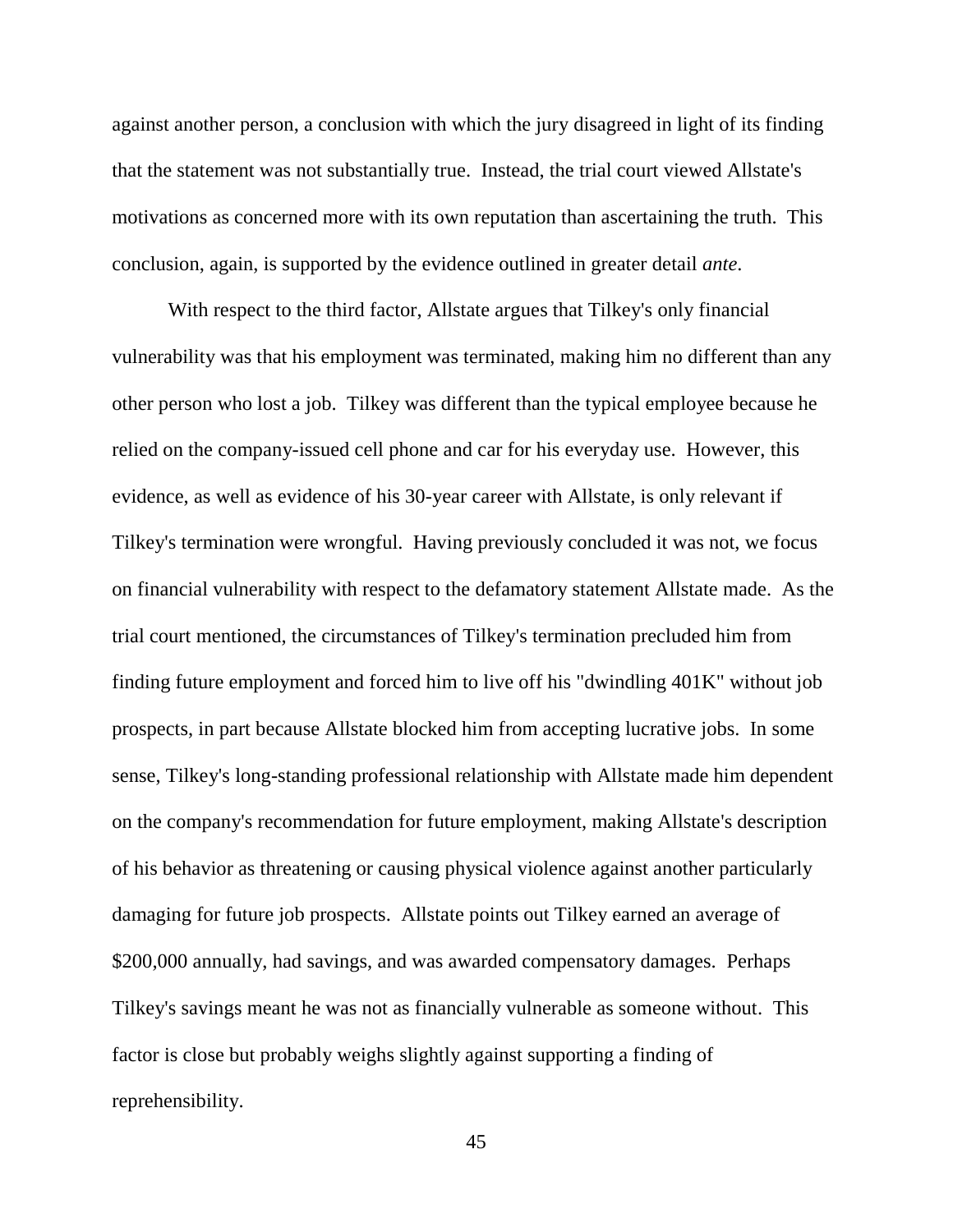against another person, a conclusion with which the jury disagreed in light of its finding that the statement was not substantially true. Instead, the trial court viewed Allstate's motivations as concerned more with its own reputation than ascertaining the truth. This conclusion, again, is supported by the evidence outlined in greater detail *ante*.

With respect to the third factor, Allstate argues that Tilkey's only financial vulnerability was that his employment was terminated, making him no different than any other person who lost a job. Tilkey was different than the typical employee because he relied on the company-issued cell phone and car for his everyday use. However, this evidence, as well as evidence of his 30-year career with Allstate, is only relevant if Tilkey's termination were wrongful. Having previously concluded it was not, we focus on financial vulnerability with respect to the defamatory statement Allstate made. As the trial court mentioned, the circumstances of Tilkey's termination precluded him from finding future employment and forced him to live off his "dwindling 401K" without job prospects, in part because Allstate blocked him from accepting lucrative jobs. In some sense, Tilkey's long-standing professional relationship with Allstate made him dependent on the company's recommendation for future employment, making Allstate's description of his behavior as threatening or causing physical violence against another particularly damaging for future job prospects. Allstate points out Tilkey earned an average of \$200,000 annually, had savings, and was awarded compensatory damages. Perhaps Tilkey's savings meant he was not as financially vulnerable as someone without. This factor is close but probably weighs slightly against supporting a finding of reprehensibility.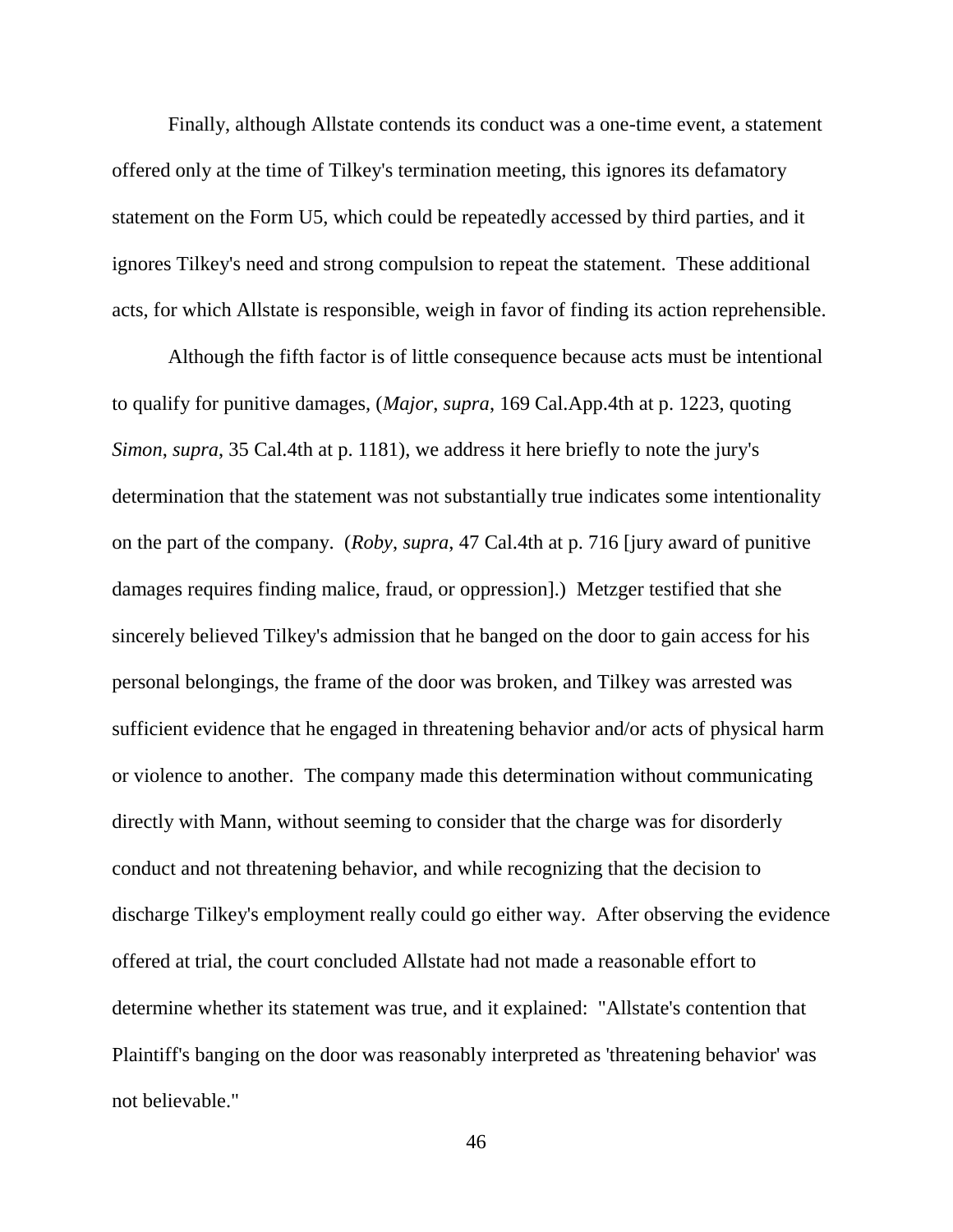Finally, although Allstate contends its conduct was a one-time event, a statement offered only at the time of Tilkey's termination meeting, this ignores its defamatory statement on the Form U5, which could be repeatedly accessed by third parties, and it ignores Tilkey's need and strong compulsion to repeat the statement. These additional acts, for which Allstate is responsible, weigh in favor of finding its action reprehensible.

Although the fifth factor is of little consequence because acts must be intentional to qualify for punitive damages, (*Major*, *supra*, 169 Cal.App.4th at p. 1223, quoting *Simon*, *supra*, 35 Cal.4th at p. 1181), we address it here briefly to note the jury's determination that the statement was not substantially true indicates some intentionality on the part of the company. (*Roby*, *supra*, 47 Cal.4th at p. 716 [jury award of punitive damages requires finding malice, fraud, or oppression].) Metzger testified that she sincerely believed Tilkey's admission that he banged on the door to gain access for his personal belongings, the frame of the door was broken, and Tilkey was arrested was sufficient evidence that he engaged in threatening behavior and/or acts of physical harm or violence to another. The company made this determination without communicating directly with Mann, without seeming to consider that the charge was for disorderly conduct and not threatening behavior, and while recognizing that the decision to discharge Tilkey's employment really could go either way. After observing the evidence offered at trial, the court concluded Allstate had not made a reasonable effort to determine whether its statement was true, and it explained: "Allstate's contention that Plaintiff's banging on the door was reasonably interpreted as 'threatening behavior' was not believable."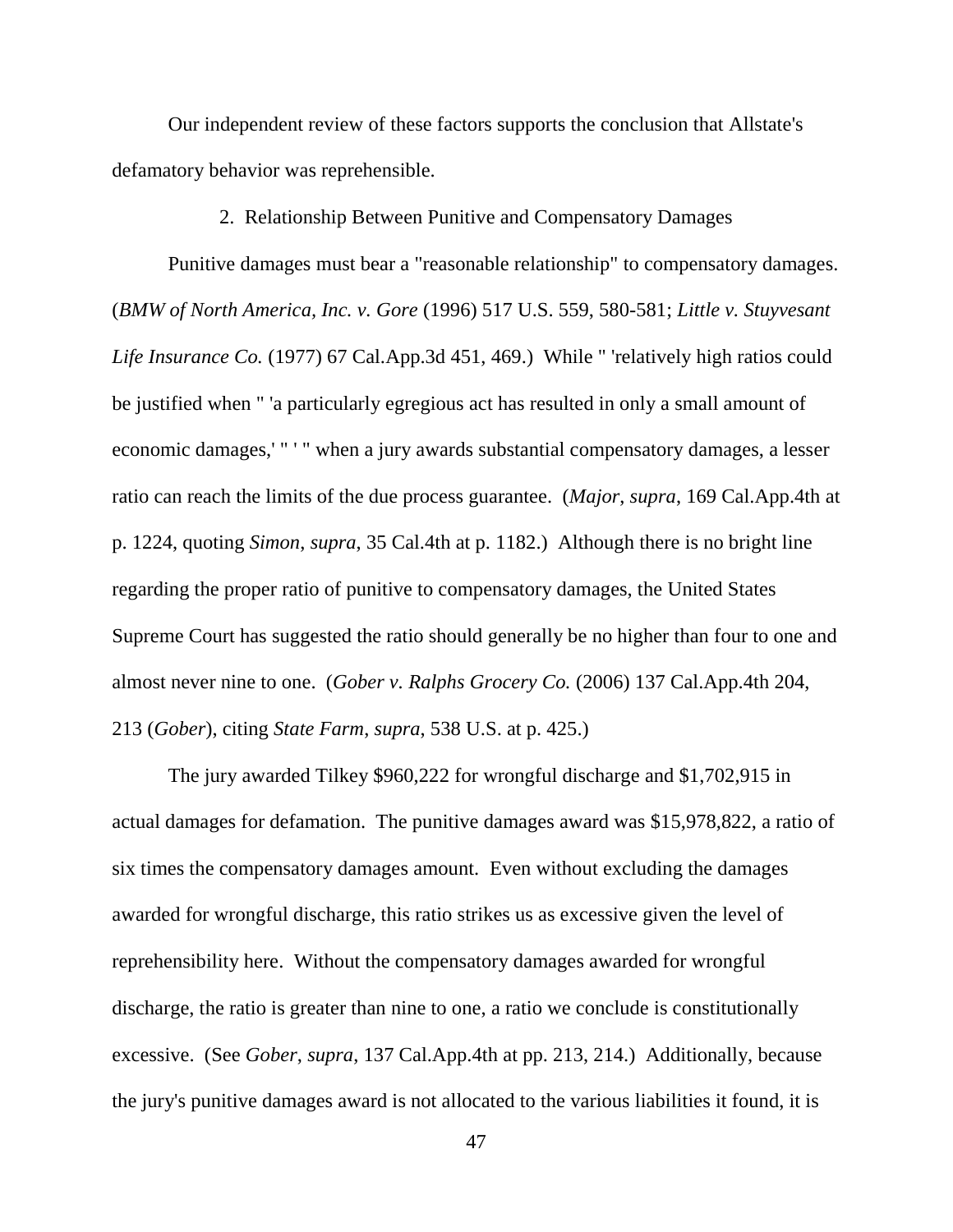Our independent review of these factors supports the conclusion that Allstate's defamatory behavior was reprehensible.

2. Relationship Between Punitive and Compensatory Damages

Punitive damages must bear a "reasonable relationship" to compensatory damages. (*BMW of North America, Inc. v. Gore* (1996) 517 U.S. 559, 580-581; *Little v. Stuyvesant Life Insurance Co.* (1977) 67 Cal.App.3d 451, 469.) While " 'relatively high ratios could be justified when " 'a particularly egregious act has resulted in only a small amount of economic damages,' " ' " when a jury awards substantial compensatory damages, a lesser ratio can reach the limits of the due process guarantee. (*Major*, *supra*, 169 Cal.App.4th at p. 1224, quoting *Simon*, *supra*, 35 Cal.4th at p. 1182.) Although there is no bright line regarding the proper ratio of punitive to compensatory damages, the United States Supreme Court has suggested the ratio should generally be no higher than four to one and almost never nine to one. (*Gober v. Ralphs Grocery Co.* (2006) 137 Cal.App.4th 204, 213 (*Gober*), citing *State Farm*, *supra*, 538 U.S. at p. 425.)

The jury awarded Tilkey \$960,222 for wrongful discharge and \$1,702,915 in actual damages for defamation. The punitive damages award was \$15,978,822, a ratio of six times the compensatory damages amount. Even without excluding the damages awarded for wrongful discharge, this ratio strikes us as excessive given the level of reprehensibility here. Without the compensatory damages awarded for wrongful discharge, the ratio is greater than nine to one, a ratio we conclude is constitutionally excessive. (See *Gober*, *supra*, 137 Cal.App.4th at pp. 213, 214.) Additionally, because the jury's punitive damages award is not allocated to the various liabilities it found, it is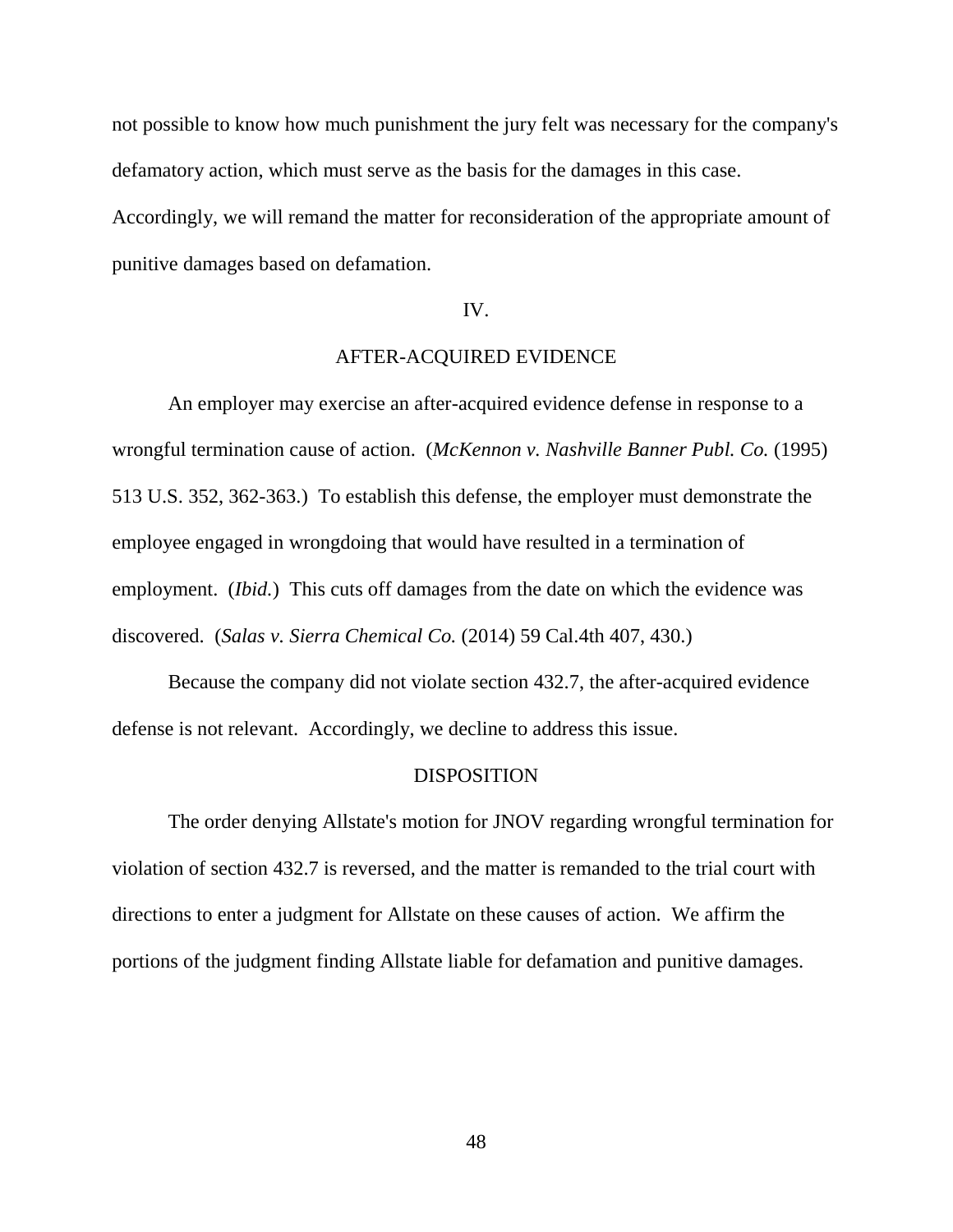not possible to know how much punishment the jury felt was necessary for the company's defamatory action, which must serve as the basis for the damages in this case.

Accordingly, we will remand the matter for reconsideration of the appropriate amount of punitive damages based on defamation.

# IV.

# AFTER-ACQUIRED EVIDENCE

An employer may exercise an after-acquired evidence defense in response to a wrongful termination cause of action. (*McKennon v. Nashville Banner Publ. Co.* (1995) 513 U.S. 352, 362-363.) To establish this defense, the employer must demonstrate the employee engaged in wrongdoing that would have resulted in a termination of employment. (*Ibid.*) This cuts off damages from the date on which the evidence was discovered. (*Salas v. Sierra Chemical Co.* (2014) 59 Cal.4th 407, 430.)

Because the company did not violate section 432.7, the after-acquired evidence defense is not relevant. Accordingly, we decline to address this issue.

### DISPOSITION

The order denying Allstate's motion for JNOV regarding wrongful termination for violation of section 432.7 is reversed, and the matter is remanded to the trial court with directions to enter a judgment for Allstate on these causes of action. We affirm the portions of the judgment finding Allstate liable for defamation and punitive damages.